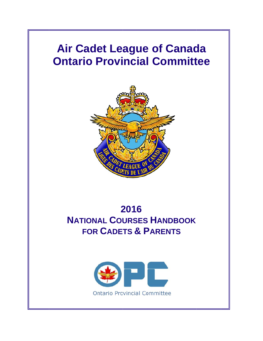# **Air Cadet League of Canada Ontario Provincial Committee**



# **NATIONAL COURSES HANDBOOK** FOR CADETS & PARENTS **2 2016**

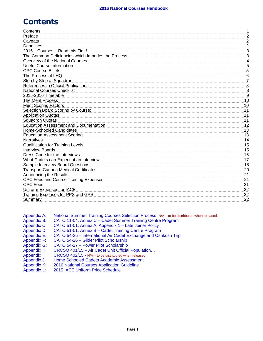# **Contents**

| Contents                                          |                  |
|---------------------------------------------------|------------------|
| Preface                                           | 2                |
| Caveats                                           | $\overline{c}$   |
| <b>Deadlines</b>                                  | $\overline{2}$   |
| 2016 Courses - Read this First!                   | $\mathbf{3}$     |
| The Common Deficiencies which Impedes the Process | 3                |
| Overview of the National Courses                  | 4                |
| <b>Useful Course Information</b>                  | $\overline{5}$   |
| <b>OPC Course Billets</b>                         | 5                |
| The Process at LHQ                                | $6\phantom{1}6$  |
| Step by Step at Squadron                          | 7                |
| References to Official Publications               | 8                |
| <b>National Courses Checklist</b>                 | $\boldsymbol{8}$ |
| 2015-2016 Timetable                               | 9                |
| The Merit Process                                 | 10               |
| <b>Merit Scoring Factors</b>                      | 10               |
| Selection Board Scoring by Course:                | 11               |
| <b>Application Quotas</b>                         | 11               |
| <b>Squadron Quotas</b>                            | 11               |
| <b>Education Assessment and Documentation</b>     | 12               |
| Home-Schooled Candidates                          | 13               |
| <b>Education Assessment Scoring</b>               | 13               |
| <b>Narratives</b>                                 | 14               |
| <b>Qualification for Training Levels</b>          | 15               |
| <b>Interview Boards</b>                           | 15               |
| Dress Code for the Interviews                     | 16               |
| What Cadets can Expect at an Interview            | 17               |
| <b>Sample Interview Board Questions</b>           | 18               |
| <b>Transport Canada Medical Certificates</b>      | 20               |
| Announcing the Results                            | 21               |
| OPC Fees and Course Training Expenses             | 21               |
| <b>OPC Fees</b>                                   | 21               |
| Uniform Expenses for IACE                         | 22               |
| Training Expenses for PPS and GPS                 | 22               |
| <b>Summary</b>                                    | 22               |
|                                                   |                  |

| Appendix A:        | National Summer Training Courses Selection Process N/A - to be distritbuted when released. |
|--------------------|--------------------------------------------------------------------------------------------|
| <b>Appendix B:</b> | CATO 11-04, Annex C - Cadet Summer Training Centre Program                                 |
| <b>Appendix C:</b> | CATO 51-01, Annex A, Appendix 1 - Late Joiner Policy                                       |
| <b>Appendix D:</b> | CATO 51-01, Annex B - Cadet Training Centre Program                                        |
| <b>Appendix E:</b> | CATO 54-25 - International Air Cadet Exchange and Oshkosh Trip                             |
| <b>Appendix F:</b> | CATO 54-26 - Glider Pilot Scholarship                                                      |
| <b>Appendix G:</b> | CATO 54-27 - Power Pilot Scholarship                                                       |
| Appendix H:        | CRCSO 401/15 - Air Cadet Unit Official Population                                          |
| Appendix I:        | CRCSO 402/15 - N/A – to be distritbuted when released                                      |
| Appendix J:        | Home Schooled Cadets Academic Assessment                                                   |
|                    |                                                                                            |
| <b>Appendix K:</b> | 2016 National Courses Application Guideline                                                |
| Appendix L:        | 2015 IACE Uniform Price Schedule                                                           |
|                    |                                                                                            |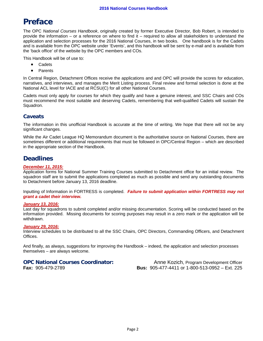# **Preface**

The OPC *National Courses Handbook*, originally created by former Executive Director, Bob Robert, is intended to provide the information – or a reference on where to find it – required to allow all stakeholders to understand the application and selection processes for the 2016 National Courses, in two books. One handbook is for the Cadets and is available from the OPC website under 'Events', and this handbook will be sent by e-mail and is available from the 'back office' of the website by the OPC members and COs.

This Handbook will be of use to:

- Cadets
- Parents

In Central Region, Detachment Offices receive the applications and and OPC will provide the scores for education, narratives, and interviews, and manages the Merit Listing process. Final review and formal selection is done at the National ACL level for IACE and at RCSU(C) for all other National Courses.

Cadets must only apply for courses for which they qualify and have a genuine interest, and SSC Chairs and COs must recommend the most suitable and deserving Cadets, remembering that well-qualified Cadets will sustain the Squadron.

## **Caveats**

The information in this unofficial Handbook is accurate at the time of writing. We hope that there will not be any significant changes.

While the Air Cadet League HQ Memorandum document is the authoritative source on National Courses, there are sometimes different or additional requirements that must be followed in OPC/Central Region – which are described in the appropriate section of the Handbook.

# **Deadlines**

#### *December 11, 2015:*

Application forms for National Summer Training Courses submitted to Detachment office for an initial review. The squadron staff are to submit the applications completed as much as possible and send any outstanding documents to Detachment before January 13, 2016 deadline.

Inputting of Information in FORTRESS is completed. *Failure to submit application within FORTRESS may not grant a cadet their interview.* 

#### *January 13, 2016:*

Last day for squadrons to submit completed and/or missing documentation. Scoring will be conducted based on the information provided. Missing documents for scoring purposes may result in a zero mark or the application will be withdrawn.

#### *January 29, 2016:*

Interview schedules to be distributed to all the SSC Chairs, OPC Directors, Commanding Officers, and Detachment Offices.

And finally, as always, suggestions for improving the Handbook – indeed, the application and selection processes themselves – are always welcome.

**OPC National Courses Coordinator:** Anne Kozich, Program Development Officer **Fax:** 905-479-2789 **Bus:** 905-477-4411 or 1-800-513-0952 – Ext. 225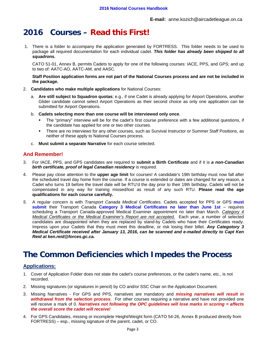# **2016 Courses – Read this First!**

1. There is a folder to accompany the application generated by FORTRESS. This folder needs to be used to package all required documentation for each individual cadet. *This folder has already been shipped to all squadrons.*

CATO 51-01, Annex B, permits Cadets to apply for one of the following courses: IACE, PPS, and GPS; and up to two of: AATC-AO, AATC-AM, and AASC.

#### **Staff Position application forms are not part of the National Courses process and are not be included in the package.**

- 2. **Candidates who make multiple applications** for National Courses:
	- a. **Are still subject to Squadron quotas**; e.g., if one Cadet is already applying for Airport Operations, another Glider candidate cannot select Airport Operations as their second choice as only one application can be submitted for Airport Operations.
	- b. **Cadets selecting more than one course will be interviewed only once**.
		- The "primary" interview will be for the cadet's first course preference with a few additional questions, if the candidate has applied for one or two other courses.
		- There are no interviews for any other courses, such as Survival Instructor or Summer Staff Positions, as neither of these apply to National Courses process.
	- c. **Must submit a separate Narrative** for each course selected.

### **And Remember!**

- 3. For IACE, PPS, and GPS candidates are required to **submit a Birth Certificate** and if it is *a non-Canadian birth certificate, proof of legal Canadian residency* is required.
- 4. Please pay close attention to the **upper age limit** for courses! A candidate's 19th birthday must now fall after the scheduled travel day home from the course. If a course is extended or dates are changed for any reason, a Cadet who turns 19 before the travel date will be RTU'd the day prior to their 19th birthday. Cadets will not be compensated in any way for training missed/lost as result of any such RTU. **Please read the age qualifications for each course carefully.**
- *5.* A regular concern is with *Transport Canada Medical Certificates.* Cadets accepted for PPS or GPS **must**  submit their Transport Canada Category 3 Medical Certificates no later than June 1st - requires scheduling a Transport Canada-approved Medical Examiner appointment no later than March. *Category 4 Medical Certificates or the Medical Examiner's Report are not accepted.* Each year, a number of selected candidates are disappointed when they are replaced by stand-by Cadets who have their Certificates ready. Impress upon your Cadets that they must meet this deadline, or risk losing their billet. *Any Categotory 3 Medical Certificate received after January 13, 2016, can be scanned and e-mailed directly to Capt Ken Reid at ken.reid@forces.gc.ca.*

# **The Common Deficiencies which Impedes the Process**

### **Applications:**

- 1. Cover of Application Folder does not state the cadet's course preferences, or the cadet's name, etc., is not recorded.
- 2. Missing signatures (or signatures in pencil) by CO and/or SSC Chair on the Application Document.
- 3. Missing Narratives For GPS and PPS, narratives are mandatory and *missing narratives will result in withdrawal from the selection process*. For other courses requiring a narrative and have not provided one will receive a mark of 0. *Narratives not following the OPC guidelines will lose marks in scoring = affects the overall score the cadet will receive!*
- 4. For GPS Candidates, missing or incomplete Height/Weight form (CATO 54-26, Annex B produced directly from FORTRESS) – esp., missing signature of the parent, cadet, or CO.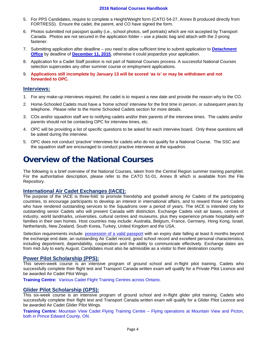#### **2016 National Courses Handbook**

- 5. For PPS Candidates, require to complete a Height/Weight form (CATO 54-27, Annex B produced directly from FORTRESS). Ensure the cadet, the parent, and CO have signed the form.
- 6. Photos submitted not passport quality (i.e., school photos, self portraits) which are not accepted by Transport Canada. Photos are not secured in the application folder – use a plastic bag and attach with the 2-prong fastener.
- 7. Submitting application after deadline you need to allow sufficient time to submit application to **Detachment Office** by deadline of **December 11, 2015**, otherwise it could jeopardize your application.
- 8. Application for a Cadet Staff position is not part of National Courses process. A successful National Courses selection supercedes any other summer course or employment applications.
- 9. **Applications still incomplete by January 13 will be scored 'as is' or may be withdrawn and not forwarded to OPC.**

#### **Interviews:**

- 1. For any make-up interviews required, the cadet is to request a new date and provide the reason why to the CO.
- 2. Home-Schooled Cadets must have a 'home school' interview for the first time in person, or subsequent years by telephone. Please refer to the Home Schooled Cadets section for more details.
- 3. COs and/or squadron staff are to notifying cadets and/or their parents of the interview times. The cadets and/or parents should not be contacting OPC for interview times, etc.
- 4. OPC will be providing a list of specific questions to be asked for each interview board. Only these questions will be asked during the interview.
- 5. OPC does not conduct 'practive' interviews for cadets who do not qualify for a National Course. The SSC and the squadron staff are encouraged to conduct practive interviews at the squadron.

# **Overview of the National Courses**

The following is a brief overview of the National Courses, taken from the Central Region summer training pamphlet. For the authoritative description, please refer to the CATO 51-01, Annex B which is available from the File Repository.

#### **International Air Cadet Exchanges (IACE):**

The purpose of the IACE is three-fold: to promote friendship and goodwill among Air Cadets of the participating countries, to encourage participants to develop an interest in international affairs, and to reward those Air Cadets who have rendered outstanding services to the Squadrons over a period of years. The IACE is intended only for outstanding senior Cadets who will present Canada with distinction. Exchange Cadets visit air bases, centres of industry, world landmarks, universities, cultural centres and museums, plus they experience private hospitality with families in their own homes. Host countries may include: Australia, Belgium, France, Germany, Hong Kong, Israel, Netherlands, New Zealand, South Korea, Turkey, United Kingdom and the USA.

Selection requirements include: possession of a valid passport with an expiry date falling at least 6 months beyond the exchange end date, an outstanding Air Cadet record, good school record and excellent personal characteristics, including deportment, dependability, cooperation and the ability to communicate effectively. Exchange dates are from mid-July to early August. Candidates must also be admissible as a visitor to their destination country.

#### **Power Pilot Scholarship (PPS):**

This seven-week course is an intensive program of ground school and in-flight pilot training. Cadets who successfully complete their flight test and Transport Canada written exam will qualify for a Private Pilot Licence and be awarded Air Cadet Pilot Wings.

**Training Centre:** Various Cadet Flight Training Centres across Ontario.

#### **Glider Pilot Scholarship (GPS):**

This six-week course is an intensive program of ground school and in-flight glider pilot training. Cadets who successfully complete their flight test and Transport Canada written exam will qualify for a Glider Pilot Licence and be awarded Air Cadet Glider Pilot Wings.

**Training Centre:** Mountain View Cadet Flying Training Centre – Flying operations at Mountain View and Picton, both in Prince Edward County, ON.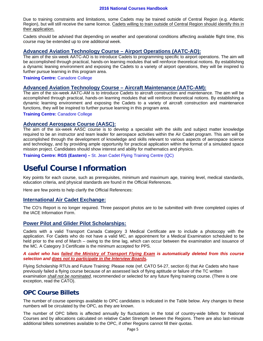Due to training constraints and limitations, some Cadets may be trained outside of Central Region (e.g. Atlantic Region), but will still receive the same licence. Cadets willing to train outside of Central Region should identify this in their application.

Cadets should be advised that depending on weather and operational conditions affecting available flight time, this course may be extended up to one additional week.

#### **Advanced Aviation Technology Course – Airport Operations (AATC-AO):**

The aim of the six-week AATC-AO is to introduce Cadets to programming specific to airport operations. The aim will be accomplished through practical, hands-on learning modules that will reinforce theoretical notions. By establishing a dynamic leaning environment and exposing the Cadets to a variety of airport operations, they will be inspired to further pursue learning in this program area.

#### **Training Centre:** Canadore College

#### **Advanced Aviation Technology Course – Aircraft Maintenance (AATC-AM):**

The aim of the six-week AATC-AM is to introduce Cadets to aircraft construction and maintenance. The aim will be accomplished through practical, hands-on learning modules that will reinforce theoretical notions. By establishing a dynamic learning environment and exposing the Cadets to a variety of aircraft construction and maintenance functions, they will be inspired to further pursue learning in this program area.

**Training Centre:** Canadore College

#### **Advanced Aerospace Course (AASC):**

The aim of the six-week AASC course is to develop a specialist with the skills and subject matter knowledge required to be an instructor and team leader for aerospace activities within the Air Cadet program. This aim will be accomplished through the development of knowledge and skills relevant to various aspects of aerospace science and technology, and by providing ample opportunity for practical application within the format of a simulated space mission project. Candidates should show interest and ability for mathematics and physics.

**Training Centre: RGS (Eastern) –** St. Jean Cadet Flying Training Centre (QC)

# **Useful Course Information**

Key points for each course, such as prerequisites, minimum and maximum age, training level, medical standards, education criteria, and physical standards are found in the Official References.

Here are few points to help clarify the Official References:

#### **International Air Cadet Exchange:**

The CO's Report is no longer required. Three passport photos are to be submitted with three completed copies of the IACE Information Form.

#### **Power Pilot and Glider Pilot Scholarships:**

Cadets with a valid Transport Canada Category 3 Medical Certificate are to include a photocopy with the application. For Cadets who do not have a valid MC, an appointment for a Medical Examination scheduled to be held prior to the end of March – owing to the time lag, which can occur between the examination and issuance of the MC. A Category 3 Certificate is the minimum accepted for PPS.

#### *A cadet who has failed the Ministry of Transport Flying Exam is automatically deleted from this course selection and does not to participate in the Interview Boards.*

Flying Scholarship RTUs and Future Training: Please note (ref. CATO 54-27, section 6) that Air Cadets who have previously failed a flying course because of an assessed lack of flying aptitude or failure of the TC written examination *shall not be nominated*, recommended or selected for any future flying training course. (There is one exception, read the CATO).

# **OPC Course Billets**

The number of course openings available to OPC candidates is indicated in the Table below. Any changes to these numbers will be circulated by the OPC, as they are known.

The number of OPC billets is affected annually by fluctuations in the total of country-wide billets for National Courses and by allocations calculated on relative Cadet Strength between the Regions. There are also last-minute additional billets sometimes available to the OPC, if other Regions cannot fill their quotas.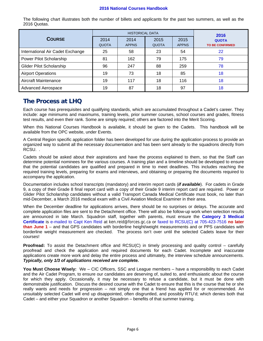#### **2016 National Courses Handbook**

The following chart illustrates both the number of billets and applicants for the past two summers, as well as the 2016 Quotas.

|                                  | <b>HISTORICAL DATA</b> |                      |                      |                      | 2016                                   |  |
|----------------------------------|------------------------|----------------------|----------------------|----------------------|----------------------------------------|--|
| <b>COURSE</b>                    | 2014<br><b>QUOTA</b>   | 2014<br><b>APPNS</b> | 2015<br><b>QUOTA</b> | 2015<br><b>APPNS</b> | <b>QUOTA</b><br><b>TO BE CONFIRMED</b> |  |
| International Air Cadet Exchange | 25                     | 58                   | 23                   | 54                   | 22                                     |  |
| Power Pilot Scholarship          | 81                     | 162                  | 79                   | 175                  | 79                                     |  |
| <b>Glider Pilot Scholarship</b>  | 96                     | 247                  | 88                   | 259                  | 78                                     |  |
| <b>Airport Operations</b>        | 19                     | 73                   | 18                   | 85                   | 18                                     |  |
| Aircraft Maintenance             | 19                     | 117                  | 18                   | 116                  | 18                                     |  |
| Advanced Aerospace               | 19                     | 87                   | 18                   | 97                   | 18                                     |  |

# **The Process at LHQ**

Each course has prerequisites and qualifying standards, which are accumulated throughout a Cadet's career. They include: age minimums and maximums, training levels, prior summer courses, school courses and grades, fitness test results, and even their rank. Some are simply required; others are factored into the Merit Scoring.

When this National Courses Handbook is available, it should be given to the Cadets. This handbook will be available from the OPC website, under Events.

A Central Region specific application folder has been developed for use during the application process to provide an organized way to submit all the necessary documentation and has been sent already to the squadrons directly from RCSU. .

Cadets should be asked about their aspirations and have the process explained to them, so that the Staff can determine potential nominees for the various courses. A training plan and a timeline should be developed to ensure that the potential candidates are qualified and prepared in time to meet deadlines. This includes reaching the required training levels, preparing for exams and interviews, and obtaining or preparing the documents required to accompany the application.

Documentation includes school transcripts (mandatory) and interim report cards (*if available*). For cadets in Grade 9, a copy of their Grade 8 final report card with a copy of their Grade 9 interim report card are required. Power or Glider Pilot Scholarship candidates without a valid Transport Canada Medical Certificate must book, no later than mid-December, a March 2016 medical exam with a Civil Aviation Medical Examiner in their area.

When the December deadline for applications arrives, there should be no surprises or delays. The accurate and complete application files are sent to the Detachment office. There will also be follow-up work when selection results are announced in late March. Squadron staff, together with parents, must ensure the **Category 3 Medical Certificate** is e-mailed to Capt Ken Reid at ken.reid@forces.gc.ca or faxed to RCSU(C) at 705-423-7516 **no later than June 1** – and that GPS candidates with borderline height/weight measurements and or PPS candidates with borderline weight measurement are checked. The process isn't over until the selected Cadets leave for their courses!

**Proofread:** To assist the Detachment office and RCSU(C) in timely processing and quality control – carefully proofread and check the application and required documents for each Cadet. Incomplete and inaccurate applications create more work and delay the entire process and ultimately, the interview schedule announcements. *Typically, only 1/3 of applications received are complete.*

**You Must Choose Wisely:** We – CIC Officers, SSC and League members – have a responsibility to each Cadet and the Air Cadet Program, to ensure our candidates are deserving of, suited to, and enthusiastic about the course for which they apply. Occasionally, it may be necessary to refuse a candidate, but it must be done with demonstrable justification. Discuss the desired course with the Cadet to ensure that this is the course that he or she really wants and needs for progression – not simply one that a friend has applied for or recommended. An unsuitably selected Cadet will end up disappointed, often disgruntled, and possibly RTU'd; which denies both that Cadet – and either your Squadron or another Squadron – benefits of that summer training.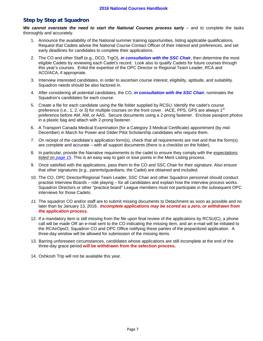## **Step by Step at Squadron**

We cannot overstate the need to start the National Courses process early – and to complete the tasks thoroughly and accurately.

- 1. Announce the availability of the National summer training opportunities, listing applicable qualifications. Request that Cadets advise the National Course Contact Officer of their interest and preferences, and set early deadlines for candidates to complete their applications.
- 2. The CO and other Staff (e.g., DCO, TrgO), *in consultation with the SSC Chai***r**, then determine the most eligible Cadets by reviewing each Cadet's record. Look also to qualify Cadets for future courses through this year's courses. Enlist the expertise of the OPC Director or Regional Team Leader, RCA and ACO/ACA, if appropriate.
- 3. Interview interested candidates, in order to ascertain course interest, eligibility, aptitude, and suitability. Squadron needs should be also factored in.
- 4. After considering all potential candidates, the CO, *in consultation with the SSC Chair*, nominates the Squadron's candidates for each course.
- 5. Create a file for each candidate using the file folder supplied by RCSU. Identify the cadet's course preference (i.e., 1, 2, or 3) for multiple courses on the front cover. IACE, PPS, GPS are always 1<sup>st</sup> preference before AM, AM, or AAS. Secure documents using a 2-prong fastener. Enclose passport photos in a plastic bag and attach with 2-prong fastener.
- 6. A Transport Canada Medical Examination (for a Category 3 Medical Certificate) appointment (by mid-December) in March for Power and Glider Pilot Scholarship candidates who require them.
- 7. On receipt of the candidate's application form(s), check that all requirements are met and that the form(s) are complete and accurate – with all support documents (there is a checklist on the folder).
- 8. In particular, provide the Narrative requirements to the cadet to ensure they comply with the *expectations listed on page 15*. This is an easy way to gain or lose points in the Merit Listing process.
- 9. Once satisfied with the applications, pass them to the CO and SSC Chair for their signature. Also ensure that other signatures (e.g., parents/guardians, the Cadet) are obtained and included.
- 10. The CO, OPC Director/Regional Team Leader, SSC Chair and other Squadron personnel should conduct practise Interview Boards – role playing – for all candidates and explain how the interview process works. Squadron Directors or other "practice board" League members must not participate in the subsequent OPC interviews for those Cadets.
- *11.* The squadron CO and/or staff are to submit missing documents to Detachment as soon as possible and no later than by January 13, 2016. *Incomplete applications may be scored as a zero, or withdrawn from the application process.*
- 12. If a mandatory item is still missing from the file upon final review of the applications by RCSU(C), a phone call will be made OR an e-mail sent to the CO indicating the missing item, and an e-mail will be initiated to the RCAirOpsO, Squadron CO and OPC Office notifying these parties of the jeopardized application. A three-day window will be allowed for submission of the missing items.
- 13. Barring unforeseen circumstances, candidates whose applications are still incomplete at the end of the three-day grace period **will be withdrawn from the selection process.**
- 14. Oshkosh Trip will not be available this year.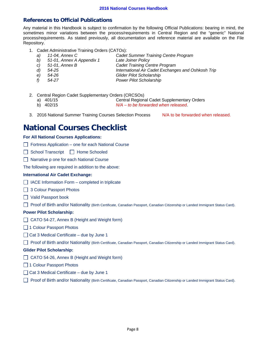## **References to Official Publications**

Any material in this Handbook is subject to confirmation by the following Official Publications: bearing in mind, the sometimes minor variations between the process/requirements in Central Region and the "generic" National process/requirements. As stated previously, all documentation and reference material are available on the File Repository.

- 1. Cadet Administrative Training Orders (CATOs):
	- *a) 11-04, Annex C Cadet Summer Training Centre Program*
	- *b) 51-01, Annex A Appendix 1 Late Joiner Policy*
	-
	-
	- *c) 51-01, Annex B Cadet Training Centre Program*
	-
	-
	- *d) 54-25 International Air Cadet Exchanges and Oshkosh Trip e) 54-26 Glider Pilot Scholarship*
	- *f) 54-27 Power Pilot Scholarship*
- 2. Central Region Cadet Supplementary Orders (CRCSOs)
	-

a) 401/15 Central Regional Cadet Supplementary Orders

- b) 402/15 *N/A to be forwarded when released*.
- 3. 2016 National Summer Training Courses Selection Process N/A to be forwarded when released.

# **National Courses Checklist**

#### **For All National Courses Applications:**

- $\Box$  Fortress Application one for each National Course
- School Transcript | Home Schooled
- □ Narrative p one for each National Course

The following are required in addition to the above:

#### **International Air Cadet Exchange:**

- $\Box$  IACE Information Form completed in triplicate
- □ 3 Colour Passport Photos
- Valid Passport book
- Proof of Birth and/or Nationality (Birth Certificate, Canadian Passport, Canadian Citizenship or Landed Immigrant Status Card).

#### **Power Pilot Scholarship:**

- ◯ CATO 54-27, Annex B (Height and Weight form)
- □ 1 Colour Passport Photos
- $\Box$  Cat 3 Medical Certificate due by June 1
- Proof of Birth and/or Nationality (Birth Certificate, Canadian Passport, Canadian Citizenship or Landed Immigrant Status Card).

#### **Glider Pilot Scholarship:**

- □ CATO 54-26, Annex B (Height and Weight form)
- □ 1 Colour Passport Photos
- $\Box$  Cat 3 Medical Certificate due by June 1
- Proof of Birth and/or Nationality (Birth Certificate, Canadian Passport, Canadian Citizenship or Landed Immigrant Status Card).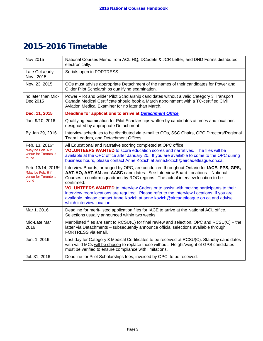# **2015-2016 Timetable**

| Nov 2015                                                                | National Courses Memo from ACL HQ, DCadets & JCR Letter, and DND Forms distributed<br>electronically.                                                                                                                                                                                                                                                                                                                                                                                                                                                                                       |
|-------------------------------------------------------------------------|---------------------------------------------------------------------------------------------------------------------------------------------------------------------------------------------------------------------------------------------------------------------------------------------------------------------------------------------------------------------------------------------------------------------------------------------------------------------------------------------------------------------------------------------------------------------------------------------|
| Late Oct./early<br>Nov. 2015                                            | Serials open in FORTRESS.                                                                                                                                                                                                                                                                                                                                                                                                                                                                                                                                                                   |
| Nov. 23, 2015                                                           | COs must advise appropriate Detachment of the names of their candidates for Power and<br>Glider Pilot Scholarships qualifying examination.                                                                                                                                                                                                                                                                                                                                                                                                                                                  |
| no later than Mid-<br>Dec 2015                                          | Power Pilot and Glider Pilot Scholarship candidates without a valid Category 3 Transport<br>Canada Medical Certificate should book a March appointment with a TC-certified Civil<br>Aviation Medical Examiner for no later than March.                                                                                                                                                                                                                                                                                                                                                      |
| Dec. 11, 2015                                                           | Deadline for applications to arrive at Detachment Office.                                                                                                                                                                                                                                                                                                                                                                                                                                                                                                                                   |
| Jan 9/10, 2016                                                          | Qualifying examination for Pilot Scholarships written by candidates at times and locations<br>designated by appropriate Detachment.                                                                                                                                                                                                                                                                                                                                                                                                                                                         |
| By Jan.29, 2016                                                         | Interview schedules to be distributed via e-mail to COs, SSC Chairs, OPC Directors/Regional<br>Team Leaders, and Detachment Offices.                                                                                                                                                                                                                                                                                                                                                                                                                                                        |
| Feb. 13, 2016*<br>*May be Feb. 6 if<br>venue for Toronto is<br>found    | All Educational and Narrative scoring completed at OPC office.<br><b>VOLUNTEERS WANTED</b> to score education scores and narratives. The files will be<br>available at the OPC office after January 20. If you are available to come to the OPC during<br>business hours, please contact Anne Kozich at anne. kozich@aircadetleague.on.ca.                                                                                                                                                                                                                                                  |
| Feb. 13/14, 2016*<br>*May be Feb. 6 if<br>venue for Toronto is<br>found | Interview Boards, arranged by OPC, are conducted throughout Ontario for IACE, PPS, GPS,<br>AAT-AO, AAT-AM and AASC candidates. See Interview Board Locations - National<br>Courses to confirm squadrons by ROC regions. The actual interview location to be<br>confirmed.<br><b>VOLUNTEERS WANTED</b> to Interview Cadets or to assist with moving participants to their<br>interview room locations are required. Please refer to the Interview Locations. If you are<br>available, please contact Anne Kozich at anne.kozich@aircadetleague.on.ca and advise<br>which interview location. |
| Mar 1, 2016                                                             | Deadline for merit-listed application files for IACE to arrive at the National ACL office.<br>Selections usually announced within two weeks.                                                                                                                                                                                                                                                                                                                                                                                                                                                |
| Mid-Late Mar<br>2016                                                    | Merit-listed files are sent to $RCSU(C)$ for final review and selection. OPC and $RCSU(C)$ – the<br>latter via Detachments - subsequently announce official selections available through<br>FORTRESS via email.                                                                                                                                                                                                                                                                                                                                                                             |
| Jun. 1, 2016                                                            | Last day for Category 3 Medical Certificates to be received at RCSU(C). Standby candidates<br>with valid MCs will be chosen to replace those without. Height/weight of GPS candidates<br>must be verified to ensure compliance with limitations.                                                                                                                                                                                                                                                                                                                                            |
| Jul. 31, 2016                                                           | Deadline for Pilot Scholarships fees, invoiced by OPC, to be received.                                                                                                                                                                                                                                                                                                                                                                                                                                                                                                                      |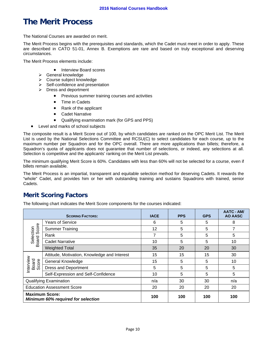# **The Merit Process**

The National Courses are awarded on merit.

The Merit Process begins with the prerequisites and standards, which the Cadet must meet in order to apply. These are described in CATO 51-01, Annex B. Exemptions are rare and based on truly exceptional and deserving circumstances.

The Merit Process elements include:

- Interview Board scores
- $\triangleright$  General knowledge
- > Course subject knowledge
- $\triangleright$  Self-confidence and presentation
- $\triangleright$  Dress and deportment
	- Previous summer training courses and activities
	- Time in Cadets
	- Rank of the applicant
	- Cadet Narrative
	- Qualifying examination mark (for GPS and PPS)
- Level and marks of school subjects

The composite result is a Merit Score out of 100, by which candidates are ranked on the OPC Merit List. The Merit List is used by the National Selections Committee and RCSU(C) to select candidates for each course, up to the maximum number per Squadron and for the OPC overall. There are more applications than billets; therefore, a Squadron's quota of applicants does not guarantee that number of selections, or indeed, any selections at all. Selection is competitive and the applicants' ranking on the Merit List prevails.

The minimum qualifying Merit Score is 60%. Candidates with less than 60% will not be selected for a course, even if billets remain available.

The Merit Process is an impartial, transparent and equitable selection method for deserving Cadets. It rewards the "whole" Cadet, and provides him or her with outstanding training and sustains Squadrons with trained, senior Cadets.

# **Merit Scoring Factors**

The following chart indicates the Merit Score components for the courses indicated:

| <b>SCORING FACTORS:</b>                                     |                                              | <b>IACE</b> | <b>PPS</b> | <b>GPS</b> | <b>AATC - AM/</b><br>AO AASC |
|-------------------------------------------------------------|----------------------------------------------|-------------|------------|------------|------------------------------|
|                                                             | <b>Years of Service</b>                      | 6           | 5          | 5          | 8                            |
| Score                                                       | <b>Summer Training</b>                       | 12          | 5          | 5          | 7                            |
| Selection                                                   | Rank                                         | 7           | 5          | 5          | 5                            |
| <b>Board</b>                                                | <b>Cadet Narrative</b>                       | 10          | 5          | 5          | 10                           |
| <b>Weighted Total</b>                                       |                                              | 35          | 20         | 20         | 30                           |
|                                                             | Attitude, Motivation, Knowledge and Interest | 15          | 15         | 15         | 30                           |
| Interview<br>Board<br>Score                                 | <b>General Knowledge</b>                     |             | 5          | 5          | 10                           |
|                                                             | <b>Dress and Deportment</b>                  | 5           | 5          | 5          | 5                            |
|                                                             | Self-Expression and Self-Confidence          | 10          | 5          | 5          | 5                            |
|                                                             | <b>Qualifying Examination</b>                | n/a         | 30         | 30         | n/a                          |
| <b>Education Assessment Score</b>                           |                                              | 20          | 20         | 20         | 20                           |
| <b>Maximum Score:</b><br>Minimum 60% required for selection |                                              | 100         | 100        | 100        | 100                          |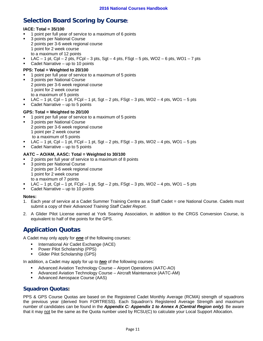# **Selection Board Scoring by Course:**

#### **IACE: Total = 35/100**

- **1** point per full year of service to a maximum of 6 points
- 3 points per National Course 2 points per 3-6 week regional course 1 point for 2 week course to a maximum of 12 points
- LAC  $-$  1 pt, Cpl  $-$  2 pts, FCpl  $-$  3 pts, Sgt  $-$  4 pts, FSgt  $-$  5 pts, WO2  $-$  6 pts, WO1  $-$  7 pts
- Cadet Narrative up to 10 points

#### **PPS: Total = Weighted to 20/100**

- 1 point per full year of service to a maximum of 5 points
- 3 points per National Course 2 points per 3-6 week regional course 1 point for 2 week course to a maximum of 5 points
- LAC 1 pt, Cpl 1 pt, FCpl 1 pt, Sgt 2 pts, FSgt 3 pts, WO2 4 pts, WO1 5 pts
- Cadet Narrative up to 5 points

#### **GPS: Total = Weighted to 20/100**

- 1 point per full year of service to a maximum of 5 points
- 3 points per National Course 2 points per 3-6 week regional course 1 point per 2 week course to a maximum of 5 points
- LAC 1 pt, Cpl 1 pt, FCpl 1 pt, Sgt 2 pts, FSgt 3 pts, WO2 4 pts, WO1 5 pts
- Cadet Narrative up to 5 points

#### **AATC – AO/AM, AASC: Total = Weighted to 30/100**

- 2 points per full year of service to a maximum of 8 points
- 3 points per National Course 2 points per 3-6 week regional course 1 point for 2 week course to a maximum of 7 points
- LAC  $-$  1 pt, Cpl  $-$  1 pt, FCpl  $-$  1 pt, Sgt  $-$  2 pts, FSgt  $-$  3 pts, WO2  $-$  4 pts, WO1  $-$  5 pts
- Cadet Narrative up to 10 points

#### **Notes:**

- 1. Each year of service at a Cadet Summer Training Centre as a Staff Cadet = one National Course. Cadets must submit a copy of their *Advanced Training Staff Cadet Report*.
- 2. A Glider Pilot License earned at York Soaring Association, in addition to the CRGS Conversion Course, is equivalent to half of the points for the GPS.

# **Application Quotas**

A Cadet may only apply for *one* of the following courses:

- **International Air Cadet Exchange (IACE)**
- Power Pilot Scholarship (PPS)
- Glider Pilot Scholarship (GPS)

In addition, a Cadet may apply for up to *two* of the following courses:

- Advanced Aviation Technology Course Airport Operations (AATC-AO)
- Advanced Aviation Technology Course Aircraft Maintenance (AATC-AM)
- Advanced Aerospace Course (AAS)

### **Squadron Quotas:**

PPS & GPS Course Quotas are based on the Registered Cadet Monthly Average (RCMA) strength of squadrons the previous year (derived from FORTRESS). Each Squadron's Registered Average Strength and maximum number of candidates can be found in the *Appendix C: Appendix 1 to Annex A (Central Region only)*. Be aware that it may not be the same as the Quota number used by RCSU(C) to calculate your Local Support Allocation.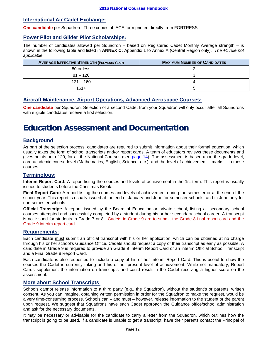### **International Air Cadet Exchange:**

**One candidate** per Squadron. Three copies of IACE form printed directly from FORTRESS.

### **Power Pilot and Glider Pilot Scholarships:**

The number of candidates allowed per Squadron – based on Registered Cadet Monthly Average strength – is shown in the following table and listed in **ANNEX C:** Appendix 1 to Annex A (Central Region only). *The +1 rule not applicable.* 

| <b>AVERAGE EFFECTIVE STRENGTH (PREVIOUS YEAR)</b> | <b>MAXIMUM NUMBER OF CANDIDATES</b> |
|---------------------------------------------------|-------------------------------------|
| 80 or less                                        |                                     |
| $81 - 120$                                        |                                     |
| $121 - 160$                                       |                                     |
| $161+$                                            |                                     |

### **Aircraft Maintenance, Airport Operations, Advanced Aerospace Courses:**

**One candidate** per Squadron. Selection of a second Cadet from your Squadron will only occur after all Squadrons with eligible candidates receive a first selection.

# **Education Assessment and Documentation**

### **Background**:

As part of the selection process, candidates are required to submit information about their formal education, which usually takes the form of school transcripts and/or report cards. A team of educators reviews these documents and gives points out of 20, for all the National Courses (see page 14). The assessment is based upon the grade level, core academic course level (Mathematics, English, Science, etc.), and the level of achievement – marks – in these courses.

### **Terminology**:

**Interim Report Card:** A report listing the courses and levels of achievement in the 1st term. This report is usually issued to students before the Christmas Break.

**Final Report Card:** A report listing the courses and levels of achievement during the semester or at the end of the school year. This report is usually issued at the end of January and June for semester schools, and in June only for non-semester schools.

**Official Transcript:** A report, issued by the Board of Education or private school, listing all secondary school courses attempted and successfully completed by a student during his or her secondary school career. A transcript is not issued for students in Grade 7 or 8. Cadets in Grade 9 are to submit the Grade 8 final report card and the Grade 9 interim report card.

#### **Requirements**:

Each candidate must submit an official transcript with his or her application, which can be obtained at no charge through his or her school's Guidance Office. Cadets should request a copy of their transcript as early as possible. A candidate in Grade 9 is required to provide an Grade 9 Interim Report Card or an interim Official School Transcript and a Final Grade 8 Report Card.

Each candidate is also requested to include a copy of his or her Interim Report Card. This is useful to show the courses the Cadet is currently taking and his or her present level of achievement. While not mandatory, Report Cards supplement the information on transcripts and could result in the Cadet receiving a higher score on the assessment.

#### **More about School Transcripts**:

Schools cannot release information to a third party (e.g., the Squadron), without the student's or parents' written consent. As you can imagine, obtaining written permission in order for the Squadron to make the request, would be a very time-consuming process. Schools can – and must – however, release information to the student or the parent upon request. We suggest that Squadrons have each Cadet approach the Guidance office/school administration and ask for the necessary documents.

It may be necessary or advisable for the candidate to carry a letter from the Squadron, which outlines how the transcript is going to be used. If a candidate is unable to get a transcript, have their parents contact the Principal of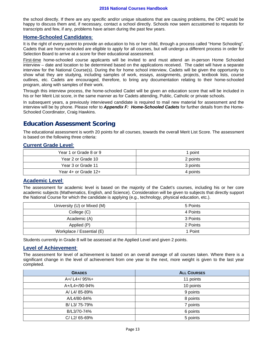#### **2016 National Courses Handbook**

the school directly. If there are any specific and/or unique situations that are causing problems, the OPC would be happy to discuss them and, if necessary, contact a school directly. Schools now seem accustomed to requests for transcripts and few, if any, problems have arisen during the past few years.

### **Home-Schooled Candidates**:

It is the right of every parent to provide an education to his or her child, through a process called "Home Schooling". Cadets that are home-schooled are eligible to apply for all courses, but will undergo a different process in order for Selection Board to arrive at a score for their educational assessment.

First-time home-schooled course applicants will be invited to and must attend an in-person Home Schooled interview – date and location to be determined based on the applications received. The cadet will have a separate interview for the National Course(s). During the for home school interview, Cadets will be given the opportunity to show what they are studying, including samples of work, essays, assignments, projects, textbook lists, course outlines, etc. Cadets are encouraged, therefore, to bring any documentation relating to their home-schooled program, along with samples of their work.

Through this interview process, the home-schooled Cadet will be given an education score that will be included in his or her Merit List score, in the same manner as for Cadets attending, Public, Catholic or private schools.

In subsequent years, a previously interviewed candidate is required to mail new material for assessment and the interview will be by phone. Please refer to *Appendix F: Home-Schooled Cadets* for further details from the Home-Schooled Coordinator, Craig Hawkins.

# **Education Assessment Scoring**

The educational assessment is worth 20 points for all courses, towards the overall Merit List Score. The assessment is based on the following three criteria:

### **Current Grade Level**:

| Year 1 or Grade 8 or 9 | point    |
|------------------------|----------|
| Year 2 or Grade 10     | 2 points |
| Year 3 or Grade 11     | 3 points |
| Year 4+ or Grade 12+   | 4 points |

### **Academic Level**:

The assessment for academic level is based on the majority of the Cadet's courses, including his or her core academic subjects (Mathematics, English, and Science). Consideration will be given to subjects that directly support the National Course for which the candidate is applying (e.g., technology, physical education, etc.).

| University (U) or Mixed (M) | 5 Points |
|-----------------------------|----------|
| College (C)                 | 4 Points |
| Academic (A)                | 3 Points |
| Applied (P)                 | 2 Points |
| Workplace / Essential (E)   | 1 Point  |

Students currently in Grade 8 will be assessed at the Applied Level and given 2 points.

#### **Level of Achievement**:

The assessment for level of achievement is based on an overall average of all courses taken. Where there is a significant change in the level of achievement from one year to the next, more weight is given to the last year completed.

| <b>GRADES</b> | <b>ALL COURSES</b> |
|---------------|--------------------|
| A+/ L4+/ 95%+ | 11 points          |
| A+/L4+/90-94% | 10 points          |
| A/ L4/ 85-89% | 9 points           |
| A/L4/80-84%   | 8 points           |
| B/ L3/ 75-79% | 7 points           |
| B/L3/70-74%   | 6 points           |
| C/L2/65-69%   | 5 points           |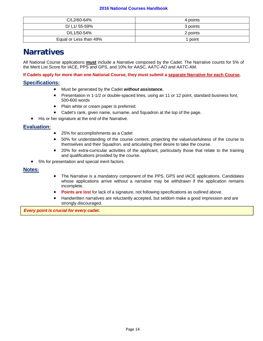#### **2016 National Courses Handbook**

| C/L2/60-64%            | 4 points |
|------------------------|----------|
| D/ L1/ 55-59%          | 3 points |
| D/L1/50-54%            | 2 points |
| Equal or Less than 49% | 1 point  |

# **Narratives**

All National Course applications **must** include a Narrative composed by the Cadet. The Narrative counts for 5% of the Merit List Score for IACE, PPS and GPS, and 10% for AASC, AATC-AO and AATC-AM.

**If Cadets apply for more than one National Course, they must submit a separate Narrative for each Course.** 

## **Specifications:**

- Must be generated by the Cadet *without assistance***.**
- Presentation in 1-1/2 or double-spaced lines, using an 11 or 12 point, standard business font, 500-600 words
- Plain white or cream paper is preferred.
- Cadet's rank, given name, surname, and Squadron at the top of the page.
- His or her signature at the end of the Narrative.

## **Evaluation:**

- 25% for accomplishments as a Cadet
- 50% for understanding of the course content, projecting the value/usefulness of the course to themselves and their Squadron, and articulating their desire to take the course.
- 20% for extra-curricular activities of the applicant, particularly those that relate to the training and qualifications provided by the course.
- 5% for presentation and special merit factors.

### **Notes:**

- The Narrative is a mandatory component of the PPS, GPS and IACE applications. Candidates whose applications arrive without a narrative may be withdrawn if the application remains incomplete.
- **Points are lost** for lack of a signature, not following specifications as outlined above.
- Handwritten narratives are reluctantly accepted, but seldom make a good impression and are strongly discouraged.

*Every point is crucial for every cadet.*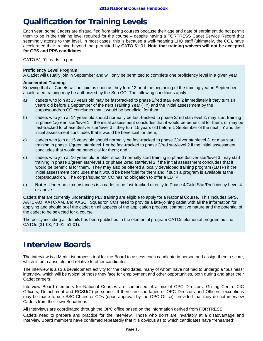# **Qualification for Training Levels**

Each year, some Cadets are disqualified from taking courses because their age and date of enrolment do not permit them to be in the training level required for the course – despite having a FORTRESS Cadet Service Record that seemingly attests to that level. In most cases, this is because a well-meaning LHQ staff (ultimately, the CO), have accelerated their training beyond that permitted by CATO 51-01. **Note that training waivers will not be accepted for GPS and PPS candidates.**

CATO 51-01 reads, in part:

#### **Proficiency Level Program**

A Cadet will usually join in September and will only be permitted to complete one proficiency level in a given year.

#### **Accelerated Training**

Knowing that all Cadets will not join as soon as they turn 12 or at the beginning of the training year in September, accelerated training may be authorized by the Sqn CO. The following conditions apply:

- a) cadets who join at 13 years old may be fast-tracked to phase 2/red star/level 2 immediately if they turn 14 years old before 1 September of the next Training Year (TY) and the initial assessment by the corps/squadron CO concludes that it would be beneficial for them;
- b) cadets who join at 14 years old should normally be fast-tracked to phase 2/red star/level 2, may start training in phase 1/green star/level 1 if the initial assessment concludes that it would be beneficial for them, or may be fast-tracked to phase 3/silver star/level 3 if they turn 15 years old before 1 September of the next TY and the initial assessment concludes that it would be beneficial for them;
- c) cadets who join at 15 years old should normally be fast-tracked to phase 3/silver star/level 3, or may start training in phase 1/green star/level 1 or be fast-tracked to phase 2/red star/level 2 if the initial assessment concludes that would be beneficial for them; and
- d) cadets who join at 16 years old or older should normally start training in phase 3/silver star/level 3, may start training in phase 1/green star/level 1 or phase 2/red star/level 2 if the initial assessment concludes that it would be beneficial for them. They may also be offered a locally developed training program (LDTP) if the initial assessment concludes that it would be beneficial for them and if such a program is available at the corps/squadron. The corps/squadron CO has no obligation to offer a LDTP.
- e) **Note:** Under no circumstances is a cadet to be fast-tracked directly to Phase 4/Gold Star/Proficiency Level 4 or above.

Cadets that are currently undertaking PL3 training are eligible to apply for a National Course. This includes GPS, AATC-AO, AATC-AM, and AASC. Squadron COs need to provide a late-joining cadet with all the information for applying and should brief the cadet on all aspects of the application process, competitive nature and the potential of the cadet to be selected for a course.

The policy including all details has been published in the elemental program CATOs elemental program outline CATOs (31-03, 40-01, 51-01).

# **Interview Boards**

The interview is a Merit List process tool for the Board to assess each candidate in person and assign them a score, which is both absolute and relative to other candidates.

The interview is also a development activity for the candidates, many of whom have not had to undergo a "business" interview, which will be typical of those they face for employment and other opportunities, both during and after their Cadet careers.

Interview Board members for National Courses are comprised of a mix of OPC Directors, Gliding Centre CIC Officers, Detachment and RCSU(C) personnel. If there are shortages of OPC Directors and Officers, exceptions may be made to use SSC Chairs or COs (upon approval by the OPC Office), provided that they do not interview Cadets from their own Squadrons.

All Interviews are coordinated through the OPC office based on the information derived from FORTRESS.

Cadets need to prepare and practice for the interview. Those who don't are invariably at a disadvantage and Interview Board members have confirmed repeatedly that it is obvious as to which candidates have "rehearsed".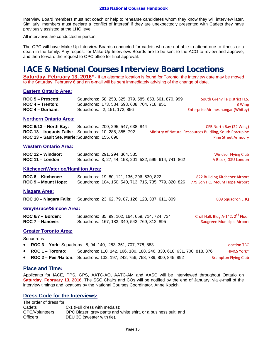Interview Board members must not coach or help to rehearse candidates whom they know they will interview later. Similarly, members must declare a 'conflict of interest' if they are unexpectedly presented with Cadets they have previously assisted at the LHQ level.

All interviews are conducted in person.

The OPC will have Make-Up Interview Boards conducted for cadets who are not able to attend due to illness or a death in the family. Any request for Make-Up Interviews Boards are to be sent to the ACO to review and approve, and then forward the request to OPC office for final approval.

# **IACE & National Courses Interview Board Locations**

**Saturday, February 13, 2016**<sup>\*</sup> - If an alternate location is found for Toronto, the interview date may be moved to the Saturday, February 6 and an e-mail will be sent immediately advising of the change of date.

#### **Eastern Ontario Area:**

| $ROC 5 - Prescott$ : | Squadrons: 58, 253, 325, 379, 585, 653, 661, 870, 999 | South Grenville District H.S.              |
|----------------------|-------------------------------------------------------|--------------------------------------------|
| ROC 4 – Trenton:     | Squadrons: 173, 534, 598, 608, 704, 718, 851          | 8 Wing                                     |
| ROC 4 – Durham:      | Squadrons: 2, 151, 172, 856                           | <b>Enterprise Airlines hangar (Whitby)</b> |

#### **Northern Ontario Area:**

| ROC 6/13 – North Bay:                                        | Squadrons: 200, 295, 547, 638, 844 | CFB North Bay (22 Wing)                                  |
|--------------------------------------------------------------|------------------------------------|----------------------------------------------------------|
| <b>ROC 13 – Iroquois Falls:</b> Squadrons: 10, 288, 355, 792 |                                    | Ministry of Natural Rescources Buidling, South Porcupine |
| ROC 13 - Sault Ste. Marie: Squadrons: 155, 696               |                                    | <b>Pine Street Armoury</b>                               |

#### **Western Ontario Area:**

| ROC 12 – Windsor: | Squadrons: 291, 294, 364, 535                           | <b>Windsor Flying Club</b> |
|-------------------|---------------------------------------------------------|----------------------------|
| ROC 11 - London:  | Squadrons: 3, 27, 44, 153, 201, 532, 599, 614, 741, 862 | A Block, GSU London        |

### **Kitchener/Waterloo/Hamilton Area:**

| ROC 8 – Kitchener:  | Squadrons: 19, 80, 121, 136, 296, 530, 822             | 822 Building Kitchener Airport |
|---------------------|--------------------------------------------------------|--------------------------------|
| ROC 9 – Mount Hope: | Squadrons: 104, 150, 540, 713, 715, 735, 779, 820, 826 | 779 Sqn HQ, Mount Hope Airport |

#### **Niagara Area:**

**ROC 10 – Niagara Falls:** Squadrons: 23, 62, 79, 87, 126, 128, 337, 611, 809 809 809 Squadron LHQ

#### **Grey/Bruce/Simcoe Area:**

| ROC 6/7 - Borden: | Squadrons: 85, 99, 102, 164, 659, 714, 724, 734 | Croil Hall, Bldg A-142, 2 <sup>nd</sup> Floor |
|-------------------|-------------------------------------------------|-----------------------------------------------|
| ROC 7 - Hanover:  | Squadrons: 167, 183, 340, 543, 769, 812, 895    | <b>Saugreen Municipal Airport</b>             |

#### **Greater Toronto Area:**

Squadrons:

| • ROC 3 - York: Squadrons: 8, 94, 140, 283, 351, 707, 778, 883 | <b>Location TBC</b> |
|----------------------------------------------------------------|---------------------|
|                                                                |                     |

- **ROC 1 Toronto:** Squadrons: 110, 142, 166, 180, 188, 246, 330, 618, 631, 700, 818, 876 HMCS York\*
- **ROC 2 Peel/Halton:** Squadrons: 132, 197, 242, 756, 758, 789, 800, 845, 892 Brampton Flying Club

#### **Place and Time:**

Applicants for IACE, PPS, GPS, AATC-AO, AATC-AM and AASC will be interviewed throughout Ontario on **Saturday, February 13, 2016**. The SSC Chairs and COs will be notified by the end of January, via e-mail of the interview timings and locations by the National Courses Coordinator, Anne Kozich.

### **Dress Code for the Interviews:**

The order of dress for: Cadets C-1 (Full dress with medals); OPC/Volunteers OPC Blazer, grey pants and white shirt, or a business suit; and Officers DEU 3C (sweater with tie).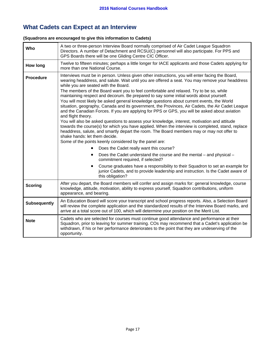# **What Cadets can Expect at an Interview**

## **(Squadrons are encouraged to give this information to Cadets)**

| Who                 | A two or three-person Interview Board normally comprised of Air Cadet League Squadron<br>Directors. A number of Detachment and RCSU(C) personnel will also participate. For PPS and<br>GPS Boards there will be one Gliding Centre CIC Officer.                                                                                                                                                                                                                                                                                                                                                                                                                                                                                                                                                                                                                                                                                                                                                                                                                                                                                                                                                                                                                                                                                                                                                                         |  |  |
|---------------------|-------------------------------------------------------------------------------------------------------------------------------------------------------------------------------------------------------------------------------------------------------------------------------------------------------------------------------------------------------------------------------------------------------------------------------------------------------------------------------------------------------------------------------------------------------------------------------------------------------------------------------------------------------------------------------------------------------------------------------------------------------------------------------------------------------------------------------------------------------------------------------------------------------------------------------------------------------------------------------------------------------------------------------------------------------------------------------------------------------------------------------------------------------------------------------------------------------------------------------------------------------------------------------------------------------------------------------------------------------------------------------------------------------------------------|--|--|
| <b>How long</b>     | Twelve to fifteen minutes; perhaps a little longer for IACE applicants and those Cadets applying for<br>more than one National Course.                                                                                                                                                                                                                                                                                                                                                                                                                                                                                                                                                                                                                                                                                                                                                                                                                                                                                                                                                                                                                                                                                                                                                                                                                                                                                  |  |  |
| <b>Procedure</b>    | Interviews must be in person. Unless given other instructions, you will enter facing the Board,<br>wearing headdress, and salute. Wait until you are offered a seat. You may remove your headdress<br>while you are seated with the Board.<br>The members of the Board want you to feel comfortable and relaxed. Try to be so, while<br>maintaining respect and decorum. Be prepared to say some initial words about yourself.<br>You will most likely be asked general knowledge questions about current events, the World<br>situation, geography, Canada and its government, the Provinces, Air Cadets, the Air Cadet League<br>and the Canadian Forces. If you are applying for PPS or GPS, you will be asked about aviation<br>and flight theory.<br>You will also be asked questions to assess your knowledge, interest, motivation and attitude<br>towards the course(s) for which you have applied. When the interview is completed, stand, replace<br>headdress, salute, and smartly depart the room. The Board members may or may not offer to<br>shake hands: let them decide.<br>Some of the points keenly considered by the panel are:<br>Does the Cadet really want this course?<br>Does the Cadet understand the course and the mental – and physical –<br>$\bullet$<br>commitment required, if selected?<br>Course graduates have a responsibility to their Squadron to set an example for<br>$\bullet$ |  |  |
|                     | junior Cadets, and to provide leadership and instruction. Is the Cadet aware of<br>this obligation?                                                                                                                                                                                                                                                                                                                                                                                                                                                                                                                                                                                                                                                                                                                                                                                                                                                                                                                                                                                                                                                                                                                                                                                                                                                                                                                     |  |  |
| <b>Scoring</b>      | After you depart, the Board members will confer and assign marks for: general knowledge, course<br>knowledge, attitude, motivation, ability to express yourself, Squadron contributions, uniform<br>appearance, and bearing.                                                                                                                                                                                                                                                                                                                                                                                                                                                                                                                                                                                                                                                                                                                                                                                                                                                                                                                                                                                                                                                                                                                                                                                            |  |  |
| <b>Subsequently</b> | An Education Board will score your transcript and school progress reports. Also, a Selection Board<br>will review the complete application and the standardized results of the Interview Board marks, and<br>arrive at a total score out of 100, which will determine your position on the Merit List.                                                                                                                                                                                                                                                                                                                                                                                                                                                                                                                                                                                                                                                                                                                                                                                                                                                                                                                                                                                                                                                                                                                  |  |  |
| <b>Note</b>         | Cadets who are selected for courses must continue good attendance and performance at their<br>Squadron, prior to leaving for summer training. COs may recommend that a Cadet's application be<br>withdrawn, if his or her performance deteriorates to the point that they are undeserving of the<br>opportunity.                                                                                                                                                                                                                                                                                                                                                                                                                                                                                                                                                                                                                                                                                                                                                                                                                                                                                                                                                                                                                                                                                                        |  |  |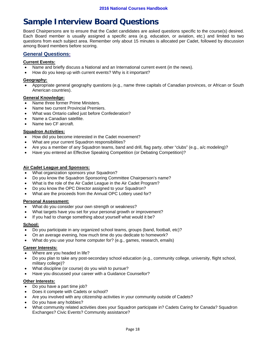# **Sample Interview Board Questions**

Board Chairpersons are to ensure that the Cadet candidates are asked questions specific to the course(s) desired. Each Board member is usually assigned a specific area (e.g. education, or aviation, etc.) and limited to two questions from each subject area. Remember only about 15 minutes is allocated per Cadet, followed by discussion among Board members before scoring.

# **General Questions:**

#### **Current Events:**

- Name and briefly discuss a National and an International current event (in the news).
- How do you keep up with current events? Why is it important?

#### **Geography:**

 Appropriate general geography questions (e.g., name three capitals of Canadian provinces, or African or South American countries).

#### **General Knowledge:**

- Name three former Prime Ministers.
- Name two current Provincial Premiers.
- What was Ontario called just before Confederation?
- Name a Canadian satellite.
- Name two CF aircraft.

#### **Squadron Activities:**

- How did you become interested in the Cadet movement?
- What are your current Squadron responsibilities?
- Are you a member of any Squadron teams, band and drill, flag party, other "clubs" (e.g., a/c modeling)?
- Have you entered an Effective Speaking Competition (or Debating Competition)?

#### **Air Cadet League and Sponsors:**

- What organization sponsors your Squadron?
- Do you know the Squadron Sponsoring Committee Chairperson's name?
- What is the role of the Air Cadet League in the Air Cadet Program?
- Do you know the OPC Director assigned to your Squadron?
- What are the proceeds from the Annual OPC Lottery used for?

#### **Personal Assessment:**

- What do you consider your own strength or weakness?
- What targets have you set for your personal growth or improvement?
- If you had to change something about yourself what would it be?

#### **School:**

- Do you participate in any organized school teams, groups (band, football, etc)?
- On an average evening, how much time do you dedicate to homework?
- What do you use your home computer for? (e.g., games, research, emails)

#### **Career Interests:**

- Where are you headed in life?
- Do you plan to take any post-secondary school education (e.g., community college, university, flight school, military college)?
- What discipline (or course) do you wish to pursue?
- Have you discussed your career with a Guidance Counsellor?

#### **Other Interests:**

- Do you have a part time job?
- Does it compete with Cadets or school?
- Are you involved with any citizenship activities in your community outside of Cadets?
- Do you have any hobbies?
- What community related activities does your Squadron participate in? Cadets Caring for Canada? Squadron Exchanges? Civic Events? Community assistance?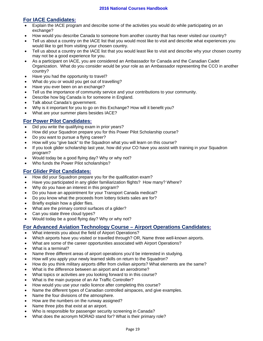# **For IACE Candidates:**

- Explain the IACE program and describe some of the activities you would do while participating on an exchange?
- How would you describe Canada to someone from another country that has never visited our country?
- Tell us about a country on the IACE list that you would most like to visit and describe what experiences you would like to get from visiting your chosen country.
- Tell us about a country on the IACE list that you would least like to visit and describe why your chosen country may not be a good experience for you.
- As a participant on IACE, you are considered an Ambassador for Canada and the Canadian Cadet Organization. What do you consider would be your role as an Ambassador representing the CCO in another country?
- Have you had the opportunity to travel?
- What do you or would you get out of travelling?
- Have you ever been on an exchange?
- Tell us the importance of community service and your contributions to your community.
- Describe how big Canada is for someone in England.
- Talk about Canada's government.
- Why is it important for you to go on this Exchange? How will it benefit you?
- What are your summer plans besides IACE?

### **For Power Pilot Candidates:**

- Did you write the qualifying exam in prior years?
- How did your Squadron prepare you for this Power Pilot Scholarship course?
- Do you want to pursue a flying career?
- How will you "give back" to the Squadron what you will learn on this course?
- If you took glider scholarship last year, how did your CO have you assist with training in your Squadron program?
- Would today be a good flying day? Why or why not?
- Who funds the Power Pilot scholarships?

### **For Glider Pilot Candidates:**

- How did your Squadron prepare you for the qualification exam?
- Have you participated in any glider familiarization flights? How many? Where?
- Why do you have an interest in this program?
- Do you have an appointment for your Transport Canada medical?
- Do you know what the proceeds from lottery tickets sales are for?
- Briefly explain how a glider flies.
- What are the primary control surfaces of a glider?
- Can you state three cloud types?
- Would today be a good flying day? Why or why not?

# **For Advanced Aviation Technology Course – Airport Operations Candidates:**

- What interests you about the field of Airport Operations?
- Which airports have you visited or travelled through? OR, Name three well-known airports.
- What are some of the career opportunities associated with Airport Operations?
- What is a terminal?
- Name three different areas of airport operations you'd be interested in studying.
- How will you apply your newly learned skills on return to the Squadron?
- How do you think military airports differ from civilian airports? What elements are the same?
- What is the difference between an airport and an aerodrome?
- What topics or activities are you looking forward to in this course?
- What is the main purpose of an Air Traffic Controller?
- How would you use your radio licence after completing this course?
- Name the different types of Canadian controlled airspaces, and give examples.
- Name the four divisions of the atmosphere.
- How are the numbers on the runway assigned?
- Name three jobs that exist at an airport.
- Who is responsible for passenger security screening in Canada?
- What does the acronym NORAD stand for? What is their primary role?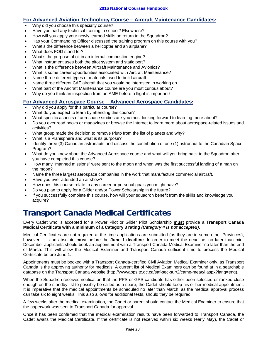## **For Advanced Aviation Technology Course – Aircraft Maintenance Candidates:**

- Why did you choose this specialty course?
- Have you had any technical training in school? Elsewhere?
- How will you apply your newly learned skills on return to the Squadron?
- Has your Commanding Officer discussed the training program on this course with you?
- What's the difference between a helicopter and an airplane?
- What does FOD stand for?
- What's the purpose of oil in an internal combustion engine?
- What instrument uses both the pitot system and static port?
- What is the difference between Aircraft Maintenance and Avionics?
- What is some career opportunities associated with Aircraft Maintenance?
- Name three different types of materials used to build aircraft.
- Name three different CAF aircraft that you would be interested in working on.
- What part of the Aircraft Maintenance course are you most curious about?
- Why do you think an inspection from an AME before a flight is important?

## **For Advanced Aerospace Course – Advanced Aerospace Candidates:**

- Why did you apply for this particular course?
- What do you expect to learn by attending this course?
- What specific aspects of aerospace studies are you most looking forward to learning more about?
- Do you ever read books or magazines or browse the Internet to learn more about aerospace-related issues and activities?
- What group made the decision to remove Pluto from the list of planets and why?
- What is a Planisphere and what is its purpose?
- Identify three (3) Canadian astronauts and discuss the contribution of one (1) astronaut to the Canadian Space Program?
- What do you know about the Advanced Aerospace course and what will you bring back to the Squadron after you have completed this course?
- How many "manned missions" were sent to the moon and when was the first successful landing of a man on the moon?
- Name the three largest aerospace companies in the work that manufacture commercial aircraft.
- Have you ever attended an airshow?
- How does this course relate to any career or personal goals you might have?
- Do you plan to apply for a Glider and/or Power Scholarship in the future?
- If you successfully complete this course, how will your squadron benefit from the skills and knowledge you acquire?

# **Transport Canada Medical Certificates**

Every Cadet who is accepted for a Power Pilot or Glider Pilot Scholarship **must** provide a **Transport Canada Medical Certificate with a minimum of a Category 3 rating** *(Category 4 is not accepted)***.** 

Medical Certificates are not required at the time applications are submitted (as they are in some other Provinces); however, it is an absolute **must** before the **June 1 deadline**. In order to meet the deadline, no later than mid-December applicants should book an appointment with a Transport Canada Medical Examiner no later than the end of March. This will allow the Medical Examiner and Transport Canada sufficient time to process the Medical Certificate before June 1.

Appointments must be booked with a Transport Canada-certified Civil Aviation Medical Examiner only, as Transport Canada is the approving authority for medicals. A current list of Medical Examiners can be found at in a searchable database on the Transport Canada website (http://wwwapps.tc.gc.ca/saf-sec-sur/2/came-meac/l.aspx?lang=eng).

When the Squadron receives notification that the PPS or GPS candidate has either been selected or ranked close enough on the standby list to possibly be called as a spare, the Cadet should keep his or her medical appointment. It is imperative that the medical appointments be scheduled no later than March, as the medical approval process can take six to eight weeks. This also allows for additional tests, should they be required.

A few weeks after the medical examination, the Cadet or parent should contact the Medical Examiner to ensure that the paperwork was sent to Transport Canada for approval.

Once it has been confirmed that the medical examination results have been forwarded to Transport Canada, the Cadet awaits the Medical Certificate. If the certificate is not received within six weeks (early May), the Cadet or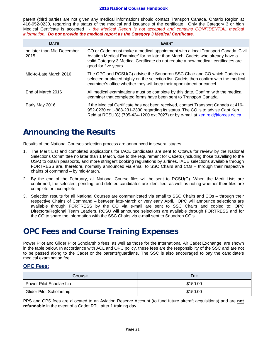#### **2016 National Courses Handbook**

parent (third parties are not given any medical information) should contact Transport Canada, Ontario Region at 416-952-0230, regarding the status of the medical and issuance of the certificate. Only the Category 3 or high Medical Certifcate is accepted - *the Medical Report is not accepted and contains CONFIDENTIAL medical information. Do not provide the medical report as the Category 3 Medical Certificate.*

| <b>DATE</b>                        | <b>EVENT</b>                                                                                                                                                                                                                                                                     |
|------------------------------------|----------------------------------------------------------------------------------------------------------------------------------------------------------------------------------------------------------------------------------------------------------------------------------|
| no later than Mid-December<br>2015 | CO or Cadet must make a medical appointment with a local Transport Canada 'Civil<br>Aviation Medical Examiner' for no later than March. Cadets who already have a<br>valid Category 3 Medical Certificate do not require a new medical; certificates are<br>good for five years. |
| Mid-to-Late March 2016             | The OPC and RCSU(C) advise the Squadron SSC Chair and CO which Cadets are<br>selected or placed highly on the selection list. Cadets then confirm with the medical<br>examiner's office whether they will keep their appointment or cancel.                                      |
| End of March 2016                  | All medical examinations must be complete by this date. Confirm with the medical<br>examiner that completed forms have been sent to Transport Canada.                                                                                                                            |
| Early May 2016                     | If the Medical Certificate has not been received, contact Transport Canada at 416-<br>952-0230 or 1-888-231-2330 regarding its status. The CO is to advise Capt Ken<br>Reid at RCSU(C) (705-424-1200 ext 7027) or by e-mail at ken.reid@forces.gc.ca.                            |

# **Announcing the Results**

Results of the National Courses selection process are announced in several stages.

- 1. The Merit List and completed applications for IACE candidates are sent to Ottawa for review by the National Selections Committee no later than 1 March, due to the requirement for Cadets (including those travelling to the USA) to obtain passports, and more stringent booking regulations by airlines. IACE selections available through FORTRESS are, therefore, normally announced via email to SSC Chairs and COs – through their respective chains of command – by mid-March.
- 2. By the end of the February, all National Course files will be sent to RCSU(C). When the Merit Lists are confirmed, the selected, pending, and deleted candidates are identified, as well as noting whether their files are complete or incomplete.
- 3. Selection results for all National Courses are communicated via email to SSC Chairs and COs through their respective Chains of Command – between late-March or very early April. OPC will announce selections are available through FORTRESS by the CO via e-mail are sent to SSC Chairs and copied to: OPC Directors/Regional Team Leaders. RCSU will announce selections are available through FORTRESS and for the CO to share the information with the SSC Chairs via e-mail sent to Squadron CO's.

# **OPC Fees and Course Training Expenses**

Power Pilot and Glider Pilot Scholarship fees, as well as those for the International Air Cadet Exchange, are shown in the table below. In accordance with ACL and OPC policy, these fees are the responsibility of the SSC and are not to be passed along to the Cadet or the parents/guardians. The SSC is also encouraged to pay the candidate's medical examination fee.

### **OPC Fees:**

| <b>COURSE</b>                   | <b>FEE</b> |
|---------------------------------|------------|
| Power Pilot Scholarship         | \$150.00   |
| <b>Glider Pilot Scholarship</b> | \$150.00   |

PPS and GPS fees are allocated to an Aviation Reserve Account (to fund future aircraft acquisitions) and are **not refundable** in the event of a Cadet RTU after 1 training day.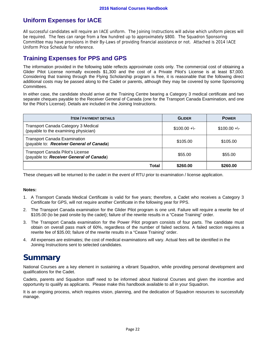# **Uniform Expenses for IACE**

All successful candidates will require an IACE uniform. The Joining Instructions will advise which uniform pieces will be required. The fees can range from a few hundred up to approximately \$800. The Squadron Sponsoring Committee may have provisions in their By-Laws of providing financial assistance or not. Attached is 2014 IACE Uniform Price Schedule for reference.

# **Training Expenses for PPS and GPS**

The information provided in the following table reflects approximate costs only. The commercial cost of obtaining a Glider Pilot License normally exceeds \$1,300 and the cost of a Private Pilot's License is at least \$7,000. Considering that training through the Flying Scholarship program is free, it is reasonable that the following direct additional costs may be passed along to the Cadet or parents, although they may be covered by some Sponsoring Committees.

In either case, the candidate should arrive at the Training Centre bearing a Category 3 medical certificate and two separate cheques payable to the Receiver General of Canada (one for the Transport Canada Examination, and one for the Pilot's License). Details are included in the Joining Instructions.

| <b>ITEM / PAYMENT DETAILS</b>                                                       | <b>GLIDER</b>  | <b>POWER</b>   |
|-------------------------------------------------------------------------------------|----------------|----------------|
| <b>Transport Canada Category 3 Medical</b><br>(payable to the examining physician)  | $$100.00 +\{-$ | $$100.00 +\{-$ |
| <b>Transport Canada Examination</b><br>(payable to: Receiver General of Canada)     | \$105.00       | \$105.00       |
| <b>Transport Canada Pilot's License</b><br>(payable to: Receiver General of Canada) | \$55.00        | \$55.00        |
| Total                                                                               | \$260.00       | \$260.00       |

These cheques will be returned to the cadet in the event of RTU prior to examination / license application.

#### **Notes:**

- 1. A Transport Canada Medical Certificate is valid for five years; therefore, a Cadet who receives a Category 3 Certificate for GPS, will not require another Certificate in the following year for PPS.
- 2. The Transport Canada examination for the Glider Pilot program is one unit. Failure will require a rewrite fee of \$105.00 (to be paid onsite by the cadet); failure of the rewrite results in a "Cease Training" order.
- 3. The Transport Canada examination for the Power Pilot program consists of four parts. The candidate must obtain on overall pass mark of 60%, regardless of the number of failed sections. A failed section requires a rewrite fee of \$35.00; failure of the rewrite results in a "Cease Training" order.
- 4. All expenses are estimates; the cost of medical examinations will vary. Actual fees will be identified in the Joining Instructions sent to selected candidates.

# **Summary**

National Courses are a key element in sustaining a vibrant Squadron, while providing personal development and qualifications for the Cadet.

Cadets, parents and Squadron staff need to be informed about National Courses and given the incentive and opportunity to qualify as applicants. Please make this handbook available to all in your Squadron.

It is an ongoing process, which requires vision, planning, and the dedication of Squadron resources to successfully manage.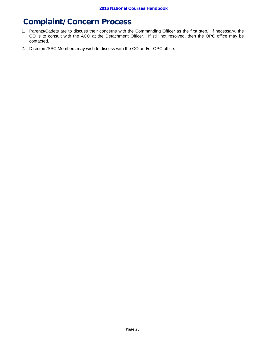# **Complaint/Concern Process**

- 1. Parents/Cadets are to discuss their concerns with the Commanding Officer as the first step. If necessary, the CO is to consult with the ACO at the Detachment Officer. If still not resolved, then the OPC office may be contacted.
- 2. Directors/SSC Members may wish to discuss with the CO and/or OPC office.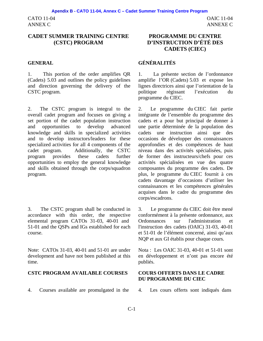CATO 11-04 ANNEX C

# **CADET SUMMER TRAINING CENTRE (CSTC) PROGRAM**

1. This portion of the order amplifies QR (Cadets) 5.03 and outlines the policy guidelines and direction governing the delivery of the CSTC program.

2. The CSTC program is integral to the overall cadet program and focuses on giving a set portion of the cadet population instruction and opportunities to develop advanced knowledge and skills in specialized activities and to develop instructors/leaders for these specialized activities for all 4 components of the cadet program. Additionally, the CSTC program provides these cadets further opportunities to employ the general knowledge and skills obtained through the corps/squadron program.

3. The CSTC program shall be conducted in accordance with this order, the respective elemental program CATOs 31-03, 40-01 and 51-01 and the QSPs and IGs established for each course.

Note: CATOs 31-03, 40-01 and 51-01 are under development and have not been published at this time.

#### **CSTC PROGRAM AVAILABLE COURSES COURS OFFERTS DANS LE CADRE**

4. Courses available are promulgated in the 4. Les cours offerts sont indiqués dans

# **PROGRAMME DU CENTRE D'INSTRUCTION D'ÉTÉ DES CADETS (CIEC)**

# **GENERAL GÉNÉRALITÉS**

1. La présente section de l'ordonnance amplifie l'OR (Cadets) 5.03 et expose les lignes directrices ainsi que l'orientation de la politique régissant l'exécution du programme du CIEC.

2. Le programme du CIEC fait partie intégrante de l'ensemble du programme des cadets et a pour but principal de donner à une partie déterminée de la population des cadets une instruction ainsi que des occasions de développer des connaissances approfondies et des compétences de haut niveau dans des activités spécialisées, puis de former des instructeurs/chefs pour ces activités spécialisées en vue des quatre composantes du programme des cadets. De plus, le programme du CIEC fournit à ces cadets davantage d'occasions d'utiliser les connaissances et les compétences générales acquises dans le cadre du programme des corps/escadrons.

3. Le programme du CIEC doit être mené conformément à la présente ordonnance, aux Ordonnances sur l'administration et l'instruction des cadets (OAIC) 31-03, 40-01 et 51-01 de l'élément concerné, ainsi qu'aux NQP et aux GI établis pour chaque cours.

Nota : Les OAIC 31-03, 40-01 et 51-01 sont en développement et n'ont pas encore été publiés.

# **DU PROGRAMME DU CIEC**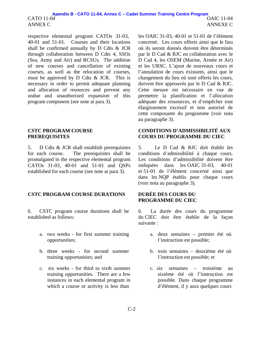respective elemental program CATOs 31-03, 40-01 and 51-01. Courses and their locations shall be confirmed annually by D Cdts & JCR through collaboration between D Cdts 4, SSOs (Sea, Army and Air) and RCSUs. The addition of new courses and cancellation of existing courses, as well as the relocation of courses, must be approved by D Cdts & JCR. This is necessary in order to permit adequate planning and allocation of resources and prevent any undue and unauthorized expansion of this program component (see note at para 3).

#### **CSTC PROGRAM COURSE PREREQUISITES**

5. D Cdts & JCR shall establish prerequisites for each course. The prerequisites shall be promulgated in the respective elemental program CATOs 31-03, 40-01 and 51-01 and QSPs established for each course (see note at para 3).

## **CSTC PROGRAM COURSE DURATIONS DURÉE DES COURS DU**

6. CSTC program course durations shall be established as follows:

- a. two weeks for first summer training opportunities;
- b. three weeks for second summer training opportunities; and
- c. six weeks for third to sixth summer training opportunities. There are a few instances in each elemental program in which a course or activity is less than

les OAIC 31-03, 40-01 et 51-01 de l'élément concerné. Les cours offerts ainsi que le lieu où ils seront donnés doivent être déterminés par le D Cad & RJC en collaboration avec le D Cad 4, les OSEM (Marine, Armée et Air) et les URSC. L'ajout de nouveaux cours et l'annulation de cours existants, ainsi que le changement du lieu où sont offerts les cours, doivent être approuvés par le D Cad & RJC. Cette mesure est nécessaire en vue de permettre la planification et l'allocation adéquate des ressources, et d'empêcher tout élargissement excessif et non autorisé de cette composante du programme (voir nota au paragraphe 3).

### **CONDITIONS D'ADMISSIBILITÉ AUX COURS DU PROGRAMME DU CIEC**

5. Le D Cad & RJC doit établir les conditions d'admissibilité à chaque cours. Les conditions d'admissibilité doivent être indiquées dans les OAIC 31-03, 40-01 et 51-01 de l'élément concerné ainsi que dans les NQP établis pour chaque cours (voir nota au paragraphe 3).

# **PROGRAMME DU CIEC**

6. La durée des cours du programme du CIEC doit être établie de la façon suivante :

- a. deux semaines premier été où l'instruction est possible;
- b. trois semaines deuxième été où l'instruction est possible; et
- c. six semaines troisième au sixième été où l'instruction est possible. Dans chaque programme d'élément, il y aura quelques cours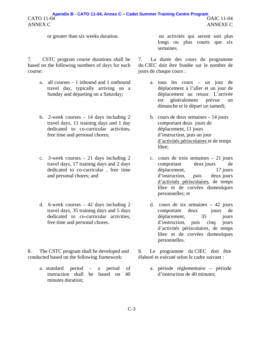#### CATO 11-04 ANNEX C OAIC 11-04 ANNEXE C **Apendix B - CATO 11-04, Annex C – Cadet Summer Training Centre Program**

7. CSTC program course durations shall be based on the following numbers of days for each course:

- a. all courses 1 inbound and 1 outbound travel day, typically arriving on a Sunday and departing on a Saturday;
- b. 2-week courses 14 days including 2 travel days, 11 training days and 1 day dedicated to co-curricular activities, free time and personal chores;
- c. 3-week courses 21 days including 2 travel days, 17 training days and 2 days dedicated to co-curricular , free time and personal chores; and
- d. 6-week courses 42 days including 2 travel days, 35 training days and 5 days dedicated to co-curricular activities, free time and personal chores.

8. The CSTC program shall be developed and conducted based on the following framework:

> a. standard period - a period of instruction shall be based on 40 minutes duration;

or greater than six weeks duration. ou activités qui seront soit plus longs ou plus courts que six semaines.

> 7. La durée des cours du programme du CIEC doit être fondée sur le nombre de jours de chaque cours :

- a. tous les cours un jour de déplacement à l'aller et un jour de déplacement au retour. L'arrivée est généralement prévue un dimanche et le départ un samedi;
- b. cours de deux semaines 14 jours comportant deux jours de déplacement, 11 jours d'instruction, puis un jour d'activités périscolaires et de temps libre;
- c. cours de trois semaines 21 jours comportant deux jours de déplacement, 17 jours d'instruction, puis deux jours d'activités périscolaires, de temps libre et de corvées domestiques personnelles; et
- d. cours de six semaines 42 jours comportant deux jours de déplacement,  $35$  jours d'instruction, puis cinq jours d'activités périscolaires, de temps libre et de corvées domestiques personnelles.

8. Le programme du CIEC doit être élaboré et exécuté selon le cadre suivant :

> a. période réglementaire – période d'instruction de 40 minutes;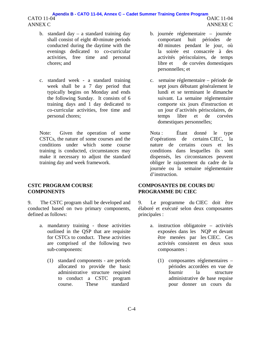#### CATO 11-04 ANNEX C OAIC 11-04 ANNEXE C **Apendix B - CATO 11-04, Annex C – Cadet Summer Training Centre Program**

- b. standard day a standard training day shall consist of eight 40-minute periods conducted during the daytime with the evenings dedicated to co-curricular activities, free time and personal chores; and
- c. standard week a standard training week shall be a 7 day period that typically begins on Monday and ends the following Sunday. It consists of 6 training days and 1 day dedicated to co-curricular activities, free time and personal chores;

Note: Given the operation of some CSTCs, the nature of some courses and the conditions under which some course training is conducted, circumstances may make it necessary to adjust the standard training day and week framework.

### **CSTC PROGRAM COURSE COMPONENTS**

9. The CSTC program shall be developed and conducted based on two primary components, defined as follows:

- a. mandatory training those activities outlined in the QSP that are requisite for CSTCs to conduct. These activities are comprised of the following two sub-components:
	- (1) standard components are periods allocated to provide the basic administrative structure required to conduct a CSTC program course. These standard
- b. journée réglementaire journée comportant huit périodes de 40 minutes pendant le jour, où la soirée est consacrée à des activités périscolaires, de temps libre et de corvées domestiques personnelles; et
- c. semaine réglementaire période de sept jours débutant généralement le lundi et se terminant le dimanche suivant. La semaine réglementaire comporte six jours d'instruction et un jour d'activités périscolaires, de temps libre et de corvées domestiques personnelles;

Nota : Étant donné le type d'opérations de certains CIEC, la nature de certains cours et les conditions dans lesquelles ils sont dispensés, les circonstances peuvent obliger le rajustement du cadre de la journée ou la semaine réglementaire d'instruction.

### **COMPOSANTES DE COURS DU PROGRAMME DU CIEC**

9. Le programme du CIEC doit être élaboré et exécuté selon deux composantes principales :

- a. instruction obligatoire activités exposées dans les NQP et devant être menées par les CIEC. Ces activités consistent en deux sous composantes :
	- (1) composantes réglementaires périodes accordées en vue de fournir la structure administrative de base requise pour donner un cours du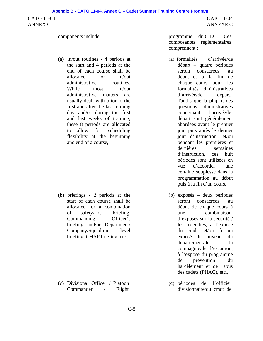CATO 11-04 ANNEX C

OAIC 11-04 ANNEXE C

(a) in/out routines - 4 periods at the start and 4 periods at the end of each course shall be allocated for in/out administrative routines. While most in/out administrative matters are usually dealt with prior to the first and after the last training day and/or during the first and last weeks of training, these 8 periods are allocated to allow for scheduling flexibility at the beginning and end of a course,

(b) briefings - 2 periods at the start of each course shall be allocated for a combination of safety/fire briefing, Commanding Officer's briefing and/or Department/ Company/Squadron level briefing, CHAP briefing, etc.,

(c) Divisional Officer / Platoon Commander / Flight

components include: programme du CIEC. Ces composantes réglementaires comprennent :

- (a) formalités d'arrivée/de départ – quatre périodes seront consacrées au début et à la fin de chaque cours pour les formalités administratives d'arrivée/de départ. Tandis que la plupart des questions administratives concernant l'arrivée/le départ sont généralement abordées avant le premier jour puis après le dernier jour d'instruction et/ou pendant les premières et dernières semaines d'instruction, ces huit périodes sont utilisées en vue d'accorder une certaine souplesse dans la programmation au début puis à la fin d'un cours,
- (b) exposés deux périodes seront consacrées au début de chaque cours à une combinaison d'exposés sur la sécurité / les incendies, à l'exposé du cmdt et/ou à un exposé du niveau du département/de la compagnie/de l'escadron, à l'exposé du programme de prévention du harcèlement et de l'abus des cadets (PHAC), etc.,
- (c) périodes de l'officier divisionnaire/du cmdt de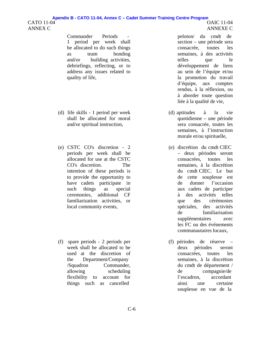#### CATO 11-04 ANNEX C OAIC 11-04 ANNEXE C **Apendix B - CATO 11-04, Annex C – Cadet Summer Training Centre Program**

Commander Periods - peloton/ du cmdt de 1 period per week shall be allocated to do such things as team bonding and/or building activities, debriefings, reflecting, or to address any issues related to quality of life,

- (d) life skills 1 period per week shall be allocated for moral and/or spiritual instruction,
- (e) CSTC CO's discretion 2 periods per week shall be allocated for use at the CSTC CO's discretion. The intention of these periods is to provide the opportunity to have cadets participate in such things as special ceremonies, additional CF familiarization activities, or local community events,
- (f) spare periods 2 periods per week shall be allocated to be used at the discretion of the Department/Company /Squadron Commander, allowing scheduling flexibility to account for things such as cancelled

section – une période sera consacrée, toutes les semaines, à des activités telles que le développement de liens au sein de l'équipe et/ou la promotion du travail d'équipe, aux comptes rendus, à la réflexion, ou à aborder toute question liée à la qualité de vie,

- (d) aptitudes à la vie quotidienne – une période sera consacrée, toutes les semaines, à l'instruction morale et/ou spirituelle,
- (e) discrétion du cmdt CIEC – deux périodes seront consacrées, toutes les semaines, à la discrétion du cmdt CIEC. Le but de cette souplesse est de donner l'occasion aux cadets de participer à des activités telles que des cérémonies spéciales, des activités de familiarisation supplémentaires avec les FC ou des événements communautaires locaux,
- (f) périodes de réserve deux périodes seront consacrées, toutes les semaines, à la discrétion du cmdt de département / de compagnie/de l'escadron, accordant ainsi une certaine souplesse en vue de la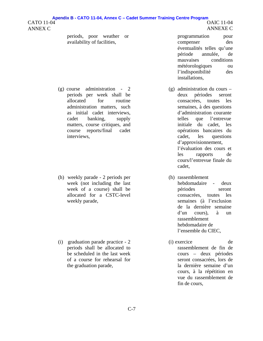#### CATO 11-04 ANNEX C OAIC 11-04 ANNEXE C **Apendix B - CATO 11-04, Annex C – Cadet Summer Training Centre Program**

periods, poor weather or availability of facilities,

(g) course administration - 2 periods per week shall be allocated for routine administration matters, such as initial cadet interviews, cadet banking, supply matters, course critiques, and course reports/final cadet interviews,

(h) weekly parade - 2 periods per week (not including the last week of a course) shall be allocated for a CSTC-level weekly parade,

(i) graduation parade practice - 2 periods shall be allocated to be scheduled in the last week of a course for rehearsal for the graduation parade,

programmation pour compenser des éventualités telles qu'une période annulée, de mauvaises conditions météorologiques ou l'indisponibilité des installations,

- (g) administration du cours deux périodes seront consacrées, toutes les semaines, à des questions d'administration courante telles que l'entrevue initiale du cadet, les opérations bancaires du cadet, les questions d'approvisionnement, l'évaluation des cours et les rapports de cours/l'entrevue finale du cadet,
- (h) rassemblement hebdomadaire - deux périodes seront consacrées, toutes les semaines (à l'exclusion de la dernière semaine d'un cours), à un rassemblement hebdomadaire de l'ensemble du CIEC,
- (i) exercice de rassemblement de fin de cours – deux périodes seront consacrées, lors de la dernière semaine d'un cours, à la répétition en vue du rassemblement de fin de cours,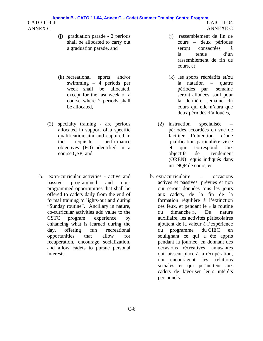- (j) graduation parade 2 periods shall be allocated to carry out a graduation parade, and
- (k) recreational sports and/or swimming – 4 periods per week shall be allocated, except for the last week of a course where 2 periods shall be allocated,
- (2) specialty training are periods allocated in support of a specific qualification aim and captured in the requisite performance objectives (PO) identified in a course QSP; and
- b. extra-curricular activities active and passive, programmed and nonprogrammed opportunities that shall be offered to cadets daily from the end of formal training to lights-out and during "Sunday routine". Ancillary in nature, co-curricular activities add value to the CSTC program experience by enhancing what is learned during the day, offering fun recreational opportunities that allow for recuperation, encourage socialization, and allow cadets to pursue personal interests.
- (j) rassemblement de fin de cours – deux périodes seront consacrées à la tenue d'un rassemblement de fin de cours, et
- (k) les sports récréatifs et/ou la natation – quatre périodes par semaine seront allouées, sauf pour la dernière semaine du cours qui elle n'aura que deux périodes d'allouées,
- (2) instruction spécialisée périodes accordées en vue de faciliter l'obtention d'une qualification particulière visée et qui correspond aux objectifs de rendement (OREN) requis indiqués dans un NQP de cours, et
- b. extracurriculaire occasions actives et passives, prévues et non qui seront données tous les jours aux cadets, de la fin de la formation régulière à l'extinction des feux, et pendant le « la routine du dimanche ». De nature auxiliaire, les activités périscolaires ajoutent de la valeur à l'expérience du programme du CIEC en soulignant ce qui a été appris pendant la journée, en donnant des occasions récréatives amusantes qui laissent place à la récupération, qui encouragent les relations sociales et qui permettent aux cadets de favoriser leurs intérêts personnels.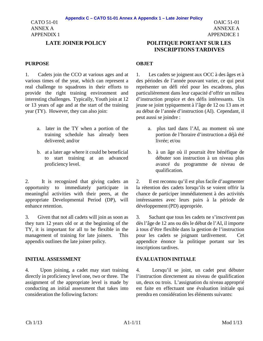CATO 51-01 ANNEX A APPENDIX 1

#### PURPOSE OBJET

1. Cadets join the CCO at various ages and at various times of the year, which can represent a real challenge to squadrons in their efforts to provide the right training environment and interesting challenges. Typically, Youth join at 12 or 13 years of age and at the start of the training year (TY). However, they can also join:

- a. later in the TY when a portion of the training schedule has already been delivered; and/or
- b. at a later age where it could be beneficial to start training at an advanced proficiency level.

2. It is recognized that giving cadets an opportunity to immediately participate in meaningful activities with their peers, at the appropriate Developmental Period (DP), will enhance retention.

3. Given that not all cadets will join as soon as they turn 12 years old or at the beginning of the TY, it is important for all to be flexible in the management of training for late joiners. This appendix outlines the late joiner policy.

4. Upon joining, a cadet may start training directly in proficiency level one, two or three. The assignment of the appropriate level is made by conducting an initial assessment that takes into consideration the following factors:

# **LATE JOINER POLICY POLITIQUE PORTANT SUR LES INSCRIPTIONS TARDIVES**

1. Les cadets se joignent aux OCC à des âges et à des périodes de l'année pouvant varier, ce qui peut représenter un défi réel pour les escadrons, plus particulièrement dans leur capacité d'offrir un milieu d'instruction propice et des défis intéressants. Un jeune se joint typiquement à l'âge de 12 ou 13 ans et au début de l'année d'instruction (AI). Cependant, il peut aussi se joindre :

- a. plus tard dans l'AI, au moment où une portion de l'horaire d'instruction a déjà été livrée; et/ou
- b. à un âge où il pourrait être bénéfique de débuter son instruction à un niveau plus avancé du programme de niveau de qualification.

2. Il est reconnu qu'il est plus facile d'augmenter la rétention des cadets lorsqu'ils se voient offrir la chance de participer immédiatement à des activités intéressantes avec leurs pairs à la période de développement (PD) appropriée.

3. Sachant que tous les cadets ne s'inscrivent pas dès l'âge de 12 ans ou dès le début de l'AI, il importe à tous d'être flexible dans la gestion de l'instruction pour les cadets se joignant tardivement. Cet appendice énonce la politique portant sur les inscriptions tardives.

# **INITIAL ASSESSMENT ÉVALUATION INITIALE**

4. Lorsqu'il se joint, un cadet peut débuter l'instruction directement au niveau de qualification un, deux ou trois. L'assignation du niveau approprié est faite en effectuant une évaluation initiale qui prendra en considération les éléments suivants: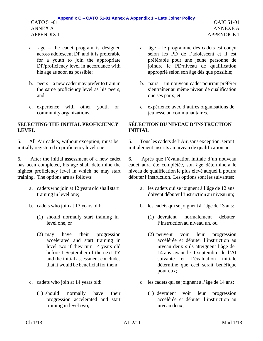- a. age the cadet program is designed across adolescent DP and it is preferable for a youth to join the appropriate DP/proficiency level in accordance with his age as soon as possible;
- b. peers a new cadet may prefer to train in the same proficiency level as his peers; and
- c. experience with other youth or community organizations.

# **SELECTING THE INITIAL PROFICIENCY LEVEL**

5. All Air cadets, without exception, must be initially registered in proficiency level one.

6. After the initial assessment of a new cadet has been completed, his age shall determine the highest proficiency level in which he may start training. The options are as follows:

- a. cadets who join at 12 years old shall start training in level one;
- - (1) should normally start training in level one, or
	- (2) may have their progression accelerated and start training in level two if they turn 14 years old before 1 September of the next TY and the initial assessment concludes that it would be beneficial for them;
- - (1) should normally have their progression accelerated and start training in level two,
- a. âge le programme des cadets est conçu selon les PD de l'adolescent et il est préférable pour une jeune personne de joindre le PD/niveau de qualification approprié selon son âge dès que possible;
- b. pairs un nouveau cadet pourrait préférer s'entraîner au même niveau de qualification que ses pairs; et
- c. expérience avec d'autres organisations de jeunesse ou communautaires.

# **SÉLECTION DU NIVEAU D'INSTRUCTION INITIAL**

5. Tous les cadets de l'Air, sans exception, seront initialement inscrits au niveau de qualification un.

6. Après que l'évaluation initiale d'un nouveau cadet aura été complétée, son âge déterminera le niveau de qualification le plus élevé auquel il pourra débuter l'instruction. Les options sont les suivantes:

- a. les cadets qui se joignent à l'âge de 12 ans doivent débuter l'instruction au niveau un;
- b. cadets who join at 13 years old: b. les cadets qui se joignent à l'âge de 13 ans:
	- (1) devraient normalement débuter l'instruction au niveau un, ou
	- (2) peuvent voir leur progression accélérée et débuter l'instruction au niveau deux s'ils atteignent l'âge de 14 ans avant le 1 septembre de l'AI suivante et l'évaluation initiale détermine que ceci serait bénéfique pour eux;
- c. cadets who join at 14 years old: c. les cadets qui se joignent à l'âge de 14 ans:
	- (1) devraient voir leur progression accélérée et débuter l'instruction au niveau deux,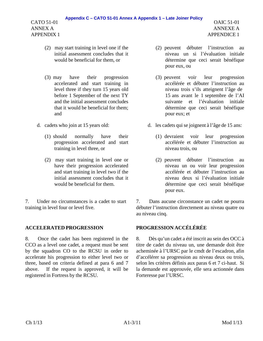### **Appendix C – CATO 51-01 Annex A Appendix 1 – Late Joiner Policy**

CATO 51-01 ANNEX A APPENDIX 1

- (2) may start training in level one if the initial assessment concludes that it would be beneficial for them, or
- (3) may have their progression accelerated and start training in level three if they turn 15 years old before 1 September of the next TY and the initial assessment concludes that it would be beneficial for them; and
- - (1) should normally have their progression accelerated and start training in level three, or
	- (2) may start training in level one or have their progression accelerated and start training in level two if the initial assessment concludes that it would be beneficial for them.

7. Under no circumstances is a cadet to start training in level four or level five.

# **ACCELERATED PROGRESSION PROGRESSION ACCÉLÉRÉE**

8. Once the cadet has been registered in the CCO as a level one cadet, a request must be sent by the squadron CO to the RCSU in order to accelerate his progression to either level two or three, based on criteria defined at para 6 and 7 above. If the request is approved, it will be registered in Fortress by the RCSU.

- OAIC 51-01 ANNEXE A APPENDICE 1
- (2) peuvent débuter l'instruction au niveau un si l'évaluation initiale détermine que ceci serait bénéfique pour eux, ou
- (3) peuvent voir leur progression accélérée et débuter l'instruction au niveau trois s'ils atteignent l'âge de 15 ans avant le 1 septembre de l'AI suivante et l'évaluation initiale détermine que ceci serait bénéfique pour eux; et
- d. cadets who join at 15 years old: d. les cadets qui se joignent à l'âge de 15 ans:
	- (1) devraient voir leur progression accélérée et débuter l'instruction au niveau trois, ou
	- (2) peuvent débuter l'instruction au niveau un ou voir leur progression accélérée et débuter l'instruction au niveau deux si l'évaluation initiale détermine que ceci serait bénéfique pour eux.

7. Dans aucune circonstance un cadet ne pourra débuter l'instruction directement au niveau quatre ou au niveau cinq.

8. Dès qu'un cadet a été inscrit au sein des OCC à titre de cadet du niveau un, une demande doit être acheminée à l'URSC par le cmdt de l'escadron, afin d'accélérer sa progression au niveau deux ou trois, selon les critères définis aux paras 6 et 7 ci-haut. Si la demande est approuvée, elle sera actionnée dans Forteresse par l'URSC.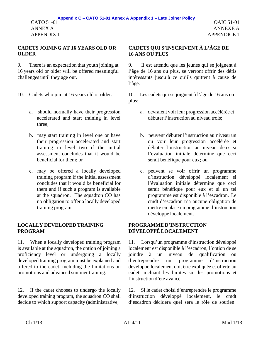# **CADETS JOINING AT 16 YEARS OLD OR OLDER**

9. There is an expectation that youth joining at 16 years old or older will be offered meaningful challenges until they age out.

- - a. should normally have their progression accelerated and start training in level three;
	- b. may start training in level one or have their progression accelerated and start training in level two if the initial assessment concludes that it would be beneficial for them; or
	- c. may be offered a locally developed training program if the initial assessment concludes that it would be beneficial for them and if such a program is available at the squadron. The squadron CO has no obligation to offer a locally developed training program.

# **LOCALLY DEVELOPED TRAINING PROGRAM**

11. When a locally developed training program is available at the squadron, the option of joining a proficiency level or undergoing a locally developed training program must be explained and offered to the cadet, including the limitations on promotions and advanced summer training.

12. If the cadet chooses to undergo the locally developed training program, the squadron CO shall decide to which support capacity (administrative,

# **CADETS QUI S'INSCRIVENT À L'ÂGE DE 16 ANS OU PLUS**

9. Il est attendu que les jeunes qui se joignent à l'âge de 16 ans ou plus, se verront offrir des défis intéressants jusqu'à ce qu'ils quittent à cause de l'âge.

10. Cadets who join at 16 years old or older: 10. Les cadets qui se joignent à l'âge de 16 ans ou plus:

- a. devraient voir leur progression accélérée et débuter l'instruction au niveau trois;
- b. peuvent débuter l'instruction au niveau un ou voir leur progression accélérée et débuter l'instruction au niveau deux si l'évaluation initiale détermine que ceci serait bénéfique pour eux; ou
- c. peuvent se voir offrir un programme d'instruction développé localement si l'évaluation initiale détermine que ceci serait bénéfique pour eux et si un tel programme est disponible à l'escadron. Le cmdt d'escadron n'a aucune obligation de mettre en place un programme d'instruction développé localement.

# **PROGRAMME D'INSTRUCTION DÉVELOPPÉ LOCALEMENT**

11. Lorsqu'un programme d'instruction développé localement est disponible à l'escadron, l'option de se joindre à un niveau de qualification ou d'entreprendre un programme d'instruction développé localement doit être expliquée et offerte au cadet, incluant les limites sur les promotions et l'instruction d'été avancé.

12. Si le cadet choisi d'entreprendre le programme d'instruction développé localement, le cmdt d'escadron décidera quel sera le rôle de soutien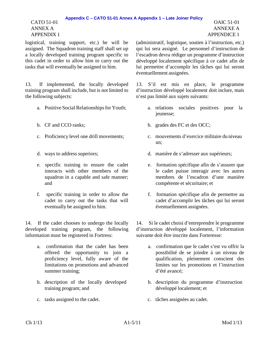### **Appendix C – CATO 51-01 Annex A Appendix 1 – Late Joiner Policy**

CATO 51-01 ANNEX A APPENDIX 1

OAIC 51-01 ANNEXE A APPENDICE 1

logistical, training support, etc.) he will be assigned. The Squadron training staff shall set up a locally developed training program specific to this cadet in order to allow him to carry out the tasks that will eventually be assigned to him.

13. If implemented, the locally developed training program shall include, but is not limited to the following subjects:

- 
- 
- 
- 
- e. specific training to ensure the cadet interacts with other members of the squadron in a capable and safe manner; and
- f. specific training in order to allow the cadet to carry out the tasks that will eventually be assigned to him.

14. If the cadet chooses to undergo the locally developed training program, the following information must be registered in Fortress:

- a. confirmation that the cadet has been offered the opportunity to join a proficiency level, fully aware of the limitations on promotions and advanced summer training;
- b. description of the locally developed training program; and
- c. tasks assigned to the cadet.  $\qquad \qquad$  c. tâches assignées au cadet.

(administratif, logistique, soutien à l'instruction, etc.) qui lui sera assigné. Le personnel d'instruction de l'escadron devra rédiger un programme d'instruction développé localement spécifique à ce cadet afin de lui permettre d'accomplir les tâches qui lui seront éventuellement assignées.

13. S'il est mis en place, le programme d'instruction développé localement doit inclure, mais n'est pas limité aux sujets suivants:

- a. Positive Social Relationships for Youth; a. relations sociales positives pour la jeunesse;
- b. CF and CCO ranks; b. grades des FC et des OCC;
- c. Proficiency level one drill movements; c. mouvements d'exercice militaire du niveau un;
- d. ways to address superiors; d. manière de s'adresser aux supérieurs;
	- e. formation spécifique afin de s'assurer que le cadet puisse interagir avec les autres membres de l'escadron d'une manière compétente et sécuritaire; et
	- f. formation spécifique afin de permettre au cadet d'accomplir les tâches qui lui seront éventuellement assignées.

14. Si le cadet choisi d'entreprendre le programme d'instruction développé localement, l'information suivante doit être inscrite dans Forteresse:

- a. confirmation que le cadet s'est vu offrir la possibilité de se joindre à un niveau de qualification, pleinement conscient des limites sur les promotions et l'instruction d'été avancé;
- b. description du programme d'instruction développé localement; et
-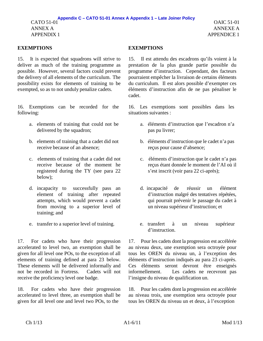### **EXEMPTIONS EXEMPTIONS**

15. It is expected that squadrons will strive to deliver as much of the training programme as possible. However, several factors could prevent the delivery of all elements of the curriculum. The possibility exists for elements of training to be exempted, so as to not unduly penalize cadets.

16. Exemptions can be recorded for the following:

- a. elements of training that could not be delivered by the squadron;
- b. elements of training that a cadet did not receive because of an absence;
- c. elements of training that a cadet did not receive because of the moment he registered during the TY (see para 22 below);
- d. incapacity to successfully pass an element of training after repeated attempts, which would prevent a cadet from moving to a superior level of training; and
- 

17. For cadets who have their progression accelerated to level two, an exemption shall be given for all level one POs, to the exception of all elements of training defined at para 23 below. These elements will be delivered informally and not be recorded in Fortress. Cadets will not receive the proficiency level one badge.

18. For cadets who have their progression accelerated to level three, an exemption shall be given for all level one and level two POs, to the

15. Il est attendu des escadrons qu'ils voient à la prestation de la plus grande partie possible du programme d'instruction. Cependant, des facteurs pourraient empêcher la livraison de certains éléments du curriculum. Il est alors possible d'exempter ces éléments d'instruction afin de ne pas pénaliser le cadet.

16. Les exemptions sont possibles dans les situations suivantes :

- a. éléments d'instruction que l'escadron n'a pas pu livrer;
- b. éléments d'instruction que le cadet n'a pas reçus pour cause d'absence;
- c. éléments d'instruction que le cadet n'a pas reçus étant donnée le moment de l'AI où il s'est inscrit (voir para 22 ci-après);
- d. incapacité de réussir un élément d'instruction malgré des tentatives répétées, qui pourrait prévenir le passage du cadet à un niveau supérieur d'instruction; et
- e. transfer to a superior level of training. e. transfert à un niveau supérieur d'instruction.

17. Pour les cadets dont la progression est accélérée au niveau deux, une exemption sera octroyée pour tous les OREN du niveau un, à l'exception des éléments d'instruction indiqués au para 23 ci-après. Ces éléments seront devront être enseignés informellement. Les cadets ne recevront pas l'insigne du niveau de qualification un.

18. Pour les cadets dont la progression est accélérée au niveau trois, une exemption sera octroyée pour tous les OREN du niveau un et deux, à l'exception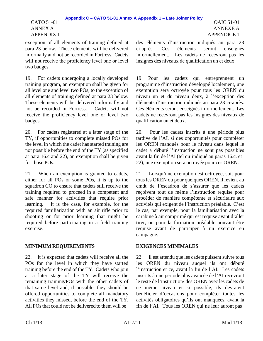### CATO 51-01 ANNEX A APPENDIX 1

exception of all elements of training defined at para 23 below. These elements will be delivered informally and not be recorded in Fortress. Cadets will not receive the proficiency level one or level two badges.

19. For cadets undergoing a locally developed training program, an exemption shall be given for all level one and level two POs, to the exception of all elements of training defined at para 23 below. These elements will be delivered informally and not be recorded in Fortress. Cadets will not receive the proficiency level one or level two badges.

20. For cadets registered at a later stage of the TY, if opportunities to complete missed POs for the level in which the cadet has started training are not possible before the end of the TY (as specified at para 16.c and 22), an exemption shall be given for those POs.

21. When an exemption is granted to cadets, either for all POs or some POs, it is up to the squadron CO to ensure that cadets still receive the training required to proceed in a competent and safe manner for activities that require prior learning. It is the case, for example, for the required familiarization with an air rifle prior to shooting or for prior learning that might be required before participating in a field training exercise.

# **MINIMUM REQUIREMENTS EXIGENCES MINIMALES**

22. It is expected that cadets will receive all the POs for the level in which they have started training before the end of the TY. Cadets who join at a later stage of the TY will receive the remaining training/POs with the other cadets of that same level and, if possible, they should be offered opportunities to complete all mandatory activities they missed, before the end of the TY. All POs that could not be delivered to them will be

des éléments d'instruction indiqués au para 23 ci-après. Ces éléments seront enseignés informellement. Les cadets ne recevront pas les insignes des niveaux de qualification un et deux.

19. Pour les cadets qui entreprennent un programme d'instruction développé localement, une exemption sera octroyée pour tous les OREN du niveau un et du niveau deux, à l'exception des éléments d'instruction indiqués au para 23 ci-après. Ces éléments seront enseignés informellement. Les cadets ne recevront pas les insignes des niveaux de qualification un et deux.

20. Pour les cadets inscrits à une période plus tardive de l'AI, si des opportunités pour compléter les OREN manqués pour le niveau dans lequel le cadet a débuté l'instruction ne sont pas possibles avant la fin de l'AI (tel qu'indiqué au paras 16.c. et 22), une exemption sera octroyée pour ces OREN.

21. Lorsqu'une exemption est octroyée, soit pour tous les OREN ou pour quelques OREN, il revient au cmdt de l'escadron de s'assurer que les cadets reçoivent tout de même l'instruction requise pour procéder de manière compétente et sécuritaire aux activités qui exigent de l'instruction préalable. C'est le cas, par exemple, pour la familiarisation avec la carabine à air comprimé qui est requise avant d'aller tirer, ou pour la formation préalable pouvant être requise avant de participer à un exercice en campagne.

22. Il est attendu que les cadets puissent suivre tous les OREN du niveau auquel ils ont débuté l'instruction et ce, avant la fin de l'AI. Les cadets inscrits à une période plus avancée de l'AI recevront le reste de l'instruction/ des OREN avec les cadets de ce même niveau et si possible, ils devraient bénéficier d'occasions pour compléter toutes les activités obligatoires qu'ils ont manquées, avant la fin de l'AI. Tous les OREN qui ne leur auront pas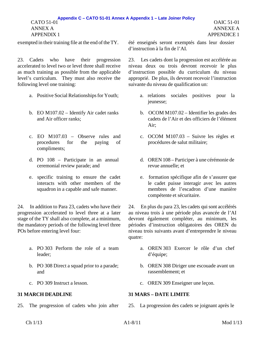### CATO 51-01 ANNEX A **Appendix C – CATO 51-01 Annex A Appendix 1 – Late Joiner Policy**

APPENDIX 1

23. Cadets who have their progression accelerated to level two or level three shall receive as much training as possible from the applicable level's curriculum. They must also receive the following level one training:

- 
- b. EO M107.02 Identify Air cadet ranks and Air officer ranks;
- c. EO M107.03 Observe rules and procedures for the paying of compliments;
- d. PO 108 Participate in an annual ceremonial review parade; and
- e. specific training to ensure the cadet interacts with other members of the squadron in a capable and safe manner.

24. In addition to Para 23, cadets who have their progression accelerated to level three at a later stage of the TY shall also complete, at a minimum, the mandatory periods of the following level three POs before entering level four:

- a. PO 303 Perform the role of a team leader;
- b. PO 308 Direct a squad prior to a parade; and
- 

exempted in their training file at the end of the TY. été enseignés seront exemptés dans leur dossier d'instruction à la fin de l'AI.

> 23. Les cadets dont la progression est accélérée au niveau deux ou trois devront recevoir le plus d'instruction possible du curriculum du niveau approprié. De plus, ils devront recevoir l'instruction suivante du niveau de qualification un:

- a. Positive Social Relationships for Youth; a. relations sociales positives pour la jeunesse;
	- b. OCOM M107.02 Identifier les grades des cadets de l'Air et des officiers de l'élément Air;
	- c. OCOM M107.03 Suivre les règles et procédures de salut militaire;
	- d. OREN 108 Participer à une cérémonie de revue annuelle; et
	- e. formation spécifique afin de s'assurer que le cadet puisse interagir avec les autres membres de l'escadron d'une manière compétente et sécuritaire.

24. En plus du para 23, les cadets qui sont accélérés au niveau trois à une période plus avancée de l'AI devront également compléter, au minimum, les périodes d'instruction obligatoires des OREN du niveau trois suivants avant d'entreprendre le niveau quatre:

- a. OREN 303 Exercer le rôle d'un chef d'équipe;
- b. OREN 308 Diriger une escouade avant un rassemblement; et
- c. PO 309 Instruct a lesson. c. OREN 309 Enseigner une leçon.

### **31 MARCH DEADLINE 31 MARS – DATE LIMITE**

25. The progression of cadets who join after 25. La progression des cadets se joignant après le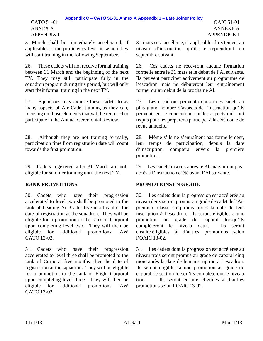### CATO 51-01 ANNEX A APPENDIX 1

31 March shall be immediately accelerated, if applicable, to the proficiency level in which they will start training in the following September.

26. These cadets will not receive formal training between 31 March and the beginning of the next TY. They may still participate fully in the squadron program during this period, but will only start their formal training in the next TY.

27. Squadrons may expose these cadets to as many aspects of Air Cadet training as they can, focusing on those elements that will be required to participate in the Annual Ceremonial Review.

28. Although they are not training formally, participation time from registration date will count towards the first promotion.

29. Cadets registered after 31 March are not eligible for summer training until the next TY.

30. Cadets who have their progression accelerated to level two shall be promoted to the rank of Leading Air Cadet five months after the date of registration at the squadron. They will be eligible for a promotion to the rank of Corporal upon completing level two. They will then be eligible for additional promotions IAW CATO 13-02.

31. Cadets who have their progression accelerated to level three shall be promoted to the rank of Corporal five months after the date of registration at the squadron. They will be eligible for a promotion to the rank of Flight Corporal upon completing level three. They will then be eligible for additional promotions IAW CATO 13-02.

31 mars sera accélérée, si applicable, directement au niveau d'instruction qu'ils entreprendront en septembre suivant.

26. Ces cadets ne recevront aucune formation formelle entre le 31 mars et le début de l'AI suivante. Ils peuvent participer activement au programme de l'escadron mais ne débuteront leur entraînement formel qu'au début de la prochaine AI.

27. Les escadrons peuvent exposer ces cadets au plus grand nombre d'aspects de l'instruction qu'ils peuvent, en se concentrant sur les aspects qui sont requis pour les préparer à participer à la cérémonie de revue annuelle.

28. Même s'ils ne s'entraînent pas formellement, leur temps de participation, depuis la date d'inscription, comptera envers la première promotion.

29. Les cadets inscrits après le 31 mars n'ont pas accès à l'instruction d'été avant l'AI suivante.

### **RANK PROMOTIONS PROMOTIONS EN GRADE**

30. Les cadets dont la progression est accélérée au niveau deux seront promus au grade de cadet de l'Air première classe cinq mois après la date de leur inscription à l'escadron. Ils seront éligibles à une promotion au grade de caporal lorsqu'ils complèteront le niveau deux. Ils seront ensuite éligibles à d'autres promotions selon l'OAIC 13-02.

31. Les cadets dont la progression est accélérée au niveau trois seront promus au grade de caporal cinq mois après la date de leur inscription à l'escadron. Ils seront éligibles à une promotion au grade de caporal de section lorsqu'ils complèteront le niveau trois. Ils seront ensuite éligibles à d'autres promotions selon l'OAIC 13-02.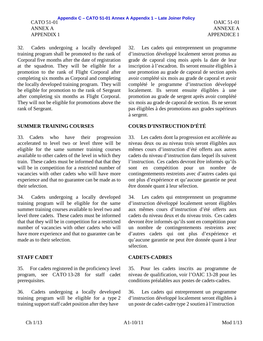32. Cadets undergoing a locally developed training program shall be promoted to the rank of Corporal five months after the date of registration at the squadron. They will be eligible for a promotion to the rank of Flight Corporal after completing six months as Corporal and completing the locally developed training program. They will be eligible for promotion to the rank of Sergeant after completing six months as Flight Corporal. They will not be eligible for promotions above the rank of Sergeant.

33. Cadets who have their progression accelerated to level two or level three will be eligible for the same summer training courses available to other cadets of the level in which they train. These cadets must be informed that that they will be in competition for a restricted number of vacancies with other cadets who will have more experience and that no guarantee can be made as to their selection.

34. Cadets undergoing a locally developed training program will be eligible for the same summer training courses available to level two and level three cadets. These cadets must be informed that that they will be in competition for a restricted number of vacancies with other cadets who will have more experience and that no guarantee can be made as to their selection.

35. For cadets registered in the proficiency level program, see CATO 13-28 for staff cadet prerequisites.

36. Cadets undergoing a locally developed training program will be eligible for a type 2 training support staff cadet position after they have

OAIC 51-01 ANNEXE A APPENDICE 1

32. Les cadets qui entreprennent un programme d'instruction développé localement seront promus au grade de caporal cinq mois après la date de leur inscription à l'escadron. Ils seront ensuite éligibles à une promotion au grade de caporal de section après avoir complété six mois au grade de caporal et avoir complété le programme d'instruction développé localement. Ils seront ensuite éligibles à une promotion au grade de sergent après avoir complété six mois au grade de caporal de section. Ils ne seront pas éligibles à des promotions aux grades supérieurs à sergent.

### **SUMMER TRAINING COURSES COURS D'INSTRUCTION D'ÉTÉ**

33. Les cadets dont la progression est accélérée au niveau deux ou au niveau trois seront éligibles aux mêmes cours d'instruction d'été offerts aux autres cadets du niveau d'instruction dans lequel ils suivent l'instruction. Ces cadets devront être informés qu'ils sont en compétition pour un nombre de contingentements restreints avec d'autres cadets qui ont plus d'expérience et qu'aucune garantie ne peut être donnée quant à leur sélection.

34. Les cadets qui entreprennent un programme d'instruction développé localement seront éligibles aux mêmes cours d'instruction d'été offerts aux cadets du niveau deux et du niveau trois. Ces cadets devront être informés qu'ils sont en compétition pour un nombre de contingentements restreints avec d'autres cadets qui ont plus d'expérience et qu'aucune garantie ne peut être donnée quant à leur sélection.

### **STAFF CADET CADETS-CADRES**

35. Pour les cadets inscrits au programme de niveau de qualification, voir l'OAIC 13-28 pour les conditions préalables aux postes de cadets-cadres.

36. Les cadets qui entreprennent un programme d'instruction développé localement seront éligibles à un poste de cadet-cadre type 2 soutien à l'instruction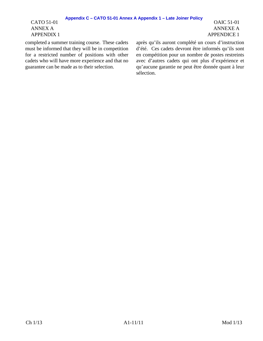### **Appendix C – CATO 51-01 Annex A Appendix 1 – Late Joiner Policy**

CATO 51-01 ANNEX A APPENDIX 1

completed a summer training course. These cadets must be informed that they will be in competition for a restricted number of positions with other cadets who will have more experience and that no guarantee can be made as to their selection.

après qu'ils auront complété un cours d'instruction d'été. Ces cadets devront être informés qu'ils sont en compétition pour un nombre de postes restreints avec d'autres cadets qui ont plus d'expérience et qu'aucune garantie ne peut être donnée quant à leur sélection.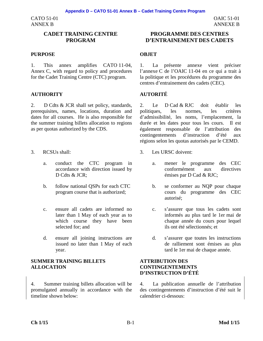CATO 51-01 ANNEX B

### **CADET TRAINING CENTRE PROGRAM**

### **PURPOSE OBJET**

1. This annex amplifies CATO 11-04, Annex C, with regard to policy and procedures for the Cadet Training Centre (CTC) program.

### **AUTHORITY AUTORITÉ**

2. D Cdts & JCR shall set policy, standards, prerequisites, names, locations, duration and dates for all courses. He is also responsible for the summer training billets allocation to regions as per quotas authorized by the CDS.

- - a. conduct the CTC program in accordance with direction issued by D Cdts & JCR:
	- b. follow national QSPs for each CTC program course that is authorized;
	- c. ensure all cadets are informed no later than 1 May of each year as to which course they have been selected for; and
	- d. ensure all joining instructions are issued no later than 1 May of each year.

### **SUMMER TRAINING BILLETS ALLOCATION**

4. Summer training billets allocation will be promulgated annually in accordance with the timeline shown below:

OAIC 51-01 ANNEXE B

1. La présente annexe vient préciser l'annexe C de l'OAIC 11-04 en ce qui a trait à la politique et les procédures du programme des centres d'entrainement des cadets (CEC).

2. Le D Cad & RJC doit établir les politiques, les normes, les critères d'admissibilité, les noms, l'emplacement, la durée et les dates pour tous les cours. Il est également responsable de l'attribution des contingentements d'instruction d'été aux régions selon les quotas autorisés par le CEMD.

- 3. RCSUs shall: 3. Les URSC doivent:
	- a. mener le programme des CEC conformément aux directives émises par D Cad & RJC;
	- b. se conformer au NQP pour chaque cours du programme des CEC autorisé;
	- c. s'assurer que tous les cadets sont informés au plus tard le 1er mai de chaque année du cours pour lequel ils ont été sélectionnés; et
	- d. s'assurer que toutes les instructions de ralliement sont émises au plus tard le 1er mai de chaque année.

### **ATTRIBUTION DES CONTINGENTEMENTS D'INSTRUCTION D'ÉTÉ**

4. La publication annuelle de l'attribution des contingentements d'instruction d'été suit le calendrier ci-dessous: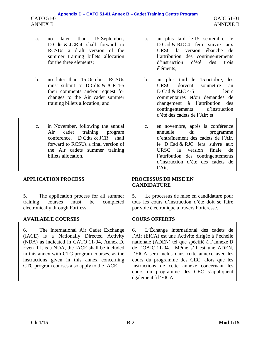- a. no later than 15 September, D Cdts & JCR 4 shall forward to RCSUs a draft version of the summer training billets allocation for the three elements;
- b. no later than 15 October, RCSUs must submit to D Cdts & JCR 4-5 their comments and/or request for changes to the Air cadet summer training billets allocation; and
- c. in November, following the annual Air cadet training program conference, D Cdts & JCR shall forward to RCSUs a final version of the Air cadets summer training billets allocation.

# **APPLICATION PROCESS PROCESSUS DE MISE EN**

5. The application process for all summer training courses must be completed electronically through Fortress.

# **AVAILABLE COURSES COURS OFFERTS**

6. The International Air Cadet Exchange (IACE) is a Nationally Directed Activity (NDA) as indicated in CATO 11-04, Annex D. Even if it is a NDA, the IACE shall be included in this annex with CTC program courses, as the instructions given in this annex concerning CTC program courses also apply to the IACE.

- a. au plus tard le 15 septembre, le D Cad & RJC 4 fera suivre aux URSC la version ébauche de l'attribution des contingentements d'instruction d'été des trois éléments;
- b. au plus tard le 15 octobre, les URSC doivent soumettre au D Cad & RJC 4-5 leurs commentaires et/ou demandes de changement à l'attribution des contingentements d'instruction d'été des cadets de l'Air; et
- c. en novembre, après la conférence annuelle du programme d'entraînement des cadets de l'Air, le D Cad & RJC fera suivre aux URSC la version finale de l'attribution des contingentements d'instruction d'été des cadets de l'Air.

# **CANDIDATURE**

5. Le processus de mise en candidature pour tous les cours d'instruction d'été doit se faire par voie électronique à travers Forteresse.

6. L'Échange international des cadets de l'Air (EICA) est une Activité dirigée à l'échelle nationale (ADEN) tel que spécifié à l'annexe D de l'OAIC 11-04. Même s'il est une ADEN, l'EICA sera inclus dans cette annexe avec les cours du programme des CEC, alors que les instructions de cette annexe concernant les cours du programme des CEC s'appliquent également à l'EICA.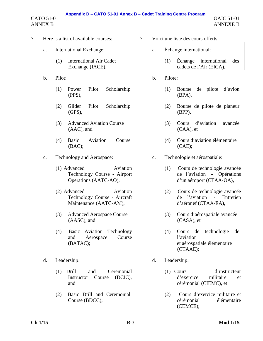# **Appendix D – CATO 51-01 Annex B – Cadet Training Centre Program**

CATO 51-01 ANNEX B

- 7. Here is a list of available courses: 7. Voici une liste des cours offerts:
	- a. International Exchange: a. Échange international:
		- (1) International Air Cadet Exchange (IACE),
	- - (1) Power Pilot Scholarship (PPS),
		- (2) Glider Pilot Scholarship  $(GPS)$ .
		- (3) Advanced Aviation Course (AAC), and
		- (4) Basic Aviation Course (BAC);
	- c. Technology and Aerospace: c. Technologie et aérospatiale:
		- (1) Advanced Aviation Technology Course - Airport Operations (AATC-AO),
		- (2) Advanced Aviation Technology Course - Aircraft Maintenance (AATC-AM),
		- (3) Advanced Aerospace Course (AASC), and
		- (4) Basic Aviation Technology and Aerospace Course (BATAC);
	- - (1) Drill and Ceremonial Instructor Course (DCIC), and
		- (2) Basic Drill and Ceremonial Course (BDCC);
- - - (1) Échange international des cadets de l'Air (EICA),
- b. Pilot: b. Pilote:
	- (1) Bourse de pilote d'avion (BPA),
	- (2) Bourse de pilote de planeur (BPP),
	- (3) Cours d'aviation avancée (CAA), et
	- (4) Cours d'aviation élémentaire (CAE);
	- - (1) Cours de technologie avancée de l'aviation - Opérations d'un aéroport (CTAA-OA),
		- (2) Cours de technologie avancée de l'aviation - Entretien d'aéronef (CTAA-EA),
		- (3) Cours d'aérospatiale avancée (CASA), et
		- (4) Cours de technologie de l'aviation et aérospatiale élémentaire (CTAAE);
- d. Leadership: d. Leadership:
	- (1) Cours d'instructeur d'exercice militaire et cérémonial (CIEMC), et
	- (2) Cours d'exercice militaire et cérémonial élémentaire (CEMCE);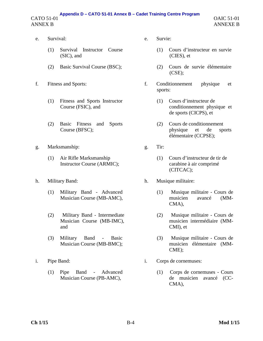### CATO 51-01 ANNEX B **Appendix D – CATO 51-01 Annex B – Cadet Training Centre Program**

- e. Survival: e. Survie:
	- (1) Survival Instructor Course (SIC), and
	-
- - (1) Fitness and Sports Instructor Course (FSIC), and
	- (2) Basic Fitness and Sports Course (BFSC);
- g. Marksmanship: g. Tir:
	- (1) Air Rifle Marksmanship Instructor Course (ARMIC);
- - (1) Military Band Advanced Musician Course (MB-AMC),
	- (2) Military Band Intermediate Musician Course (MB-IMC), and
	- (3) Military Band Basic Musician Course (MB-BMC);
- - (1) Pipe Band Advanced Musician Course (PB-AMC),
- - (1) Cours d'instructeur en survie (CIES), et
- (2) Basic Survival Course (BSC); (2) Cours de survie élémentaire (CSE);
- f. Fitness and Sports: f. Conditionnement physique et sports:
	- (1) Cours d'instructeur de conditionnement physique et de sports (CICPS), et
	- (2) Cours de conditionnement physique et de sports élémentaire (CCPSE);
	- - (1) Cours d'instructeur de tir de carabine à air comprimé (CITCAC);
- h. Military Band: h. Musique militaire:
	- (1) Musique militaire Cours de musicien avancé (MM-CMA),
	- (2) Musique militaire Cours de musicien intermédiaire (MM-CMI), et
	- (3) Musique militaire Cours de musicien élémentaire (MM-CME);
- i. Pipe Band: i. Corps de cornemuses:
	- (1) Corps de cornemuses Cours de musicien avancé (CC-CMA),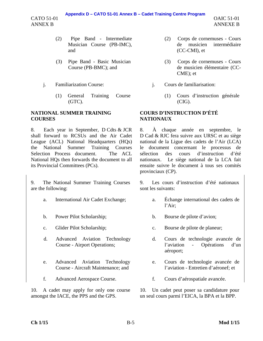### **Appendix D – CATO 51-01 Annex B – Cadet Training Centre Program**

CATO 51-01 ANNEX B

- (2) Pipe Band Intermediate Musician Course (PB-IMC), and
- (3) Pipe Band Basic Musician Course (PB-BMC); and
- - (1) General Training Course (GTC).

### **NATIONAL SUMMER TRAINING COURSES**

8. Each year in September, D Cdts & JCR shall forward to RCSUs and the Air Cadet League (ACL) National Headquarters (HQs) the National Summer Training Courses Selection Process document. The ACL National HQs then forwards the document to all its Provincial Committees (PCs).

9. The National Summer Training Courses are the following:

- 
- 
- 
- d. Advanced Aviation Technology Course - Airport Operations;
- e. Advanced Aviation Technology Course - Aircraft Maintenance; and
- 

10. A cadet may apply for only one course amongst the IACE, the PPS and the GPS.

- (2) Corps de cornemuses Cours de musicien intermédiaire (CC-CMI), et
- (3) Corps de cornemuses Cours de musicien élémentaire (CC-CME); et
- j. Familiarization Course: j. Cours de familiarisation:
	- (1) Cours d'instruction générale (CIG).

### **COURS D'INSTRUCTION D'ÉTÉ NATIONAUX**

8. À chaque année en septembre, le D Cad & RJC fera suivre aux URSC et au siège national de la Ligue des cadets de l'Air (LCA) le document concernant le processus de sélection des cours d'instruction d'été nationaux. Le siège national de la LCA fait ensuite suivre le document à tous ses comités provinciaux (CP).

9. Les cours d'instruction d'été nationaux sont les suivants:

- a. International Air Cadet Exchange; a. Échange international des cadets de l'Air;
- b. Power Pilot Scholarship; b. Bourse de pilote d'avion;
- c. Glider Pilot Scholarship; c. Bourse de pilote de planeur;
	- d. Cours de technologie avancée de l'aviation - Opérations d'un aéroport;
	- e. Cours de technologie avancée de l'aviation - Entretien d'aéronef; et
- f. Advanced Aerospace Course. f. Cours d'aérospatiale avancée.

10. Un cadet peut poser sa candidature pour un seul cours parmi l'EICA, la BPA et la BPP.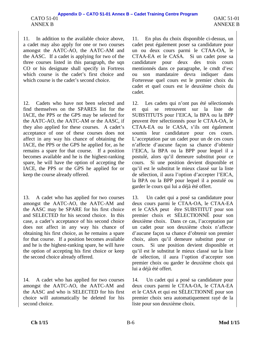11. In addition to the available choice above, a cadet may also apply for one or two courses amongst the AATC-AO, the AATC-AM and the AASC. If a cadet is applying for two of the three courses listed in this paragraph, the sqn CO or his designate shall specify in Fortress which course is the cadet's first choice and which course is the cadet's second choice.

12. Cadets who have not been selected and find themselves on the SPARES list for the IACE, the PPS or the GPS may be selected for the AATC-AO, the AATC-AM or the AASC, if they also applied for these courses. A cadet's acceptance of one of these courses does not affect in any way his chance of obtaining the IACE, the PPS or the GPS he applied for, as he remains a spare for that course. If a position becomes available and he is the highest-ranking spare, he will have the option of accepting the IACE, the PPS or the GPS he applied for or keep the course already offered.

13. A cadet who has applied for two courses amongst the AATC-AO, the AATC-AM and the AASC may be SPARE for his first choice and SELECTED for his second choice. In this case, a cadet's acceptance of his second choice does not affect in any way his chance of obtaining his first choice, as he remains a spare for that course. If a position becomes available and he is the highest-ranking spare, he will have the option of accepting his first choice or keep the second choice already offered.

14. A cadet who has applied for two courses amongst the AATC-AO, the AATC-AM and the AASC and who is SELECTED for his first choice will automatically be deleted for his second choice.

11. En plus du choix disponible ci-dessus, un cadet peut également poser sa candidature pour un ou deux cours parmi le CTAA-OA, le CTAA-EA et le CASA. Si un cadet pose sa candidature pour deux des trois cours mentionnés dans ce paragraphe, le cmdt d'esc ou son mandataire devra indiquer dans Forteresse quel cours est le premier choix du cadet et quel cours est le deuxième choix du cadet.

12. Les cadets qui n'ont pas été sélectionnés et qui se retrouvent sur la liste de SUBSTITUTS pour l'EICA, la BPA ou la BPP peuvent être sélectionnés pour le CTAA-OA, le CTAA-EA ou le CASA, s'ils ont également soumis leur candidature pour ces cours. L'acceptation par un cadet pour un de ces cours n'affecte d'aucune façon sa chance d'obtenir l'EICA, la BPA ou la BPP pour lequel il a postulé, alors qu'il demeure substitut pour ce cours. Si une position devient disponible et qu'il est le substitut le mieux classé sur la liste de sélection, il aura l'option d'accepter l'EICA, la BPA ou la BPP pour lequel il a postulé ou garder le cours qui lui a déjà été offert.

13. Un cadet qui a posé sa candidature pour deux cours parmi le CTAA-OA, le CTAA-EA et le CASA peut être SUBSTITUT pour son premier choix et SÉLECTIONNÉ pour son deuxième choix. Dans ce cas, l'acceptation par un cadet pour son deuxième choix n'affecte d'aucune façon sa chance d'obtenir son premier choix, alors qu'il demeure substitut pour ce cours. Si une position devient disponible et qu'il est le substitut le mieux classé sur la liste de sélection, il aura l'option d'accepter son premier choix ou garder le deuxième choix qui lui a déjà été offert.

14. Un cadet qui a posé sa candidature pour deux cours parmi le CTAA-OA, le CTAA-EA et le CASA et qui est SÉLECTIONNÉ pour son premier choix sera automatiquement rayé de la liste pour son deuxième choix.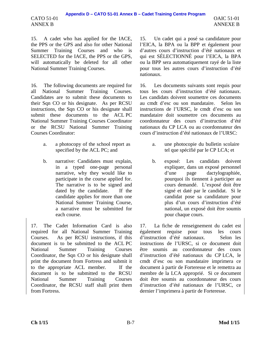15. A cadet who has applied for the IACE, the PPS or the GPS and also for other National Summer Training Courses and who is SELECTED for the IACE, the PPS or the GPS, will automatically be deleted for all other National Summer Training Courses.

CATO 51-01 ANNEX B

16. The following documents are required for all National Summer Training Courses. Candidates are to submit these documents to their Sqn CO or his designate. As per RCSU instructions, the Sqn CO or his designate shall submit these documents to the ACL PC National Summer Training Courses Coordinator or the RCSU National Summer Training Courses Coordinator:

- a. a photocopy of the school report as specified by the ACL PC; and
- b. narrative: Candidates must explain, in a typed one-page personal narrative, why they would like to participate in the course applied for. The narrative is to be signed and dated by the candidate. If the candidate applies for more than one National Summer Training Course, a narrative must be submitted for each course.

17. The Cadet Information Card is also required for all National Summer Training Courses. As per RCSU instructions, if this document is to be submitted to the ACL PC National Summer Training Courses Coordinator, the Sqn CO or his designate shall print the document from Fortress and submit it to the appropriate ACL member. If the document is to be submitted to the RCSU National Summer Training Courses Coordinator, the RCSU staff shall print them from Fortress.

15. Un cadet qui a posé sa candidature pour l'EICA, la BPA ou la BPP et également pour d'autres cours d'instruction d'été nationaux et qui est SÉLECTIONNÉ pour l'EICA, la BPA ou la BPP sera automatiquement rayé de la liste pour tous les autres cours d'instruction d'été nationaux.

16. Les documents suivants sont requis pour tous les cours d'instruction d'été nationaux. Les candidats doivent soumettre ces documents au cmdt d'esc ou son mandataire. Selon les instructions de l'URSC, le cmdt d'esc ou son mandataire doit soumettre ces documents au coordonnateur des cours d'instruction d'été nationaux du CP LCA ou au coordonnateur des cours d'instruction d'été nationaux de l'URSC:

- a. une photocopie du bulletin scolaire tel que spécifié par le CP LCA; et
- b. exposé: Les candidats doivent expliquer, dans un exposé personnel d'une page dactylographiée, pourquoi ils tiennent à participer au cours demandé. L'exposé doit être signé et daté par le candidat. Si le candidat pose sa candidature pour plus d'un cours d'instruction d'été national, un exposé doit être soumis pour chaque cours.

17. La fiche de renseignement du cadet est également requise pour tous les cours d'instruction d'été nationaux. Selon les instructions de l'URSC, si ce document doit être soumis au coordonnateur des cours d'instruction d'été nationaux du CP LCA, le cmdt d'esc ou son mandataire imprimera ce document à partir de Forteresse et le remettra au membre de la LCA approprié. Si ce document doit être soumis au coordonnateur des cours d'instruction d'été nationaux de l'URSC, ce dernier l'imprimera à partir de Forteresse.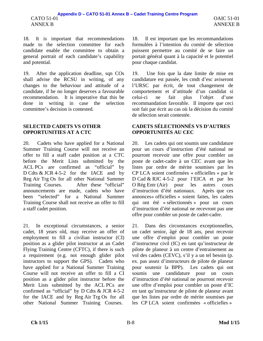18. It is important that recommendations made to the selection committee for each candidate enable the committee to obtain a general portrait of each candidate's capability and potential.

19. After the application deadline, sqn COs shall advise the RCSU in writing, of any changes to the behaviour and attitude of a candidate, if he no longer deserves a favourable recommendation. It is imperative that this be done in writing in case the selection committee's decision is contested.

### **SELECTED CADETS VS OTHER OPPORTUNITIES AT A CTC**

20. Cadets who have applied for a National Summer Training Course will not receive an offer to fill a staff cadet position at a CTC before the Merit Lists submitted by the ACL PCs are confirmed as "official" by D Cdts & JCR 4-5-2 for the IACE and by Reg Air Trg Os for all other National Summer Training Courses. After these "official" announcements are made, cadets who have been "selected" for a National Summer Training Course shall not receive an offer to fill a staff cadet position.

21. In exceptional circumstances, a senior cadet, 18 years old, may receive an offer of employment to fill a civilian instructor (CI) position as a glider pilot instructor at an Cadet Flying Training Centre (CFTC), if there is such a requirement (e.g. not enough glider pilot instructors to support the GPS). Cadets who have applied for a National Summer Training Course will not receive an offer to fill a CI position as a glider pilot instructor before the Merit Lists submitted by the ACL PCs are confirmed as "official" by D Cdts & JCR 4-5-2 for the IACE and by Reg Air Trg Os for all other National Summer Training Courses.

18. Il est important que les recommandations formulées à l'intention du comité de sélection puissent permettre au comité de se faire un portait général quant à la capacité et le potentiel pour chaque candidat.

19. Une fois que la date limite de mise en candidature est passée, les cmdt d'esc aviseront l'URSC par écrit, de tout changement de comportement et d'attitude d'un candidat si celui-ci ne fait plus l'objet d'une recommandation favorable. Il importe que ceci soit fait par écrit au cas où la décision du comité de sélection serait contestée.

# **CADETS SÉLECTIONNÉS VS D'AUTRES OPPORTUNITÉS AU CEC**

20. Les cadets qui ont soumis une candidature pour un cours d'instruction d'été national ne pourront recevoir une offre pour combler un poste de cadet-cadre à un CEC avant que les listes par ordre de mérite soumises par les CP LCA soient confirmées « officielles » par le D Cad & RJC 4-5-2 pour l'EICA et par les O Rég Entr (Air) pour les autres cours d'instruction d'été nationaux. Après que ces annonces« officielles » soient faites, les cadets qui ont été « sélectionnés » pour un cours d'instruction d'été national ne recevront pas une offre pour combler un poste de cadet-cadre.

21. Dans des circonstances exceptionnelles, un cadet senior, âgé de 18 ans, peut recevoir une offre d'emploi pour combler un poste d'instructeur civil (IC) en tant qu'instructeur de pilote de planeur à un centre d'entrainement au vol des cadets (CEVC), s'il y a un tel besoin (p. ex. pas assez d'instructeurs de pilote de planeur pour soutenir la BPP). Les cadets qui ont soumis une candidature pour un cours d'instruction d'été national ne pourront recevoir une offre d'emploi pour combler un poste d'IC en tant qu'instructeur de pilote de planeur avant que les listes par ordre de mérite soumises par les CP LCA soient confirmées « officielles »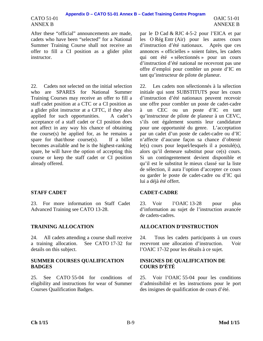### CATO 51-01 ANNEX B

After these "official" announcements are made, cadets who have been "selected" for a National Summer Training Course shall not receive an offer to fill a CI position as a glider pilot instructor.

22. Cadets not selected on the initial selection who are SPARES for National Summer Training Courses may receive an offer to fill a staff cadet position at a CTC or a CI position as a glider pilot instructor at a CFTC, if they also applied for such opportunities. A cadet's acceptance of a staff cadet or CI position does not affect in any way his chance of obtaining the course(s) he applied for, as he remains a spare for that/those course(s). If a billet becomes available and he is the highest-ranking spare, he will have the option of accepting this course or keep the staff cadet or CI position already offered.

23. For more information on Staff Cadet Advanced Training see CATO 13-28.

24. All cadets attending a course shall receive a training allocation. See CATO 17-32 for details on this subject.

### **SUMMER COURSES QUALIFICATION BADGES**

25. See CATO 55-04 for conditions of eligibility and instructions for wear of Summer Courses Qualification Badges.

par le D Cad & RJC 4-5-2 pour l'EICA et par les O Rég Entr (Air) pour les autres cours d'instruction d'été nationaux. Après que ces annonces « officielles » soient faites, les cadets qui ont été « sélectionnés » pour un cours d'instruction d'été national ne recevront pas une offre d'emploi pour combler un poste d'IC en tant qu'instructeur de pilote de planeur.

22. Les cadets non sélectionnés à la sélection initiale qui sont SUBSTITUTS pour les cours d'instruction d'été nationaux peuvent recevoir une offre pour combler un poste de cadet-cadre à un CEC ou un poste d'IC en tant qu'instructeur de pilote de planeur à un CEVC, s'ils ont également soumis leur candidature pour une opportunité du genre. L'acceptation par un cadet d'un poste de cadet-cadre ou d'IC n'affecte d'aucune façon sa chance d'obtenir le(s) cours pour lequel/lesquels il a postulé(s), alors qu'il demeure substitut pour ce(s) cours. Si un contingentement devient disponible et qu'il est le substitut le mieux classé sur la liste de sélection, il aura l'option d'accepter ce cours ou garder le poste de cadet-cadre ou d'IC qui lui a déjà été offert.

### **STAFF CADET CADET-CADRE**

23. Voir l'OAIC 13-28 pour plus d'information au sujet de l'instruction avancée de cadets-cadres.

### **TRAINING ALLOCATION ALLOCATION D'INSTRUCTION**

24. Tous les cadets participants à un cours recevront une allocation d'instruction. Voir l'OAIC 17-32 pour les détails à ce sujet.

### **INSIGNES DE QUALIFICATION DE COURS D'ÉTÉ**

25. Voir l'OAIC 55-04 pour les conditions d'admissibilité et les instructions pour le port des insignes de qualification de cours d'été.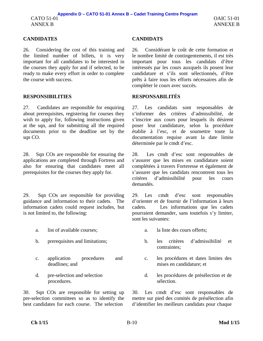### **CANDIDATES CANDIDATS**

26. Considering the cost of this training and the limited number of billets, it is very important for all candidates to be interested in the courses they apply for and if selected, to be ready to make every effort in order to complete the course with success.

# **RESPONSIBILITIES RESPONSABILITÉS**

27. Candidates are responsible for enquiring about prerequisites, registering for courses they wish to apply for, following instructions given at the sqn, and for submitting all the required documents prior to the deadline set by the sqn CO.

28. Sqn COs are responsible for ensuring the applications are completed through Fortress and also for ensuring that candidates meet all prerequisites for the courses they apply for.

29. Sqn COs are responsible for providing guidance and information to their cadets. The information cadets could request includes, but is not limited to, the following:

- a. list of available courses:  $\qquad \qquad$  a. la liste des cours offerts:
- 
- c. application procedures and deadlines; and
- d. pre-selection and selection procedures.

30. Sqn COs are responsible for setting up pre-selection committees so as to identify the best candidates for each course. The selection

26. Considérant le coût de cette formation et le nombre limité de contingentements, il est très important pour tous les candidats d'être intéressés par les cours auxquels ils posent leur candidature et s'ils sont sélectionnés, d'être prêts à faire tous les efforts nécessaires afin de compléter le cours avec succès.

27. Les candidats sont responsables de s'informer des critères d'admissibilité, de s'inscrire aux cours pour lesquels ils désirent poser leur candidature, selon la procédure établie à l'esc, et de soumettre toute la documentation requise avant la date limite déterminée par le cmdt d'esc.

28. Les cmdt d'esc sont responsables de s'assurer que les mises en candidature soient complétées à travers Forteresse et également de s'assurer que les candidats rencontrent tous les critères d'admissibilité pour les cours demandés.

29. Les cmdt d'esc sont responsables d'orienter et de fournir de l'information à leurs cadets. Les informations que les cadets pourraient demander, sans toutefois s'y limiter, sont les suivantes:

- 
- b. prerequisites and limitations; b. les critères d'admissibilité et contraintes;
	- c. les procédures et dates limites des mises en candidature; et
	- d. les procédures de présélection et de sélection.

30. Les cmdt d'esc sont responsables de mettre sur pied des comités de présélection afin d'identifier les meilleurs candidats pour chaque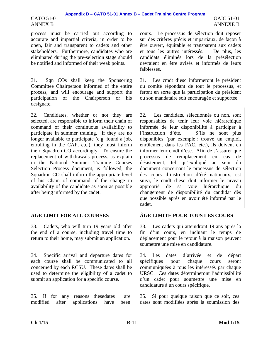### CATO 51-01 ANNEX B

process must be carried out according to accurate and impartial criteria, in order to be open, fair and transparent to cadets and other stakeholders. Furthermore, candidates who are eliminated during the pre-selection stage should be notified and informed of their weak points.

31. Sqn COs shall keep the Sponsoring Committee Chairperson informed of the entire process, and will encourage and support the participation of the Chairperson or his designate.

32. Candidates, whether or not they are selected, are responsible to inform their chain of command of their continuous availability to participate in summer training. If they are no longer available to participate (e.g. found a job, enrolling in the CAF, etc.), they must inform their Squadron CO accordingly. To ensure the replacement of withdrawals process, as explain in the National Summer Training Courses Selection Process document, is followed, the Squadron CO shall inform the appropriate level of his Chain of command of the change in availability of the candidate as soon as possible after being informed by the cadet.

33. Cadets, who will turn 19 years old after the end of a course, including travel time to return to their home, may submit an application.

34. Specific arrival and departure dates for each course shall be communicated to all concerned by each RCSU. These dates shall be used to determine the eligibility of a cadet to submit an application for a specific course.

35. If for any reasons these dates are modified after applications have been cours. Le processus de sélection doit reposer sur des critères précis et impartiaux, de façon à être ouvert, équitable et transparent aux cadets et tous les autres intéressés. De plus, les candidats éliminés lors de la présélection devraient en être avisés et informés de leurs faiblesses.

31. Les cmdt d'esc informeront le président du comité répondant de tout le processus, et feront en sorte que la participation du président ou son mandataire soit encouragée et supportée.

32. Les candidats, sélectionnés ou non, sont responsables de tenir leur voie hiérarchique informée de leur disponibilité à participer à l'instruction d'été. S'ils ne sont plus disponibles (par exemple : trouvé un emploi, enrôlement dans les FAC, etc.), ils doivent en informer leur cmdt d'esc. Afin de s'assurer que processus de remplacement en cas de désistement, tel qu'expliqué au sein du document concernant le processus de sélection des cours d'instruction d'été nationaux, est suivi, le cmdt d'esc doit informer le niveau approprié de sa voie hiérarchique du changement de disponibilité du candidat dès que possible après en avoir été informé par le cadet.

# **AGE LIMIT FOR ALL COURSES ÂGE LIMITE POUR TOUS LES COURS**

33. Les cadets qui atteindront 19 ans après la fin d'un cours, en incluant le temps de déplacement pour le retour à la maison peuvent soumettre une mise en candidature.

34. Les dates d'arrivée et de départ spécifiques pour chaque cours seront communiquées à tous les intéressés par chaque URSC. Ces dates détermineront l'admissibilité d'un cadet pour soumettre une mise en candidature à un cours spécifique.

35. Si pour quelque raison que ce soit, ces dates sont modifiées après la soumission des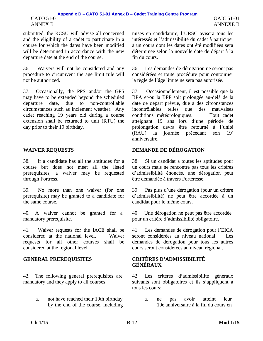### CATO 51-01 ANNEX B **Appendix D – CATO 51-01 Annex B – Cadet Training Centre Program**

submitted, the RCSU will advise all concerned and the eligibility of a cadet to participate in a course for which the dates have been modified will be determined in accordance with the new departure date at the end of the course.

36. Waivers will not be considered and any procedure to circumvent the age limit rule will not be authorized.

37. Occasionally, the PPS and/or the GPS may have to be extended beyond the scheduled departure date, due to non-controllable circumstances such as inclement weather. Any cadet reaching 19 years old during a course extension shall be returned to unit (RTU) the day prior to their 19 birthday.

38. If a candidate has all the aptitudes for a course but does not meet all the listed prerequisites, a waiver may be requested through Fortress.

39. No more than one waiver (for one prerequisite) may be granted to a candidate for the same course.

40. A waiver cannot be granted for a mandatory prerequisite.

41. Waiver requests for the IACE shall be considered at the national level. Waiver requests for all other courses shall be considered at the regional level.

42. The following general prerequisites are mandatory and they apply to all courses:

> a. not have reached their 19th birthday by the end of the course, including

mises en candidature, l'URSC avisera tous les intéressés et l'admissibilité du cadet à participer à un cours dont les dates ont été modifiées sera déterminée selon la nouvelle date de départ à la fin du cours.

36. Les demandes de dérogation ne seront pas considérées et toute procédure pour contourner la règle de l'âge limite ne sera pas autorisée.

37. Occasionnellement, il est possible que la BPA et/ou la BPP soit prolongée au-delà de la date de départ prévue, due à des circonstances incontrôlables telles que des mauvaises conditions météorologiques. Tout cadet atteignant 19 ans lors d'une période de prolongation devra être retourné à l'unité (RAU) la journée précédant son 19e anniversaire.

# **WAIVER REQUESTS DEMANDE DE DÉROGATION**

38. Si un candidat a toutes les aptitudes pour un cours mais ne rencontre pas tous les critères d'admissibilité énoncés, une dérogation peut être demandée à travers Forteresse.

39. Pas plus d'une dérogation (pour un critère d'admissibilité) ne peut être accordée à un candidat pour le même cours.

40. Une dérogation ne peut pas être accordée pour un critère d'admissibilité obligatoire.

41. Les demandes de dérogation pour l'EICA seront considérées au niveau national. Les demandes de dérogation pour tous les autres cours seront considérées au niveau régional.

### **GENERAL PREREQUISITES CRITÈRES D'ADMISSIBILITÉ GÉNÉRAUX**

42. Les critères d'admissibilité généraux suivants sont obligatoires et ils s'appliquent à tous les cours:

> a. ne pas avoir atteint leur 19e anniversaire à la fin du cours en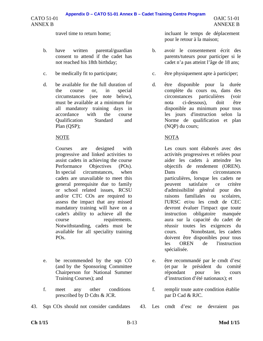### **Appendix D – CATO 51-01 Annex B – Cadet Training Centre Program**

CATO 51-01 ANNEX B

- b. have written parental/guardian consent to attend if the cadet has not reached his 18th birthday;
- 
- d. be available for the full duration of the course or, in special circumstances (see note below), must be available at a minimum for all mandatory training days in accordance with the course Qualification Standard and Plan (QSP);

Courses are designed with progressive and linked activities to assist cadets in achieving the course Performance Objectives (POs). In special circumstances, when cadets are unavailable to meet this general prerequisite due to family or school related issues, RCSU and/or CTC COs are required to assess the impact that any missed mandatory training will have on a cadet's ability to achieve all the course requirements. Notwithstanding, cadets must be available for all speciality training PO<sub>s</sub>.

- e. be recommended by the sqn CO (and by the Sponsoring Committee Chairperson for National Summer Training Courses); and
- f. meet any other conditions prescribed by D Cdts & JCR.
- 43. Sqn COs should not consider candidates 43. Les cmdt d'esc ne devraient pas

travel time to return home; incluant le temps de déplacement pour le retour à la maison;

- b. avoir le consentement écrit des parents/tuteurs pour participer si le cadet n'a pas atteint l'âge de 18 ans;
- c. be medically fit to participate; c. être physiquement apte à participer;
	- d. être disponible pour la durée complète du cours ou, dans des circonstances particulières (voir nota ci-dessous), doit être disponible au minimum pour tous les jours d'instruction selon la Norme de qualification et plan (NQP) du cours;

# NOTE NOTA

Les cours sont élaborés avec des activités progressives et reliées pour aider les cadets à atteindre les objectifs de rendement (OREN). Dans des circonstances particulières, lorsque les cadets ne peuvent satisfaire ce critère d'admissibilité général pour des raisons familiales ou scolaires, l'URSC et/ou les cmdt de CEC devront évaluer l'impact que toute instruction obligatoire manquée aura sur la capacité du cadet de réussir toutes les exigences du cours. Nonobstant, les cadets doivent être disponibles pour tous les OREN de l'instruction spécialisée.

- e. être recommandé par le cmdt d'esc (et par le président du comité répondant pour les cours d'instruction d'été nationaux); et
- f. remplir toute autre condition établie par D Cad & RJC.
-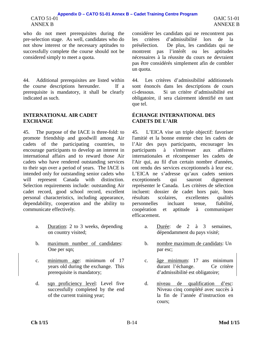### CATO 51-01 ANNEX B **Appendix D – CATO 51-01 Annex B – Cadet Training Centre Program**

who do not meet prerequisites during the pre-selection stage. As well, candidates who do not show interest or the necessary aptitudes to successfully complete the course should not be considered simply to meet a quota.

44. Additional prerequisites are listed within the course descriptions hereunder. If a prerequisite is mandatory, it shall be clearly indicated as such.

### **INTERNATIONAL AIR CADET EXCHANGE**

45. The purpose of the IACE is three-fold: to promote friendship and goodwill among Air cadets of the participating countries, to encourage participants to develop an interest in international affairs and to reward those Air cadets who have rendered outstanding services to their sqn over a period of years. The IACE is intended only for outstanding senior cadets who will represent Canada with distinction. Selection requirements include: outstanding Air cadet record, good school record, excellent personal characteristics, including appearance, dependability, cooperation and the ability to communicate effectively.

- a. Duration: 2 to 3 weeks, depending on country visited;
- b. maximum number of candidates: One per sqn;
- c. minimum age: minimum of 17 years old during the exchange. This prerequisite is mandatory;
- d. sqn proficiency level: Level five successfully completed by the end of the current training year;

considérer les candidats qui ne rencontrent pas les critères d'admissibilité lors de la présélection. De plus, les candidats qui ne montrent pas l'intérêt ou les aptitudes nécessaires à la réussite du cours ne devraient pas être considérés simplement afin de combler un quota.

44. Les critères d'admissibilité additionnels sont énoncés dans les descriptions de cours ci-dessous. Si un critère d'admissibilité est obligatoire, il sera clairement identifié en tant que tel.

### **ÉCHANGE INTERNATIONAL DES CADETS DE L'AIR**

45. L'EICA vise un triple objectif: favoriser l'amitié et la bonne entente chez les cadets de l'Air des pays participants, encourager les participants à s'intéresser aux affaires internationales et récompenser les cadets de l'Air qui, au fil d'un certain nombre d'années, ont rendu des services exceptionnels à leur esc. L'EICA ne s'adresse qu'aux cadets seniors exceptionnels qui sauront dignement représenter le Canada. Les critères de sélection incluent: dossier de cadet hors pair, bons résultats scolaires, excellentes qualités personnelles incluant tenue, fiabilité, coopération et aptitude à communiquer efficacement.

- a. Durée: de 2 à 3 semaines, dépendamment du pays visité;
- b. nombre maximum de candidats: Un par esc;
- c. âge minimum: 17 ans minimum durant l'échange. Ce critère d'admissibilité est obligatoire;
- d. niveau de qualification d'esc: Niveau cinq complété avec succès à la fin de l'année d'instruction en cours;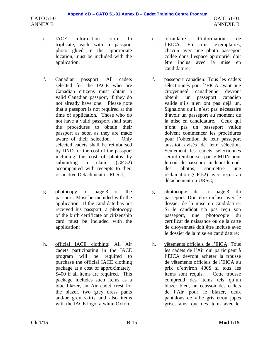OAIC 51-01 ANNEXE B

- e. IACE information form: In triplicate, each with a passport photo glued in the appropriate location, must be included with the application;
- f. Canadian passport: All cadets selected for the IACE who are Canadian citizens must obtain a valid Canadian passport, if they do not already have one. Please note that a passport is not required at the time of application. Those who do not have a valid passport shall start the procedures to obtain their passport as soon as they are made aware of their selection. Only selected cadets shall be reimbursed by DND for the cost of the passport including the cost of photos by submitting a claim (CF 52) accompanied with receipts to their respective Detachment or RCSU;
- g. photocopy of page 3 of the passport: Must be included with the application. If the candidate has not received his passport, a photocopy of the birth certificate or citizenship card must be included with the application;
- h. official IACE clothing: All Air cadets participating in the IACE program will be required to purchase the official IACE clothing package at a cost of approximately \$400 if all items are required. This package includes such items as a blue blazer, an Air cadet crest for the blazer, two grey dress pants and/or grey skirts and also items with the IACE logo; a white Oxford
- e. formulaire d'information de l'EICA: En trois exemplaires, chacun avec une photo passeport collée dans l'espace approprié, doit être inclus avec la mise en candidature;
- f. passeport canadien: Tous les cadets sélectionnés pour l'EICA ayant une citoyenneté canadienne devront obtenir un passeport canadien valide s'ils n'en ont pas déjà un. Signalons qu'il n'est pas nécessaire d'avoir un passeport au moment de la mise en candidature. Ceux qui n'ont pas un passeport valide doivent commencer les procédures pour l'obtention de leur passeport aussitôt avisés de leur sélection. Seulement les cadets sélectionnés seront remboursés par le MDN pour le coût du passeport incluant le coût des photos; soumettre une réclamation (CF 52) avec reçus au détachement ou URSC;
- g. photocopie de la page 3 du passeport: Doit être incluse avec le dossier de la mise en candidature. Si le candidat n'a pas reçu son passeport, une photocopie du certificat de naissance ou de la carte de citoyenneté doit être incluse avec le dossier de la mise en candidature;
- h. vêtements officiels de l'EICA: Tous les cadets de l'Air qui participent à l'EICA devront acheter la trousse de vêtements officiels de l'EICA au prix d'environ 400\$ si tous les items sont requis. Cette trousse comprend des items tels qu'un blazer bleu, un écusson des cadets de l'Air pour le blazer, deux pantalons de ville gris et/ou jupes grises ainsi que des items avec le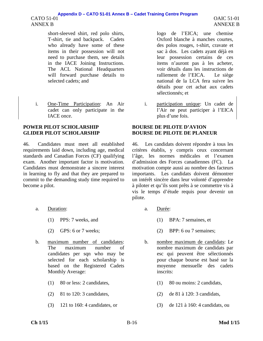### CATO 51-01 ANNEX B **Appendix D – CATO 51-01 Annex B – Cadet Training Centre Program**

short-sleeved shirt, red polo shirts, T-shirt, tie and backpack. Cadets who already have some of these items in their possession will not need to purchase them, see details in the IACE Joining Instructions. The ACL National Headquarters will forward purchase details to selected cadets; and

i. One-Time Participation: An Air cadet can only participate in the IACE once.

### **POWER PILOT SCHOLARSHIP GLIDER PILOT SCHOLARSHIP**

46. Candidates must meet all established requirements laid down, including age, medical standards and Canadian Forces (CF) qualifying exam. Another important factor is motivation. Candidates must demonstrate a sincere interest in learning to fly and that they are prepared to commit to the demanding study time required to become a pilot.

- a. Duration: a. Durée:
	-
	-
- b. maximum number of candidates: The maximum number of candidates per sqn who may be selected for each scholarship is based on the Registered Cadets Monthly Average:
	-
	-
	-

logo de l'EICA; une chemise Oxford blanche à manches courtes, des polos rouges, t-shirt, cravate et sac à dos. Les cadets ayant déjà en leur possession certains de ces items n'auront pas à les acheter, voir détails dans les instructions de ralliement de l'EICA. Le siège national de la LCA fera suivre les détails pour cet achat aux cadets sélectionnés; et

i. participation unique: Un cadet de l'Air ne peut participer à l'EICA plus d'une fois.

# **BOURSE DE PILOTE D'AVION BOURSE DE PILOTE DE PLANEUR**

46. Les candidats doivent répondre à tous les critères établis, y compris ceux concernant l'âge, les normes médicales et l'examen d'admission des Forces canadiennes (FC). La motivation compte aussi au nombre des facteurs importants. Les candidats doivent démontrer un intérêt sincère dans leur volonté d'apprendre à piloter et qu'ils sont prêts à se commettre vis à vis le temps d'étude requis pour devenir un pilote.

- 
- (1) PPS: 7 weeks, and (1) BPA: 7 semaines, et
- (2) GPS: 6 or 7 weeks; (2) BPP: 6 ou 7 semaines;
	- b. nombre maximum de candidats: Le nombre maximum de candidats par esc qui peuvent être sélectionnés pour chaque bourse est basé sur la moyenne mensuelle des cadets inscrits:
- (1) 80 or less: 2 candidates, (1) 80 ou moins: 2 candidats,
- (2) 81 to 120: 3 candidates, (2) de 81 à 120: 3 candidats,
- (3) 121 to 160: 4 candidates, or (3) de 121 à 160: 4 candidats, ou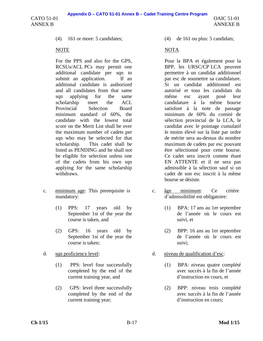**Appendix D – CATO 51-01 Annex B – Cadet Training Centre Program**

CATO 51-01 ANNEX B

For the PPS and also for the GPS, RCSUs/ACL PCs may permit one additional candidate per sqn to submit an application. If an additional candidate is authorized and all candidates from that same sqn applying for the same scholarship meet the ACL Provincial Selection Board minimum standard of 60%, the candidate with the lowest total score on the Merit List shall be over the maximum number of cadets per sqn who may be selected for that scholarship. This cadet shall be listed as PENDING and he shall not be eligible for selection unless one of the cadets from his own sqn applying for the same scholarship withdraws.

- c. minimum age: This prerequisite is mandatory:
	- (1) PPS: 17 years old by September 1st of the year the course is taken, and
	- (2) GPS: 16 years old by September 1st of the year the course is taken;
- - (1) PPS: level four successfully completed by the end of the current training year, and
	- (2) GPS: level three successfully completed by the end of the current training year;

(4) 161 or more: 5 candidates; (4) de 161 ou plus: 5 candidats;

# NOTE NOTA

Pour la BPA et également pour la BPP, les URSC/CP LCA peuvent permettre à un candidat additionnel par esc de soumettre sa candidature. Si un candidat additionnel est autorisé et tous les candidats du même esc ayant posé leur candidature à la même bourse satisfont à la note de passage minimum de 60% du comité de sélection provincial de la LCA, le candidat avec le pointage cumulatif le moins élevé sur la liste par ordre de mérite sera au-dessus du nombre maximum de cadets par esc pouvant être sélectionné pour cette bourse. Ce cadet sera inscrit comme étant EN ATTENTE et il ne sera pas admissible à la sélection sauf si un cadet de son esc inscrit à la même bourse se désiste.

- c. âge minimum: Ce critère d'admissibilité est obligatoire:
	- (1) BPA: 17 ans au 1er septembre de l'année où le cours est suivi, et
	- (2) BPP: 16 ans au 1er septembre de l'année où le cours est suivi;
- d. sqn proficiency level: d. niveau de qualification d'esc:
	- (1) BPA: niveau quatre complété avec succès à la fin de l'année d'instruction en cours, et
	- (2) BPP: niveau trois complété avec succès à la fin de l'année d'instruction en cours;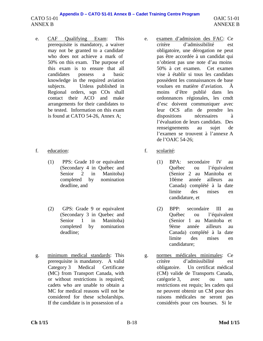OAIC 51-01 ANNEXE B

- e. CAF Qualifying Exam: This prerequisite is mandatory, a waiver may not be granted to a candidate who does not achieve a mark of 50% on this exam. The purpose of this exam is to ensure that all candidates possess a basic knowledge in the required aviation subjects. Unless published in Regional orders, sqn COs shall contact their ACO and make arrangements for their candidates to be tested. Information on this exam is found at CATO 54-26, Annex A;
- f. education: f. scolarité:
	- (1) PPS: Grade 10 or equivalent (Secondary 4 in Québec and Senior 2 in Manitoba) completed by nomination deadline, and
	- (2) GPS: Grade 9 or equivalent (Secondary 3 in Quebec and Senior 1 in Manitoba) completed by nomination deadline;
- g. minimum medical standards: This prerequisite is mandatory. A valid Category 3 Medical Certificate (MC) from Transport Canada, with or without restrictions is required; cadets who are unable to obtain a MC for medical reasons will not be considered for these scholarships. If the candidate is in possession of a
- e. examen d'admission des FAC: Ce critère d'admissibilité est obligatoire, une dérogation ne peut pas être accordée à un candidat qui n'obtient pas une note d'au moins 50% à cet examen. Cet examen vise à établir si tous les candidats possèdent les connaissances de base voulues en matière d'aviation. À moins d'être publié dans les ordonnances régionales, les cmdt d'esc doivent communiquer avec leur OCS afin de prendre les dispositions nécessaires à l'évaluation de leurs candidats. Des renseignements au sujet de l'examen se trouvent à l'annexe A de l'OAIC 54-26;
- - (1) BPA: secondaire IV au Québec ou l'équivalent (Senior 2 au Manitoba et 10ème année ailleurs au Canada) complété à la date limite des mises en candidature, et
	- (2) BPP: secondaire III au Québec ou l'équivalent (Senior 1 au Manitoba et 9ème année ailleurs au Canada) complété à la date limite des mises en candidature;
- g. normes médicales minimales: Ce critère d'admissibilité est obligatoire. Un certificat médical (CM) valide de Transports Canada, catégorie 3, avec ou sans restrictions est requis; les cadets qui ne peuvent obtenir un CM pour des raisons médicales ne seront pas considérés pour ces bourses. Si le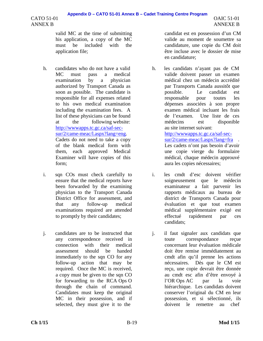valid MC at the time of submitting his application, a copy of the MC must be included with the application file;

- h. candidates who do not have a valid MC must pass a medical examination by a physician authorized by Transport Canada as soon as possible. The candidate is responsible for all expenses related to his own medical examination including the examination fees. A list of these physicians can be found at the following website: http://wwwapps.tc.gc.ca/saf-secsur/2/came-meac/l.aspx?lang=eng. Cadets do not need to take a copy of the blank medical form with them, each approved Medical Examiner will have copies of this form;
- i. sqn COs must check carefully to ensure that the medical reports have been forwarded by the examining physician to the Transport Canada District Office for assessment, and that any follow-up medical examinations required are attended to promptly by their candidates;
- j. candidates are to be instructed that any correspondence received in connection with their medical assessment should be handed immediately to the sqn CO for any follow-up action that may be required. Once the MC is received, a copy must be given to the sqn CO for forwarding to the RCA Ops O through the chain of command. Candidates must keep the original MC in their possession, and if selected, they must give it to the

candidat est en possession d'un CM valide au moment de soumettre sa candidature, une copie du CM doit être incluse avec le dossier de mise en candidature;

OAIC 51-01 ANNEXE B

- h. les candidats n'ayant pas de CM valide doivent passer un examen médical chez un médecin accrédité par Transports Canada aussitôt que possible. Le candidat est responsable pour toutes les dépenses associées à son propre examen médical incluant les frais de l'examen. Une liste de ces médecins est disponible au site internet suivant: http://wwwapps.tc.gc.ca/saf-secsur/2/came-meac/l.aspx?lang=fra . Les cadets n'ont pas besoin d'avoir une copie vierge du formulaire
- i. les cmdt d'esc doivent vérifier soigneusement que le médecin examinateur a fait parvenir les rapports médicaux au bureau de district de Transports Canada pour évaluation et que tout examen médical supplémentaire exigé est effectué rapidement par ces candidats;

médical, chaque médecin approuvé

aura les copies nécessaires;

j. il faut signaler aux candidats que toute correspondance reçue concernant leur évaluation médicale doit être remise immédiatement au cmdt afin qu'il prenne les actions nécessaires. Dès que le CM est reçu, une copie devrait être donnée au cmdt esc afin d'être envoyé à l'OR Ops AC par la voie hiérarchique. Les candidats doivent conserver l'original du CM en leur possession, et si sélectionné, ils doivent le remettre au chef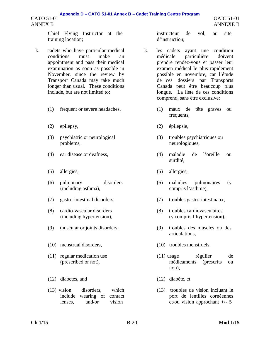Chief Flying Instructor at the training location;

- k. cadets who have particular medical conditions must make an appointment and pass their medical examination as soon as possible in November, since the review by Transport Canada may take much longer than usual. These conditions include, but are not limited to:
	-
	-
	- (3) psychiatric or neurological problems,
	-
	- (5) allergies, (5) allergies,
	- (6) pulmonary disorders (including asthma),
	-
	- (8) cardio-vascular disorders (including hypertension),
	-
	- (10) menstrual disorders, (10) troubles menstruels,
	- (11) regular medication use (prescribed or not),
	- (12) diabetes, and (12) diabète, et
	- (13) vision disorders, which include wearing of contact lenses, and/or vision

instructeur de vol, au site d'instruction;

- k. les cadets ayant une condition médicale particulière doivent prendre rendez-vous et passer leur examen médical le plus rapidement possible en novembre, car l'étude de ces dossiers par Transports Canada peut être beaucoup plus longue. La liste de ces conditions comprend, sans être exclusive:
- (1) frequent or severe headaches, (1) maux de tête graves ou fréquents,
- (2) epilepsy, (2) épilepsie,
	- (3) troubles psychiatriques ou neurologiques,
- (4) ear disease or deafness, (4) maladie de l'oreille ou surdité,
	-
	- (6) maladies pulmonaires (y compris l'asthme),
- (7) gastro-intestinal disorders, (7) troubles gastro-intestinaux,
	- (8) troubles cardiovasculaires (y compris l'hypertension),
- (9) muscular or joints disorders, (9) troubles des muscles ou des articulations,
	-
	- (11) usage régulier de médicaments (prescrits ou non),
	-
	- (13) troubles de vision incluant le port de lentilles cornéennes et/ou vision approchant +/- 5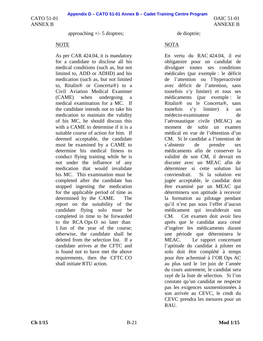OAIC 51-01 ANNEXE B

approaching +/- 5 dioptres; de dioptrie;

As per CAR 424.04, it is mandatory for a candidate to disclose all his medical conditions (such as, but not limited to, ADD or ADHD) and his medication (such as, but not limited to, Ritalin® or Concerta®) to a Civil Aviation Medical Examiner (CAME) when undergoing a medical examination for a MC. If the candidate intends not to take his medication to maintain the validity of his MC, he should discuss this with a CAME to determine if it is a suitable course of action for him. If deemed acceptable, the candidate must be examined by a CAME to determine his medical fitness to conduct flying training while he is not under the influence of any medication that would invalidate his MC. This examination must be completed after the candidate has stopped ingesting the medication for the applicable period of time as determined by the CAME. The report on the suitability of the candidate flying solo must be completed in time to be forwarded to the RCA Ops O no later than 1 Jun of the year of the course; otherwise, the candidate shall be deleted from the selection list. If a candidate arrives at the CFTC and is found not to have met the above requirements, then the CFTC CO shall initiate RTU action.

# NOTE NOTA

En vertu du RAC 424.04, il est obligatoire pour un candidat de divulguer toutes ses conditions médicales (par exemple : le déficit de l'attention ou l'hyperactivité avec déficit de l'attention, sans toutefois s'y limiter) et tous ses médicaments (par exemple : le Ritalin® ou le Concerta®, sans toutefois s'y limiter) à un médecin-examinateur de l'aéronautique civile (MEAC) au moment de subir un examen médical en vue de l'obtention d'un CM. Si le candidat a l'intention de s'abstenir de prendre ses médicaments afin de conserver la validité de son CM, il devrait en discuter avec un MEAC afin de déterminer si cette solution lui conviendrait. Si la solution est jugée acceptable, le candidat doit être examiné par un MEAC qui déterminera son aptitude à recevoir la formation au pilotage pendant qu'il n'est pas sous l'effet d'aucun médicament qui invaliderait son CM. Cet examen doit avoir lieu après que le candidat aura cessé d'ingérer les médicaments durant une période que déterminera le MEAC. Le rapport concernant l'aptitude du candidat à piloter en solo doit être complété à temps pour être acheminé à l'OR Ops AC au plus tard le 1er juin de l'année du cours autrement, le candidat sera rayé de la liste de sélection. Si l'on constate qu'un candidat ne respecte pas les exigences susmentionnées à son arrivée au CEVC, le cmdt du CEVC prendra les mesures pour un **RAU.**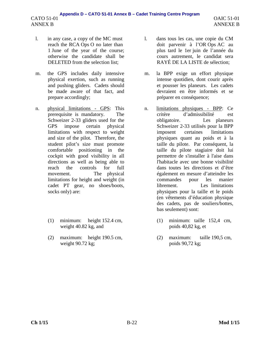- l. in any case, a copy of the MC must reach the RCA Ops O no later than 1 June of the year of the course; otherwise the candidate shall be DELETED from the selection list;
- m. the GPS includes daily intensive physical exertion, such as running and pushing gliders. Cadets should be made aware of that fact, and prepare accordingly;
- n. physical limitations GPS: This prerequisite is mandatory. The Schweizer 2-33 gliders used for the GPS impose certain physical limitations with respect to weight and size of the pilot. Therefore, the student pilot's size must promote comfortable positioning in the cockpit with good visibility in all directions as well as being able to reach the controls for full movement. The physical limitations for height and weight (in cadet PT gear, no shoes/boots, socks only) are:
	- (1) minimum: height 152.4 cm, weight 40.82 kg, and
	- (2) maximum: height 190.5 cm, weight 90.72 kg;
- l. dans tous les cas, une copie du CM doit parvenir à l'OR Ops AC au plus tard le 1er juin de l'année du cours autrement, le candidat sera RAYÉ DE LA LISTE de sélection;
- m. la BPP exige un effort physique intense quotidien, dont courir après et pousser les planeurs. Les cadets devraient en être informés et se préparer en conséquence;
- n. limitations physiques BPP: Ce critère d'admissibilité est obligatoire. Les planeurs Schweizer 2-33 utilisés pour la BPP imposent certaines limitations physiques quant au poids et à la taille du pilote. Par conséquent, la taille du pilote stagiaire doit lui permettre de s'installer à l'aise dans l'habitacle avec une bonne visibilité dans toutes les directions et d'être également en mesure d'atteindre les commandes pour les manier librement. Les limitations physiques pour la taille et le poids (en vêtements d'éducation physique des cadets, pas de souliers/bottes, bas seulement) sont:
	- (1) minimum: taille 152,4 cm, poids 40,82 kg, et
	- (2) maximum: taille 190,5 cm, poids 90,72 kg;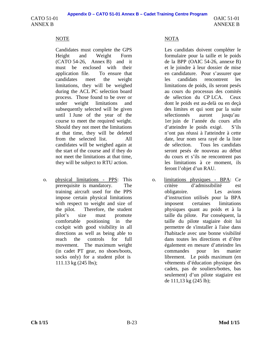CATO 51-01 ANNEX B

OAIC 51-01 ANNEXE B

Candidates must complete the GPS Height and Weight Form (CATO 54-26, Annex B) and it must be enclosed with their application file. To ensure that candidates meet the weight limitations, they will be weighed during the ACL PC selection board process. Those found to be over or under weight limitations and subsequently selected will be given until 1 June of the year of the course to meet the required weight. Should they not meet the limitations at that time, they will be deleted from the selected list. All candidates will be weighed again at the start of the course and if they do not meet the limitations at that time, they will be subject to RTU action.

o. physical limitations - PPS: This prerequisite is mandatory. The training aircraft used for the PPS impose certain physical limitations with respect to weight and size of the pilot. Therefore, the student pilot's size must promote comfortable positioning in the cockpit with good visibility in all directions as well as being able to reach the controls for full movement. The maximum weight (in cadet PT gear, no shoes/boots, socks only) for a student pilot is 111.13 kg (245 lbs);

# NOTE NOTA

Les candidats doivent compléter le formulaire pour la taille et le poids de la BPP (OAIC 54-26, annexe B) et le joindre à leur dossier de mise en candidature. Pour s'assurer que les candidats rencontrent les limitations de poids, ils seront pesés au cours du processus des comités de sélection du CP LCA. Ceux dont le poids est au-delà ou en deçà des limites et qui sont par la suite sélectionnés auront jusqu'au 1er juin de l'année du cours afin d'atteindre le poids exigé. S'ils n'ont pas réussi à l'atteindre à cette date, leur nom sera rayé de la liste de sélection. Tous les candidats seront pesés de nouveau au début du cours et s'ils ne rencontrent pas les limitations à ce moment, ils feront l'objet d'un RAU.

o. limitations physiques - BPA: Ce critère d'admissibilité est obligatoire. Les avions d'instruction utilisés pour la BPA imposent certaines limitations physiques quant au poids et à la taille du pilote. Par conséquent, la taille du pilote stagiaire doit lui permettre de s'installer à l'aise dans l'habitacle avec une bonne visibilité dans toutes les directions et d'être également en mesure d'atteindre les commandes pour les manier librement. Le poids maximum (en vêtements d'éducation physique des cadets, pas de souliers/bottes, bas seulement) d'un pilote stagiaire est de 111,13 kg (245 lb);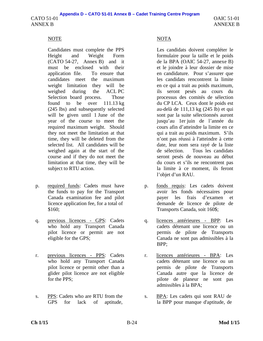Candidates must complete the PPS Height and Weight Form (CATO 54-27, Annex B) and it must be enclosed with their application file. To ensure that candidates meet the maximum weight limitation they will be weighed during the ACL PC Selection board process. Those found to be over  $111.13 \text{ kg}$ (245 lbs) and subsequently selected will be given until 1 June of the year of the course to meet the required maximum weight. Should they not meet the limitation at that time, they will be deleted from the selected list. All candidates will be weighed again at the start of the course and if they do not meet the limitation at that time, they will be subject to RTU action.

- p. required funds: Cadets must have the funds to pay for the Transport Canada examination fee and pilot licence application fee, for a total of \$160;
- q. previous licences GPS: Cadets who hold any Transport Canada pilot licence or permit are not eligible for the GPS;
- r. previous licences PPS: Cadets who hold any Transport Canada pilot licence or permit other than a glider pilot licence are not eligible for the PPS;
- s. PPS: Cadets who are RTU from the GPS for lack of aptitude,

# NOTE NOTE

Les candidats doivent compléter le formulaire pour la taille et le poids de la BPA (OAIC 54-27, annexe B) et le joindre à leur dossier de mise en candidature. Pour s'assurer que les candidats rencontrent la limite en ce qui a trait au poids maximum, ils seront pesés au cours du processus des comités de sélection du CP LCA. Ceux dont le poids est au-delà de 111,13 kg (245 lb) et qui sont par la suite sélectionnés auront jusqu'au 1er juin de l'année du cours afin d'atteindre la limite en ce qui a trait au poids maximum. S'ils n'ont pas réussi à l'atteindre à cette date, leur nom sera rayé de la liste de sélection. Tous les candidats seront pesés de nouveau au début du cours et s'ils ne rencontrent pas la limite à ce moment, ils feront l'objet d'un RAU.

- p. fonds requis: Les cadets doivent avoir les fonds nécessaires pour payer les frais d'examen et demande de licence de pilote de Transports Canada, soit 160\$;
- q. licences antérieures BPP: Les cadets détenant une licence ou un permis de pilote de Transports Canada ne sont pas admissibles à la BPP;
- r. licences antérieures BPA: Les cadets détenant une licence ou un permis de pilote de Transports Canada autre que la licence de pilote de planeur ne sont pas admissibles à la BPA;
- s. BPA: Les cadets qui sont RAU de la BPP pour manque d'aptitude, de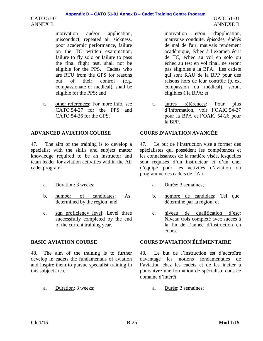### **Appendix D – CATO 51-01 Annex B – Cadet Training Centre Program**

CATO 51-01 ANNEX B

> motivation and/or application, misconduct, repeated air sickness, poor academic performance, failure on the TC written examination, failure to fly solo or failure to pass the final flight test, shall not be eligible for the PPS. Cadets who are RTU from the GPS for reasons out of their control (e.g. compassionate or medical), shall be eligible for the PPS; and

t. other references: For more info, see CATO 54-27 for the PPS and CATO 54-26 for the GPS.

# **ADVANCED AVIATION COURSE COURS D'AVIATION AVANCÉE**

47. The aim of the training is to develop a specialist with the skills and subject matter knowledge required to be an instructor and team leader for aviation activities within the Air cadet program.

- a. Duration: 3 weeks; a. Durée: 3 semaines;
- b. number of candidates: As determined by the region; and
- c. sqn proficiency level: Level three successfully completed by the end of the current training year.

48. The aim of the training is to further develop in cadets the fundamentals of aviation and inspire them to pursue specialist training in this subject area.

a. Duration: 3 weeks; a. Durée: 3 semaines;

motivation et/ou d'application, mauvaise conduite, épisodes répétés de mal de l'air, mauvais rendement académique, échec à l'examen écrit de TC, échec au vol en solo ou échec au test en vol final, ne seront pas éligibles à la BPA. Les cadets qui sont RAU de la BPP pour des raisons hors de leur contrôle (p. ex. compassion ou médical), seront éligibles à la BPA; et

t. autres références: Pour plus d'information, voir l'OAIC 54-27 pour la BPA et l'OAIC 54-26 pour la BPP.

47. Le but de l'instruction vise à former des spécialistes qui possèdent les compétences et les connaissances de la matière visée, lesquelles sont requises d'un instructeur et d'un chef d'équipe pour les activités d'aviation du programme des cadets de l'Air.

- 
- b. nombre de candidats: Tel que déterminé par la région; et
- c. niveau de qualification d'esc: Niveau trois complété avec succès à la fin de l'année d'instruction en cours.

# **BASIC AVIATION COURSE COURS D'AVIATION ÉLÉMENTAIRE**

48. Le but de l'instruction est d'accroître davantage les notions fondamentales de l'aviation chez les cadets et de les inciter à poursuivre une formation de spécialiste dans ce domaine d'intérêt.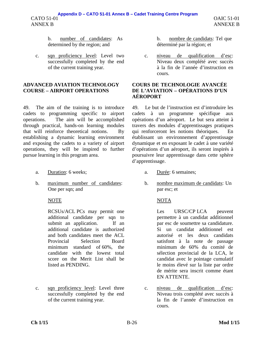b. number of candidates: As determined by the region; and

c. sqn proficiency level: Level two successfully completed by the end of the current training year.

### **ADVANCED AVIATION TECHNOLOGY COURSE – AIRPORT OPERATIONS**

49. The aim of the training is to introduce cadets to programming specific to airport operations. The aim will be accomplished through practical, hands-on learning modules that will reinforce theoretical notions. By establishing a dynamic learning environment and exposing the cadets to a variety of airport operations, they will be inspired to further pursue learning in this program area.

- a. Duration: 6 weeks; a. Durée: 6 semaines;
- b. maximum number of candidates: One per sqn; and

RCSUs/ACL PCs may permit one additional candidate per sqn to submit an application. If an additional candidate is authorized and both candidates meet the ACL Provincial Selection Board minimum standard of 60%, the candidate with the lowest total score on the Merit List shall be listed as PENDING.

c. sqn proficiency level: Level three successfully completed by the end of the current training year.

b. nombre de candidats: Tel que déterminé par la région; et

c. niveau de qualification d'esc: Niveau deux complété avec succès à la fin de l'année d'instruction en cours.

### **COURS DE TECHNOLOGIE AVANCÉE DE L'AVIATION – OPÉRATIONS D'UN AÉROPORT**

49. Le but de l'instruction est d'introduire les cadets à un programme spécifique aux opérations d'un aéroport. Le but sera atteint à travers des modules d'apprentissages pratiques qui renforceront les notions théoriques. En établissant un environnement d'apprentissage dynamique et en exposant le cadet à une variété d'opérations d'un aéroport, ils seront inspirés à poursuivre leur apprentissage dans cette sphère d'apprentissage.

- 
- b. nombre maximum de candidats: Un par esc; et

# NOTE NOTA

Les URSC/CP LCA peuvent permettre à un candidat additionnel par esc de soumettre sa candidature. Si un candidat additionnel est autorisé et les deux candidats satisfont à la note de passage minimum de 60% du comité de sélection provincial de la LCA, le candidat avec le pointage cumulatif le moins élevé sur la liste par ordre de mérite sera inscrit comme étant EN ATTENTE.

c. niveau de qualification d'esc: Niveau trois complété avec succès à la fin de l'année d'instruction en cours.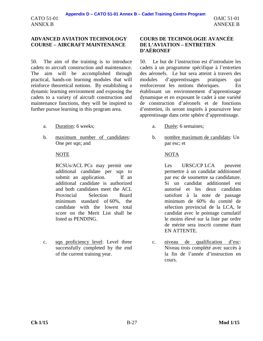CATO 51-01 ANNEX B

### **ADVANCED AVIATION TECHNOLOGY COURSE – AIRCRAFT MAINTENANCE**

50. The aim of the training is to introduce cadets to aircraft construction and maintenance. The aim will be accomplished through practical, hands-on learning modules that will reinforce theoretical notions. By establishing a dynamic learning environment and exposing the cadets to a variety of aircraft construction and maintenance functions, they will be inspired to further pursue learning in this program area.

- a. Duration: 6 weeks; a. Durée: 6 semaines;
- b. maximum number of candidates: One per sqn; and

RCSUs/ACL PCs may permit one additional candidate per sqn to submit an application. If an additional candidate is authorized and both candidates meet the ACL Provincial Selection Board minimum standard of 60%, the candidate with the lowest total score on the Merit List shall be listed as PENDING.

c. sqn proficiency level: Level three successfully completed by the end of the current training year.

### **COURS DE TECHNOLOGIE AVANCÉE DE L'AVIATION – ENTRETIEN D'AÉRONEF**

50. Le but de l'instruction est d'introduire les cadets à un programme spécifique à l'entretien des aéronefs. Le but sera atteint à travers des modules d'apprentissages pratiques qui renforceront les notions théoriques. En établissant un environnement d'apprentissage dynamique et en exposant le cadet à une variété de construction d'aéronefs et de fonctions d'entretien, ils seront inspirés à poursuivre leur apprentissage dans cette sphère d'apprentissage.

- 
- b. nombre maximum de candidats: Un par esc; et

### NOTE NOTA

Les URSC/CP LCA peuvent permettre à un candidat additionnel par esc de soumettre sa candidature. Si un candidat additionnel est autorisé et les deux candidats satisfont à la note de passage minimum de 60% du comité de sélection provincial de la LCA, le candidat avec le pointage cumulatif le moins élevé sur la liste par ordre de mérite sera inscrit comme étant EN ATTENTE.

c. niveau de qualification d'esc: Niveau trois complété avec succès à la fin de l'année d'instruction en cours.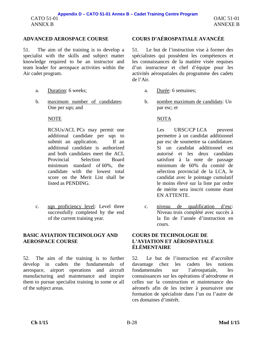51. The aim of the training is to develop a specialist with the skills and subject matter knowledge required to be an instructor and team leader for aerospace activities within the Air cadet program.

- 
- b. maximum number of candidates: One per sqn; and

### NOTE NOTA

RCSUs/ACL PCs may permit one additional candidate per sqn to submit an application. If an additional candidate is authorized and both candidates meet the ACL Provincial Selection Board minimum standard of 60%, the candidate with the lowest total score on the Merit List shall be listed as PENDING.

c. sqn proficiency level: Level three successfully completed by the end of the current training year.

### **BASIC AVIATION TECHNOLOGY AND AEROSPACE COURSE**

52. The aim of the training is to further develop in cadets the fundamentals of aerospace, airport operations and aircraft manufacturing and maintenance and inspire them to pursue specialist training in some or all of the subject areas.

# **ADVANCED AEROSPACE COURSE COURS D'AÉROSPATIALE AVANCÉE**

51. Le but de l'instruction vise à former des spécialistes qui possèdent les compétences et les connaissances de la matière visée requises d'un instructeur et chef d'équipe pour les activités aérospatiales du programme des cadets de l'Air.

- a. Duration: 6 weeks; a. Durée: 6 semaines;
	- b. nombre maximum de candidats: Un par esc; et

Les URSC/CP LCA peuvent permettre à un candidat additionnel par esc de soumettre sa candidature. Si un candidat additionnel est autorisé et les deux candidats satisfont à la note de passage minimum de 60% du comité de sélection provincial de la LCA, le candidat avec le pointage cumulatif le moins élevé sur la liste par ordre de mérite sera inscrit comme étant EN ATTENTE.

c. niveau de qualification d'esc: Niveau trois complété avec succès à la fin de l'année d'instruction en cours.

### **COURS DE TECHNOLOGIE DE L'AVIATION ET AÉROSPATIALE ÉLÉMENTAIRE**

52. Le but de l'instruction est d'accroître davantage chez les cadets les notions fondamentales sur l'aérospatiale, les connaissances sur les opérations d'aérodrome et celles sur la construction et maintenance des aéronefs afin de les inciter à poursuivre une formation de spécialiste dans l'un ou l'autre de ces domaines d'intérêt.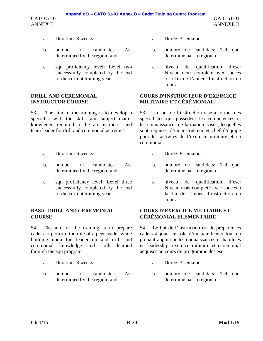# **Appendix D – CATO 51-01 Annex B – Cadet Training Centre Program**

CATO 51-01 ANNEX B

- 
- b. number of candidates: As determined by the region; and
- c. sqn proficiency level: Level two successfully completed by the end of the current training year.

## **DRILL AND CEREMONIAL INSTRUCTOR COURSE**

53. The aim of the training is to develop a specialist with the skills and subject matter knowledge required to be an instructor and team leader for drill and ceremonial activities.

- a. Duration: 6 weeks; a. Durée: 6 semaines;
- b. number of candidates: As determined by the region; and
- c. sqn proficiency level: Level three successfully completed by the end of the current training year.

# **BASIC DRILL AND CEREMONIAL COURSE**

54. The aim of the training is to prepare cadets to perform the role of a peer leader while building upon the leadership and drill and ceremonial knowledge and skills learned through the sqn program.

- 
- b. number of candidates: As determined by the region; and
- a. Duration: 3 weeks; a. Durée: 3 semaines;
	- b. nombre de candidats: Tel que déterminé par la région; et
	- c. niveau de qualification d'esc: Niveau deux complété avec succès à la fin de l'année d'instruction en cours.

# **COURS D'INSTRUCTEUR D'EXERCICE MILITAIRE ET CÉRÉMONIAL**

53. Le but de l'instruction vise à former des spécialistes qui possèdent les compétences et les connaissances de la matière visée, lesquelles sont requises d'un instructeur et chef d'équipe pour les activités de l'exercice militaire et du cérémonial.

- 
- b. nombre de candidats: Tel que déterminé par la région; et
- c. niveau de qualification d'esc: Niveau trois complété avec succès à la fin de l'année d'instruction en cours.

# **COURS D'EXERCICE MILITAIRE ET CÉRÉMONIAL ÉLÉMENTAIRE**

54. Le but de l'instruction est de préparer les cadets à jouer le rôle d'un pair leader tout en prenant appui sur les connaissances et habiletés en leadership, exercice militaire et cérémonial acquises au cours du programme des esc.

- a. Duration: 3 weeks; a. Durée: 3 semaines;
	- b. nombre de candidats: Tel que déterminé par la région; et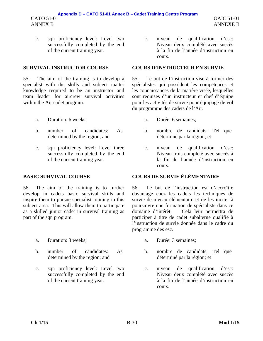c. sqn proficiency level: Level two successfully completed by the end of the current training year.

55. The aim of the training is to develop a specialist with the skills and subject matter knowledge required to be an instructor and team leader for aircrew survival activities within the Air cadet program.

- a. Duration: 6 weeks; a. Durée: 6 semaines;
- b. number of candidates: As determined by the region; and
- c. sqn proficiency level: Level three successfully completed by the end of the current training year.

56. The aim of the training is to further develop in cadets basic survival skills and inspire them to pursue specialist training in this subject area. This will allow them to participate as a skilled junior cadet in survival training as part of the sqn program.

- a. Duration: 3 weeks; a. Durée: 3 semaines;
- b. number of candidates: As determined by the region; and
- c. sqn proficiency level: Level two successfully completed by the end of the current training year.

c. niveau de qualification d'esc: Niveau deux complété avec succès à la fin de l'année d'instruction en cours.

### **SURVIVAL INSTRUCTOR COURSE COURS D'INSTRUCTEUR EN SURVIE**

55. Le but de l'instruction vise à former des spécialistes qui possèdent les compétences et les connaissances de la matière visée, lesquelles sont requises d'un instructeur et chef d'équipe pour les activités de survie pour équipage de vol du programme des cadets de l'Air.

- 
- b. nombre de candidats: Tel que déterminé par la région; et
- c. niveau de qualification d'esc: Niveau trois complété avec succès à la fin de l'année d'instruction en cours.

# **BASIC SURVIVAL COURSE COURS DE SURVIE ÉLÉMENTAIRE**

56. Le but de l'instruction est d'accroître davantage chez les cadets les techniques de survie de niveau élémentaire et de les inciter à poursuivre une formation de spécialiste dans ce domaine d'intérêt. Cela leur permettra de participer à titre de cadet subalterne qualifié à l'instruction de survie donnée dans le cadre du programme des esc.

- 
- b. nombre de candidats: Tel que déterminé par la région; et
- c. niveau de qualification d'esc: Niveau deux complété avec succès à la fin de l'année d'instruction en cours.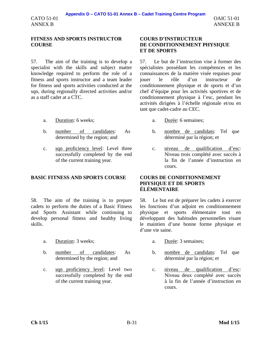### **FITNESS AND SPORTS INSTRUCTOR COURSE**

57. The aim of the training is to develop a specialist with the skills and subject matter knowledge required to perform the role of a fitness and sports instructor and a team leader for fitness and sports activities conducted at the sqn, during regionally directed activities and/or as a staff cadet at a CTC.

- a. Duration: 6 weeks; a. Durée: 6 semaines;
- b. number of candidates: As determined by the region; and
- c. sqn proficiency level: Level three successfully completed by the end of the current training year.

# **BASIC FITNESS AND SPORTS COURSE COURS DE CONDITIONNEMENT**

58. The aim of the training is to prepare cadets to perform the duties of a Basic Fitness and Sports Assistant while continuing to develop personal fitness and healthy living skills.

- a. Duration: 3 weeks; a. Durée: 3 semaines;
- b. number of candidates: As determined by the region; and
- c. sqn proficiency level: Level two successfully completed by the end of the current training year.

### **COURS D'INSTRUCTEUR DE CONDITIONNEMENT PHYSIQUE ET DE SPORTS**

57. Le but de l'instruction vise à former des spécialistes possédant les compétences et les connaissances de la matière visée requises pour jouer le rôle d'un instructeur de conditionnement physique et de sports et d'un chef d'équipe pour les activités sportives et de conditionnement physique à l'esc, pendant les activités dirigées à l'échelle régionale et/ou en tant que cadet-cadre au CEC.

- 
- b. nombre de candidats: Tel que déterminé par la région; et
- c. niveau de qualification d'esc: Niveau trois complété avec succès à la fin de l'année d'instruction en cours.

# **PHYSIQUE ET DE SPORTS ÉLÉMENTAIRE**

58. Le but est de préparer les cadets à exercer les fonctions d'un adjoint en conditionnement physique et sports élémentaire tout en développant des habitudes personnelles visant le maintien d'une bonne forme physique et d'une vie saine.

- 
- b. nombre de candidats: Tel que déterminé par la région; et
- c. niveau de qualification d'esc: Niveau deux complété avec succès à la fin de l'année d'instruction en cours.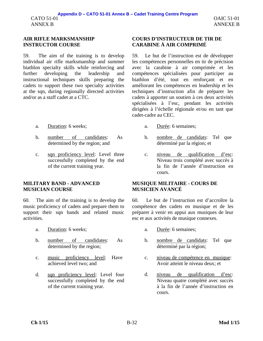# **AIR RIFLE MARKSMANSHIP INSTRUCTOR COURSE**

59. The aim of the training is to develop individual air rifle marksmanship and summer biathlon specialty skills while reinforcing and further developing the leadership and instructional techniques skills preparing the cadets to support these two specialty activities at the sqn, during regionally directed activities and/or as a staff cadet at a CTC.

- a. Duration: 6 weeks; a. Durée: 6 semaines;
- b. number of candidates: As determined by the region; and
- c. sqn proficiency level: Level three successfully completed by the end of the current training year.

### **MILITARY BAND - ADVANCED MUSICIAN COURSE**

60. The aim of the training is to develop the music proficiency of cadets and prepare them to support their sqn bands and related music activities.

- a. Duration: 6 weeks; a. Durée: 6 semaines;
- b. number of candidates: As determined by the region;
- c. music proficiency level: Have achieved level two; and
- d. sqn proficiency level: Level four successfully completed by the end of the current training year.

# **COURS D'INSTRUCTEUR DE TIR DE CARABINE À AIR COMPRIMÉ**

59. Le but de l'instruction est de développer les compétences personnelles en tir de précision avec la carabine à air comprimée et les compétences spécialisées pour participer au biathlon d'été, tout en renforçant et en améliorant les compétences en leadership et les techniques d'instruction afin de préparer les cadets à apporter un soutien à ces deux activités spécialisées à l'esc, pendant les activités dirigées à l'échelle régionale et/ou en tant que cadet-cadre au CEC.

- 
- b. nombre de candidats: Tel que déterminé par la région; et
- c. niveau de qualification d'esc: Niveau trois complété avec succès à la fin de l'année d'instruction en cours.

### **MUSIQUE MILITAIRE - COURS DE MUSICIEN AVANCÉ**

60. Le but de l'instruction est d'accroître la compétence des cadets en musique et de les préparer à venir en appui aux musiques de leur esc et aux activités de musique connexes.

- 
- b. nombre de candidats: Tel que déterminé par la région;
- c. niveau de compétence en musique: Avoir atteint le niveau deux; et
- d. niveau de qualification d'esc: Niveau quatre complété avec succès à la fin de l'année d'instruction en cours.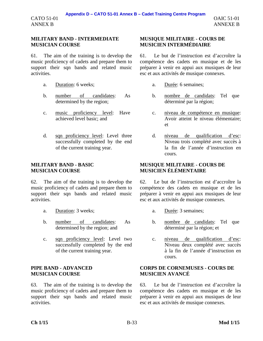CATO 51-01 ANNEX B

# **MILITARY BAND - INTERMEDIATE MUSICIAN COURSE**

61. The aim of the training is to develop the music proficiency of cadets and prepare them to support their sqn bands and related music activities.

- a. Duration: 6 weeks; a. Durée: 6 semaines;
- b. number of candidates: As determined by the region;
- c. music proficiency level: Have achieved level basic; and
- d. sqn proficiency level: Level three successfully completed by the end of the current training year.

# **MILITARY BAND - BASIC MUSICIAN COURSE**

62. The aim of the training is to develop the music proficiency of cadets and prepare them to support their sqn bands and related music activities.

- a. Duration: 3 weeks; a. Durée: 3 semaines;
- b. number of candidates: As determined by the region; and
- c. sqn proficiency level: Level two successfully completed by the end of the current training year.

# **PIPE BAND - ADVANCED MUSICIAN COURSE**

63. The aim of the training is to develop the music proficiency of cadets and prepare them to support their sqn bands and related music activities.

# **MUSIQUE MILITAIRE - COURS DE MUSICIEN INTERMÉDIAIRE**

61. Le but de l'instruction est d'accroître la compétence des cadets en musique et de les préparer à venir en appui aux musiques de leur esc et aux activités de musique connexes.

- 
- b. nombre de candidats: Tel que déterminé par la région;
- c. niveau de compétence en musique: Avoir atteint le niveau élémentaire; et
- d. niveau de qualification d'esc: Niveau trois complété avec succès à la fin de l'année d'instruction en cours.

# **MUSIQUE MILITAIRE - COURS DE MUSICIEN ÉLÉMENTAIRE**

62. Le but de l'instruction est d'accroître la compétence des cadets en musique et de les préparer à venir en appui aux musiques de leur esc et aux activités de musique connexes.

- 
- b. nombre de candidats: Tel que déterminé par la région; et
- c. niveau de qualification d'esc: Niveau deux complété avec succès à la fin de l'année d'instruction en cours.

### **CORPS DE CORNEMUSES - COURS DE MUSICIEN AVANCÉ**

63. Le but de l'instruction est d'accroître la compétence des cadets en musique et de les préparer à venir en appui aux musiques de leur esc et aux activités de musique connexes.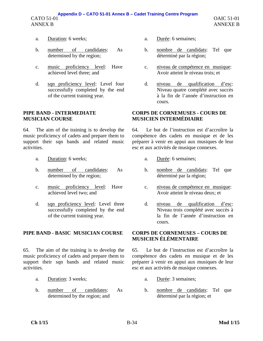- a. Duration: 6 weeks; a. Durée: 6 semaines;
- b. number of candidates: As determined by the region;
- c. music proficiency level: Have achieved level three; and
- d. sqn proficiency level: Level four successfully completed by the end of the current training year.

### **PIPE BAND - INTERMEDIATE MUSICIAN COURSE**

64. The aim of the training is to develop the music proficiency of cadets and prepare them to support their sqn bands and related music activities.

- 
- b. number of candidates: As determined by the region;
- c. music proficiency level: Have achieved level two: and
- d. sqn proficiency level: Level three successfully completed by the end of the current training year.

# **PIPE BAND - BASIC MUSICIAN COURSE CORPS DE CORNEMUSES – COURS DE**

65. The aim of the training is to develop the music proficiency of cadets and prepare them to support their sqn bands and related music activities.

- 
- b. number of candidates: As determined by the region; and
- 
- b. nombre de candidats: Tel que déterminé par la région;
- c. niveau de compétence en musique: Avoir atteint le niveau trois; et
- d. niveau de qualification d'esc: Niveau quatre complété avec succès à la fin de l'année d'instruction en cours.

### **CORPS DE CORNEMUSES - COURS DE MUSICIEN INTERMÉDIAIRE**

64. Le but de l'instruction est d'accroître la compétence des cadets en musique et de les préparer à venir en appui aux musiques de leur esc et aux activités de musique connexes.

- a. Duration: 6 weeks; a. Durée: 6 semaines;
	- b. nombre de candidats: Tel que déterminé par la région;
	- c. niveau de compétence en musique: Avoir atteint le niveau deux; et
	- d. niveau de qualification d'esc: Niveau trois complété avec succès à la fin de l'année d'instruction en cours.

# **MUSICIEN ÉLÉMENTAIRE**

65. Le but de l'instruction est d'accroître la compétence des cadets en musique et de les préparer à venir en appui aux musiques de leur esc et aux activités de musique connexes.

- a. Duration: 3 weeks; a. Durée: 3 semaines;
	- b. nombre de candidats: Tel que déterminé par la région; et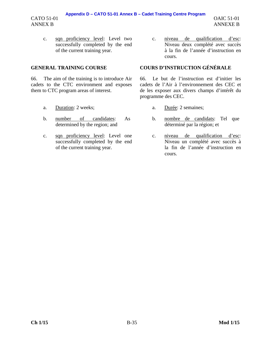# **Appendix D – CATO 51-01 Annex B – Cadet Training Centre Program**

c. sqn proficiency level: Level two successfully completed by the end of the current training year.

CATO 51-01 ANNEX B

66. The aim of the training is to introduce Air cadets to the CTC environment and exposes them to CTC program areas of interest.

- 
- b. number of candidates: As determined by the region; and
- c. sqn proficiency level: Level one successfully completed by the end of the current training year.

c. niveau de qualification d'esc: Niveau deux complété avec succès à la fin de l'année d'instruction en cours.

# **GENERAL TRAINING COURSE COURS D'INSTRUCTION GÉNÉRALE**

66. Le but de l'instruction est d'initier les cadets de l'Air à l'environnement des CEC et de les exposer aux divers champs d'intérêt du programme des CEC.

- a. Duration: 2 weeks; a. Durée: 2 semaines;
	- b. nombre de candidats: Tel que déterminé par la région; et
	- c. niveau de qualification d'esc: Niveau un complété avec succès à la fin de l'année d'instruction en cours.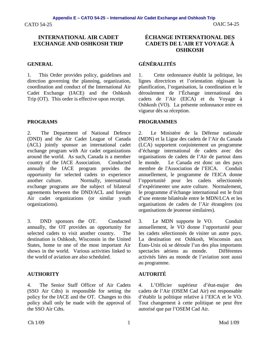### **INTERNATIONAL AIR CADET EXCHANGE AND OSHKOSH TRIP**

1. This Order provides policy, guidelines and direction governing the planning, organization, coordination and conduct of the International Air Cadet Exchange (IACE) and the Oshkosh Trip (OT). This order is effective upon receipt.

2. The Department of National Defence (DND) and the Air Cadet League of Canada (ACL) jointly sponsor an international cadet exchange program with Air cadet organizations around the world. As such, Canada is a member country of the IACE Association. Conducted annually the IACE program provides the opportunity for selected cadets to experience another culture. Normally, international exchange programs are the subject of bilateral agreements between the DND/ACL and foreign Air cadet organizations (or similar youth organizations).

3. DND sponsors the OT. Conducted annually, the OT provides an opportunity for selected cadets to visit another country. The destination is Oshkosh, Wisconsin in the United States, home to one of the most important Air shows in the world. Various activities linked to the world of aviation are also scheduled.

### **AUTHORITY AUTORITÉ**

4. The Senior Staff Officer of Air Cadets (SSO Air Cdts) is responsible for setting the policy for the IACE and the OT. Changes to this policy shall only be made with the approval of the SSO Air Cdts.

# **ÉCHANGE INTERNATIONAL DES CADETS DE L'AIR ET VOYAGE À OSHKOSH**

# **GENERAL GÉNÉRALITÉS**

1. Cette ordonnance établit la politique, les lignes directrices et l'orientation régissant la planification, l'organisation, la coordination et le déroulement de l'Échange international des cadets de l'Air (EICA) et du Voyage à Oshkosh (VO). La présente ordonnance entre en vigueur dès sa réception.

### **PROGRAMS PROGRAMMES**

2. Le Ministère de la Défense nationale (MDN) et la Ligue des cadets de l'Air du Canada (LCA) supportent conjointement un programme d'échange international de cadets avec des organisations de cadets de l'Air de partout dans le monde. Le Canada est donc un des pays membre de l'Association de l'EICA. Conduit annuellement, le programme de l'EICA donne l'opportunité pour les cadets sélectionnés d'expérimenter une autre culture. Normalement, le programme d'échange international est le fruit d'une entente bilatérale entre le MDN/LCA et les organisations de cadets de l'Air étrangères (ou organisations de jeunesse similaires).

3. Le MDN supporte le VO. Conduit annuellement, le VO donne l'opportunité pour les cadets sélectionnés de visiter un autre pays. La destination est Oshkosh, Wisconsin aux États-Unis où se déroule l'un des plus importants spectacles aériens au monde. Différentes activités liées au monde de l'aviation sont aussi au programme.

4. L'Officier supérieur d'état-major des cadets de l'Air (OSEM Cad Air) est responsable d'établir la politique relative à l'EICA et le VO. Tout changement à cette politique ne peut être autorisé que par l'OSEM Cad Air.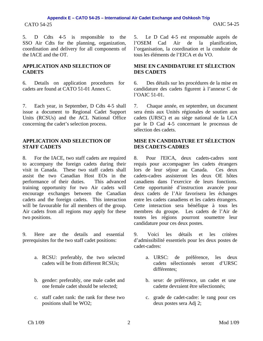# CATO 54-25 OAIC 54-25 **Appendix E – CATO 54-25 – International Air Cadet Exchange and Oshkosh Trip**

5. D Cdts 4-5 is responsible to the SSO Air Cdts for the planning, organization, coordination and delivery for all components of the IACE and the OT.

### **APPLICATION AND SELECTION OF CADETS**

6. Details on application procedures for cadets are found at CATO 51-01 Annex C.

7. Each year, in September, D Cdts 4-5 shall issue a document to Regional Cadet Support Units (RCSUs) and the ACL National Office concerning the cadet's selection process.

### **APPLICATION AND SELECTION OF STAFF CADETS**

8. For the IACE, two staff cadets are required to accompany the foreign cadets during their visit in Canada. These two staff cadets shall assist the two Canadian Host EOs in the performance of their duties. This advanced training opportunity for two Air cadets will encourage exchanges between the Canadian cadets and the foreign cadets. This interaction will be favourable for all members of the group. Air cadets from all regions may apply for these two positions.

9. Here are the details and essential prerequisites for the two staff cadet positions:

- a. RCSU: preferably, the two selected cadets will be from different RCSUs;
- b. gender: preferably, one male cadet and one female cadet should be selected;
- c. staff cadet rank: the rank for these two positions shall be WO2;

5. Le D Cad 4-5 est responsable auprès de l'OSEM Cad Air de la planification, l'organisation, la coordination et la conduite de tous les éléments de l'EICA et du VO.

### **MISE EN CANDIDATURE ET SÉLECTION DES CADETS**

6. Des détails sur les procédures de la mise en candidature des cadets figurent à l'annexe C de l'OAIC 51-01.

7. Chaque année, en septembre, un document sera émis aux Unités régionales de soutien aux cadets (URSC) et au siège national de la LCA par le D Cad 4-5 concernant le processus de sélection des cadets.

### **MISE EN CANDIDATURE ET SÉLECTION DES CADETS-CADRES**

8. Pour l'EICA, deux cadets-cadres sont requis pour accompagner les cadets étrangers lors de leur séjour au Canada. Ces deux cadets-cadres assisteront les deux OE hôtes canadiens dans l'exercice de leurs fonctions. Cette opportunité d'instruction avancée pour deux cadets de l'Air favorisera les échanges entre les cadets canadiens et les cadets étrangers. Cette interaction sera bénéfique à tous les membres du groupe. Les cadets de l'Air de toutes les régions pourront soumettre leur candidature pour ces deux postes.

9. Voici les détails et les critères d'admissibilité essentiels pour les deux postes de cadet-cadres:

- a. URSC: de préférence, les deux cadets sélectionnés seront d'URSC différentes;
- b. sexe: de préférence, un cadet et une cadette devraient être sélectionnés;
- c. grade de cadet-cadre: le rang pour ces deux postes sera Adj 2;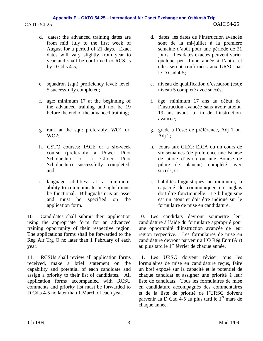# CATO 54-25 OAIC 54-25 **Appendix E – CATO 54-25 – International Air Cadet Exchange and Oshkosh Trip**

- d. dates: the advanced training dates are from mid July to the first week of August for a period of 21 days. Exact dates will vary slightly from year to year and shall be confirmed to RCSUs by D Cdts  $4-5$ :
- e. squadron (sqn) proficiency level: level 5 successfully completed;
- f. age: minimum 17 at the beginning of the advanced training and not be 19 before the end of the advanced training;
- g. rank at the sqn: preferably, WO1 or WO2;
- h. CSTC courses: IACE or a six-week course (preferably a Power Pilot Scholarship or a Glider Pilot Scholarship) successfully completed; and
- i. language abilities: at a minimum, ability to communicate in English must be functional. Bilingualism is an asset and must be specified on the application form.

10. Candidates shall submit their application using the appropriate form for an advanced training opportunity of their respective region. The applications forms shall be forwarded to the Reg Air Trg O no later than 1 February of each year.

11. RCSUs shall review all application forms received, make a brief statement on the capability and potential of each candidate and assign a priority to their list of candidates. All application forms accompanied with RCSU comments and priority list must be forwarded to D Cdts 4-5 no later than 1 March of each year.

- d. dates: les dates de l'instruction avancée sont de la mi-juillet à la première semaine d'août pour une période de 21 jours. Les dates exactes peuvent varier quelque peu d'une année à l'autre et elles seront confirmées aux URSC par le D Cad 4-5;
- e. niveau de qualification d'escadron (esc): niveau 5 complété avec succès;
- f. âge: minimum 17 ans au début de l'instruction avancée sans avoir atteint 19 ans avant la fin de l'instruction avancée;
- g. grade à l'esc: de préférence, Adj 1 ou Adj 2;
- h. cours aux CIEC: EICA ou un cours de six semaines (de préférence une Bourse de pilote d'avion ou une Bourse de pilote de planeur) complété avec succès; et
- i. habilités linguistiques: au minimum, la capacité de communiquer en anglais doit être fonctionnelle. Le bilinguisme est un atout et doit être indiqué sur le formulaire de mise en candidature.

10. Les candidats devront soumettre leur candidature à l'aide du formulaire approprié pour une opportunité d'instruction avancée de leur région respective. Les formulaires de mise en candidature devront parvenir à l'O Rég Entr (Air) au plus tard le 1<sup>er</sup> février de chaque année.

11. Les URSC doivent réviser tous les formulaires de mise en candidature reçus, faire un bref exposé sur la capacité et le potentiel de chaque candidat et assigner une priorité à leur liste de candidats. Tous les formulaires de mise en candidature accompagnés des commentaires et de la liste de priorité de l'URSC doivent parvenir au D Cad  $\overline{4\cdot5}$  au plus tard le  $1<sup>er</sup>$  mars de chaque année.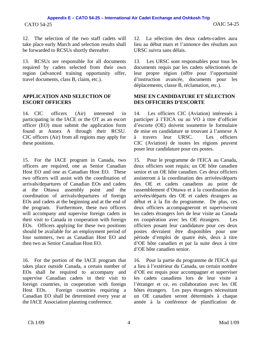12. The selection of the two staff cadets will take place early March and selection results shall be forwarded to RCSUs shortly thereafter.

13. RCSUs are responsible for all documents required by cadets selected from their own region (advanced training opportunity offer, travel documents, class B, claim, etc.).

### **APPLICATION AND SELECTION OF ESCORT OFFICERS**

14. CIC officers (Air) interested in participating in the IACE or the OT as an escort officer (EO) must submit the application form found at Annex A through their RCSU. CIC officers (Air) from all regions may apply for these positions.

15. For the IACE program in Canada, two officers are required, one as Senior Canadian Host EO and one as Canadian Host EO. These two officers will assist with the coordination of arrivals/departures of Canadian EOs and cadets at the Ottawa assembly point and the coordination of arrivals/departures of foreign EOs and cadets at the beginning and at the end of the program. Furthermore, these two officers will accompany and supervise foreign cadets in their visit to Canada in cooperation with foreign EOs. Officers applying for these two positions should be available for an employment period of four summers, two as Canadian Host EO and then two as Senior Canadian Host EO.

16. For the portion of the IACE program that takes place outside Canada, a certain number of EOs shall be required to accompany and supervise Canadian cadets in their visit to foreign countries, in cooperation with foreign Host EOs. Foreign countries requiring a Canadian EO shall be determined every year at the IACE Association planning conference.

12. La sélection des deux cadets-cadres aura lieu au début mars et l'annonce des résultats aux URSC suivra sans délais.

13. Les URSC sont responsables pour tous les documents requis par les cadets sélectionnés de leur propre région (offre pour l'opportunité d'instruction avancée, documents pour les déplacements, classe B, réclamation, etc.).

### **MISE EN CANDIDATURE ET SÉLECTION DES OFFICIERS D'ESCORTE**

14. Les officiers CIC (Aviation) intéressés à participer à l'EICA ou au VO à titre d'officier d'escorte (OE) doivent soumettre le formulaire de mise en candidature se trouvant à l'annexe A à travers leur URSC. Les officiers CIC (Aviation) de toutes les régions peuvent poser leur candidature pour ces postes.

15. Pour le programme de l'EICA au Canada, deux officiers sont requis; un OE hôte canadien senior et un OE hôte canadien. Ces deux officiers assisteront à la coordination des arrivées/départs des OE et cadets canadiens au point de rassemblement d'Ottawa et à la coordination des arrivées/départs des OE et cadets étrangers au début et à la fin du programme. De plus, ces deux officiers accompagneront et superviseront les cadets étrangers lors de leur visite au Canada en coopération avec les OE étrangers. Les officiers posant leur candidature pour ces deux postes devraient être disponibles pour une période d'emploi de quatre étés, deux à titre d'OE hôte canadien et par la suite deux à titre d'OE hôte canadien senior.

16. Pour la partie du programme de l'EICA qui a lieu à l'extérieur du Canada, un certain nombre d'OE est requis pour accompagner et superviser les cadets canadiens lors de leur visite à l'étranger et ce, en collaboration avec les OE hôtes étrangers. Les pays étrangers nécessitant un OE canadien seront déterminés à chaque année à la conférence de planification de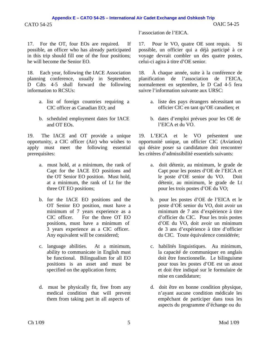### CATO 54-25 OAIC 54-25 **Appendix E – CATO 54-25 – International Air Cadet Exchange and Oshkosh Trip**

17. For the OT, four EOs are required. If possible, an officer who has already participated in this trip should fill one of the four positions; he will become the Senior EO.

18. Each year, following the IACE Association planning conference, usually in September, D Cdts 4-5 shall forward the following information to RCSUs:

- a. list of foreign countries requiring a CIC officer as Canadian EO; and
- b. scheduled employment dates for IACE and OT EOs.

19. The IACE and OT provide a unique opportunity, a CIC officer (Air) who wishes to apply must meet the following essential prerequisites:

- a. must hold, at a minimum, the rank of Capt for the IACE EO positions and the OT Senior EO position. Must hold, at a minimum, the rank of Lt for the three OT EO positions;
- b. for the IACE EO positions and the OT Senior EO position, must have a minimum of 7 years experience as a CIC officer. For the three OT EO positions, must have a minimum of 3 years experience as a CIC officer. Any equivalent will be considered;
- c. language abilities. At a minimum, ability to communicate in English must be functional. Bilingualism for all EO positions is an asset and must be specified on the application form;
- d. must be physically fit, free from any medical condition that will prevent them from taking part in all aspects of

l'association de l'EICA.

17. Pour le VO, quatre OE sont requis. Si possible, un officier qui a déjà participé à ce voyage devrait combler un des quatre postes, celui-ci agira à titre d'OE senior.

18. À chaque année, suite à la conférence de planification de l'association de l'EICA, normalement en septembre, le D Cad 4-5 fera suivre l'information suivante aux URSC:

- a. liste des pays étrangers nécessitant un officier CIC en tant qu'OE canadien; et
- b. dates d'emploi prévues pour les OE de l'EICA et du VO.

19. L'EICA et le VO présentent une opportunité unique, un officier CIC (Aviation) qui désire poser sa candidature doit rencontrer les critères d'admissibilité essentiels suivants:

- a. doit détenir, au minimum, le grade de Capt pour les postes d'OE de l'EICA et le poste d'OE senior du VO. Doit détenir, au minimum, le grade de Lt pour les trois postes d'OE du VO;
- b. pour les postes d'OE de l'EICA et le poste d'OE senior du VO, doit avoir un minimum de 7 ans d'expérience à titre d'officier du CIC. Pour les trois postes d'OE du VO, doit avoir un minimum de 3 ans d'expérience à titre d'officier du CIC. Toute équivalence considérée;
- c. habilités linguistiques. Au minimum, la capacité de communiquer en anglais doit être fonctionnelle. Le bilinguisme pour tous les postes d'OE est un atout et doit être indiqué sur le formulaire de mise en candidature;
- d. doit être en bonne condition physique, n'ayant aucune condition médicale les empêchant de participer dans tous les aspects du programme d'échange ou du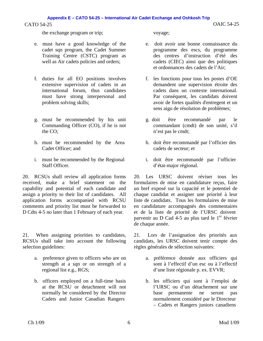the exchange program or trip; voyage;

- e. must have a good knowledge of the cadet sqn program, the Cadet Summer Training Centre (CSTC) program as well as Air cadets policies and orders;
- f. duties for all EO positions involves extensive supervision of cadets in an international forum, thus candidates must have strong interpersonal and problem solving skills;
- g. must be recommended by his unit Commanding Officer (CO), if he is not the CO;
- h. must be recommended by the Area Cadet Officer; and
- i. must be recommended by the Regional Staff Officer.

20. RCSUs shall review all application forms received, make a brief statement on the capability and potential of each candidate and assign a priority to their list of candidates. All application forms accompanied with RCSU comments and priority list must be forwarded to D Cdts 4-5 no later than 1 February of each year.

21. When assigning priorities to candidates, RCSUs shall take into account the following selection guidelines:

- a. preference given to officers who are on strength at a sqn or on strength of a regional list e.g., RGS;
- b. officers employed on a full-time basis at the RCSU or detachment will not normally be considered by the Director Cadets and Junior Canadian Rangers

- e. doit avoir une bonne connaissance du programme des escs, du programme des centres d'instruction d'été des cadets (CIEC) ainsi que des politiques et ordonnances des cadets de l'Air;
- f. les fonctions pour tous les postes d'OE demandent une supervision étroite des cadets dans un contexte international. Par conséquent, les candidats doivent avoir de fortes qualités d'entregent et un sens aigu de résolution de problèmes;
- g. doit être recommandé par le commandant (cmdt) de son unité, s'il n'est pas le cmdt;
- h. doit être recommandé par l'officier des cadets de secteur; et
- i. doit être recommandé par l'officier d'état-major régional.

20. Les URSC doivent réviser tous les formulaires de mise en candidature reçus, faire un bref exposé sur la capacité et le potentiel de chaque candidat et assigner une priorité à leur liste de candidats. Tous les formulaires de mise en candidature accompagnés des commentaires et de la liste de priorité de l'URSC doivent parvenir au D Cad 4-5 au plus tard le  $1<sup>er</sup>$  février de chaque année.

21. Lors de l'assignation des priorités aux candidats, les URSC doivent tenir compte des règles générales de sélection suivantes:

- a. préférence donnée aux officiers qui sont à l'effectif d'un esc ou à l'effectif d'une liste régionale p. ex. EVVR;
- b. les officiers qui sont à l'emploi de l'URSC ou d'un détachement sur une base permanente ne seront pas normalement considéré par le Directeur – Cadets et Rangers juniors canadiens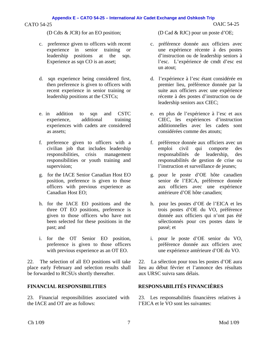- c. preference given to officers with recent experience in senior training or leadership positions at the sqn. Experience as sqn CO is an asset;
- d. sqn experience being considered first, then preference is given to officers with recent experience in senior training or leadership positions at the CSTCs;
- e. in addition to sqn and CSTC experience, additional training experiences with cadets are considered as assets;
- f. preference given to officers with a civilian job that includes leadership responsibilities, crisis management responsibilities or youth training and supervision;
- g. for the IACE Senior Canadian Host EO position, preference is given to those officers with previous experience as Canadian Host EO;
- h. for the IACE EO positions and the three OT EO positions, preference is given to those officers who have not been selected for these positions in the past; and
- i. for the OT Senior EO position, preference is given to those officers with previous experience as an OT EO.

22. The selection of all EO positions will take place early February and selection results shall be forwarded to RCSUs shortly thereafter.

23. Financial responsibilities associated with the IACE and OT are as follows:

(D Cdts & JCR) for an EO position; (D Cad & RJC) pour un poste d'OE;

- c. préférence donnée aux officiers avec une expérience récente à des postes d'instruction ou de leadership seniors à l'esc. L'expérience de cmdt d'esc est un atout;
- d. l'expérience à l'esc étant considérée en premier lieu, préférence donnée par la suite aux officiers avec une expérience récente à des postes d'instruction ou de leadership seniors aux CIEC;
- e. en plus de l'expérience à l'esc et aux CIEC, les expériences d'instruction additionnelles avec les cadets sont considérées comme des atouts;
- f. préférence donnée aux officiers avec un emploi civil qui comporte des responsabilités de leadership, des responsabilités de gestion de crise ou l'instruction et surveillance de jeunes;
- g. pour le poste d'OE hôte canadien senior de l'EICA, préférence donnée aux officiers avec une expérience antérieure d'OE hôte canadien;
- h. pour les postes d'OE de l'EICA et les trois postes d'OE du VO, préférence donnée aux officiers qui n'ont pas été sélectionnés pour ces postes dans le passé; et
- i. pour le poste d'OE senior du VO, préférence donnée aux officiers avec une expérience antérieure d'OE du VO.

22. La sélection pour tous les postes d'OE aura lieu au début février et l'annonce des résultats aux URSC suivra sans délais.

# **FINANCIAL RESPONSIBILITIES RESPONSABILITÉS FINANCIÈRES**

23. Les responsabilités financières relatives à l'EICA et le VO sont les suivantes: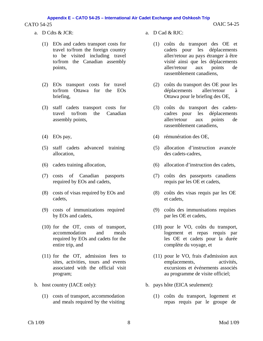### CATO 54-25 OAIC 54-25 **Appendix E – CATO 54-25 – International Air Cadet Exchange and Oshkosh Trip**

- a.  $D$  Cdts & JCR:  $\qquad \qquad$  a.  $D$  Cad & RJC:
	- (1) EOs and cadets transport costs for travel to/from the foreign country to be visited including travel to/from the Canadian assembly points,
	- (2) EOs transport costs for travel to/from Ottawa for the EOs briefing,
	- (3) staff cadets transport costs for travel to/from the Canadian assembly points,
	-
	- (5) staff cadets advanced training allocation,
	-
	- (7) costs of Canadian passports required by EOs and cadets,
	- (8) costs of visas required by EOs and cadets,
	- (9) costs of immunizations required by EOs and cadets,
	- (10) for the OT, costs of transport, accommodation and meals required by EOs and cadets for the entire trip, and
	- (11) for the OT, admission fees to sites, activities, tours and events associated with the official visit program;
- - (1) costs of transport, accommodation and meals required by the visiting
- - (1) coûts du transport des OE et cadets pour les déplacements aller/retour au pays étranger à être visité ainsi que les déplacements aller/retour aux points de rassemblement canadiens,
	- (2) coûts du transport des OE pour les déplacements aller/retour à Ottawa pour le briefing des OE,
	- (3) coûts du transport des cadetscadres pour les déplacements aller/retour aux points de rassemblement canadiens,
- (4) EOs pay, (4) rémunération des OE,
	- (5) allocation d'instruction avancée des cadets-cadres,
- (6) cadets training allocation, (6) allocation d'instruction des cadets,
	- (7) coûts des passeports canadiens requis par les OE et cadets,
	- (8) coûts des visas requis par les OE et cadets,
	- (9) coûts des immunisations requises par les OE et cadets,
	- (10) pour le VO, coûts du transport, logement et repas requis par les OE et cadets pour la durée complète du voyage, et
	- (11) pour le VO, frais d'admission aux emplacements, activités, excursions et événements associés au programme de visite officiel;
- b. host country (IACE only): b. pays hôte (EICA seulement):
	- (1) coûts du transport, logement et repas requis par le groupe de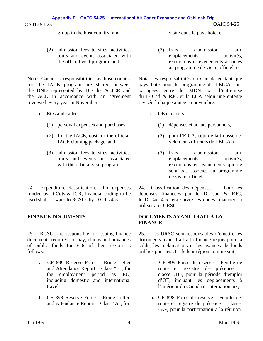group in the host country, and visite dans le pays hôte, et

(2) admission fees to sites, activities, tours and events associated with the official visit program; and

Note: Canada's responsibilities as host country for the IACE program are shared between the DND represented by D Cdts & JCR and the ACL in accordance with an agreement reviewed every year in November.

- c. EOs and cadets: c. OE et cadets:
	- (1) personal expenses and purchases, (1) dépenses et achats personnels,
	- (2) for the IACE, cost for the official IACE clothing package, and
	- (3) admission fees to sites, activities, tours and events not associated with the official visit program.

24. Expenditure classification. For expenses funded by D Cdts & JCR, financial coding to be used shall forward to RCSUs by D Cdts 4-5.

25. RCSUs are responsible for issuing finance documents required for pay, claims and advances of public funds for EOs of their region as follows:

- a. CF 899 Reserve Force Route Letter and Attendance Report – Class "B", for the employment period as EO, including domestic and international travel;
- b. CF 898 Reserve Force Route Letter and Attendance Report – Class "A", for

(2) frais d'admission aux emplacements, activités, excursions et événements associés au programme de visite officiel; et

Nota: les responsabilités du Canada en tant que pays hôte pour le programme de l'EICA sont partagées entre le MDN par l'entremise du D Cad & RJC et la LCA selon une entente révisée à chaque année en novembre.

- -
	- (2) pour l'EICA, coût de la trousse de vêtements officiels de l'EICA, et
	- (3) frais d'admission aux emplacements, activités, excursions et événements qui ne sont pas associés au programme de visite officiel.

24. Classification des dépenses. Pour les dépenses financées par le D Cad & RJC, le D Cad 4-5 fera suivre les codes financiers à utiliser aux URSC.

### **FINANCE DOCUMENTS DOCUMENTS AYANT TRAIT À LA FINANCE**

25. Les URSC sont responsables d'émettre les documents ayant trait à la finance requis pour la solde, les réclamations et les avances de fonds publics pour les OE de leur région comme suit:

- a. CF 899 Force de réserve Feuille de route et registre de présence – classe «B», pour la période d'emploi d'OE, incluant les déplacements à l'intérieur du Canada et internationaux;
- b. CF 898 Force de réserve Feuille de route et registre de présence – classe «A», pour la participation à la réunion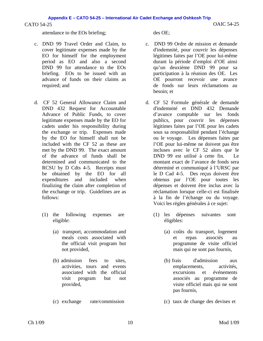attendance to the EOs briefing; des OE;

- c. DND 99 Travel Order and Claim, to cover legitimate expenses made by the EO for himself for the employment period as EO and also a second DND 99 for attendance to the EOs briefing. EOs to be issued with an advance of funds on their claims as required; and
- d. CF 52 General Allowance Claim and DND 432 Request for Accountable Advance of Public Funds, to cover legitimate expenses made by the EO for cadets under his responsibility during the exchange or trip. Expenses made by the EO for himself shall not be included with the CF 52 as these are met by the DND 99. The exact amount of the advance of funds shall be determined and communicated to the RCSU by D Cdts 4-5. Receipts must be obtained by the EO for all expenditures and included when finalizing the claim after completion of the exchange or trip. Guidelines are as follows:
	- (1) the following expenses are eligible:
		- (a) transport, accommodation and meals costs associated with the official visit program but not provided,
		- (b) admission fees to sites, activities, tours and events associated with the official visit program but not provided,
		-

- c. DND 99 Ordre de mission et demande d'indemnité, pour couvrir les dépenses légitimes faites par l'OE pour lui-même durant la période d'emploi d'OE ainsi qu'un deuxième DND 99 pour sa participation à la réunion des OE. Les OE pourront recevoir une avance de fonds sur leurs réclamations au besoin; et
- d. CF 52 Formule générale de demande d'indemnité et DND 432 Demande d'avance comptable sur les fonds publics, pour couvrir les dépenses légitimes faites par l'OE pour les cadets sous sa responsabilité pendant l'échange ou le voyage. Les dépenses faites par l'OE pour lui-même ne doivent pas être incluses avec le CF 52 alors que le DND 99 est utilisé à cette fin. Le montant exact de l'avance de fonds sera déterminé et communiqué à l'URSC par le D Cad 4-5. Des reçus doivent être obtenus par l'OE pour toutes les dépenses et doivent être inclus avec la réclamation lorsque celle-ci est finalisée à la fin de l'échange ou du voyage. Voici les règles générales à ce sujet:
	- (1) les dépenses suivantes sont éligibles:
		- (a) coûts du transport, logement et repas associés au programme de visite officiel mais qui ne sont pas fournis,
		- (b) frais d'admission aux emplacements, activités, excursions et événements associés au programme de visite officiel mais qui ne sont pas fournis,
- (c) exchange rate/commission (c) taux de change des devises et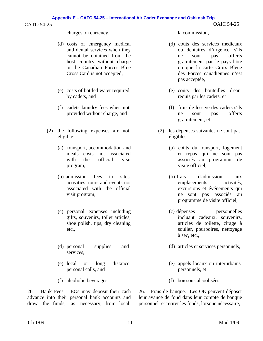### CATO 54-25 OAIC 54-25

### charges on currency, la commission,

- (d) costs of emergency medical and dental services when they cannot be obtained from the host country without charge or the Canadian Forces Blue Cross Card is not accepted,
- (e) costs of bottled water required by cadets, and
- (f) cadets laundry fees when not provided without charge, and
- (2) the following expenses are not eligible:
	- (a) transport, accommodation and meals costs not associated with the official visit program,
	- (b) admission fees to sites, activities, tours and events not associated with the official visit program,
	- (c) personal expenses including gifts, souvenirs, toilet articles, shoe polish, tips, dry cleaning etc.,
	- (d) personal supplies and services,
	- (e) local or long distance personal calls, and
	-

26. Bank Fees. EOs may deposit their cash advance into their personal bank accounts and draw the funds, as necessary, from local

- (d) coûts des services médicaux ou dentaires d'urgence, s'ils ne sont pas offerts gratuitement par le pays hôte ou que la carte Croix Bleue des Forces canadiennes n'est pas acceptée,
- (e) coûts des bouteilles d'eau requis par les cadets, et
- (f) frais de lessive des cadets s'ils ne sont pas offerts gratuitement, et
- (2) les dépenses suivantes ne sont pas éligibles:
	- (a) coûts du transport, logement et repas qui ne sont pas associés au programme de visite officiel,
	- (b) frais d'admission aux emplacements, activités, excursions et événements qui ne sont pas associés au programme de visite officiel,
	- (c) dépenses personnelles incluant cadeaux, souvenirs, articles de toilette, cirage à soulier, pourboires, nettoyage à sec, etc.,
	- (d) articles et services personnels,
	- (e) appels locaux ou interurbains personnels, et
- (f) alcoholic beverages. (f) boissons alcoolisées.

26. Frais de banque. Les OE peuvent déposer leur avance de fond dans leur compte de banque personnel et retirer les fonds, lorsque nécessaire,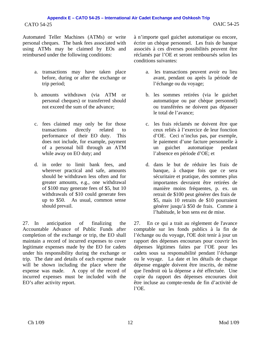Automated Teller Machines (ATMs) or write personal cheques. The bank fees associated with using ATMs may be claimed by EOs and reimbursed under the following conditions:

- a. transactions may have taken place before, during or after the exchange or trip period;
- b. amounts withdrawn (via ATM or personal cheques) or transferred should not exceed the sum of the advance;
- c. fees claimed may only be for those transactions directly related to performance of their EO duty. This does not include, for example, payment of a personal bill through an ATM while away on EO duty; and
- d. in order to limit bank fees, and wherever practical and safe, amounts should be withdrawn less often and for greater amounts, e.g., one withdrawal of \$100 may generate fees of \$5, but 10 withdrawals of \$10 could generate fees up to \$50. As usual, common sense should prevail.

27. In anticipation of finalizing the Accountable Advance of Public Funds after completion of the exchange or trip, the EO shall maintain a record of incurred expenses to cover legitimate expenses made by the EO for cadets under his responsibility during the exchange or trip. The date and details of each expense made will be shown including the place where the expense was made. A copy of the record of incurred expenses must be included with the EO's after activity report.

à n'importe quel guichet automatique ou encore, écrire un chèque personnel. Les frais de banque associés à ces diverses possibilités peuvent être réclamés par l'OE et seront remboursés selon les conditions suivantes:

- a. les transactions peuvent avoir eu lieu avant, pendant ou après la période de l'échange ou du voyage;
- b. les sommes retirées (via le guichet automatique ou par chèque personnel) ou transférées ne doivent pas dépasser le total de l'avance;
- c. les frais réclamés ne doivent être que ceux reliés à l'exercice de leur fonction d'OE. Ceci n'inclus pas, par exemple, le paiement d'une facture personnelle à un guichet automatique pendant l'absence en période d'OE; et
- d. dans le but de réduire les frais de banque, à chaque fois que ce sera sécuritaire et pratique, des sommes plus importantes devraient être retirées de manière moins fréquentes, p. ex. un retrait de \$100 peut générer des frais de \$5, mais 10 retraits de \$10 pourraient générer jusqu'à \$50 de frais. Comme à l'habitude, le bon sens est de mise.

27. En ce qui a trait au règlement de l'avance comptable sur les fonds publics à la fin de l'échange ou du voyage, l'OE doit tenir à jour un rapport des dépenses encourues pour couvrir les dépenses légitimes faites par l'OE pour les cadets sous sa responsabilité pendant l'échange ou le voyage. La date et les détails de chaque dépense engagée doivent être inscrits, de même que l'endroit où la dépense a été effectuée. Une copie du rapport des dépenses encourues doit être incluse au compte-rendu de fin d'activité de l'OE.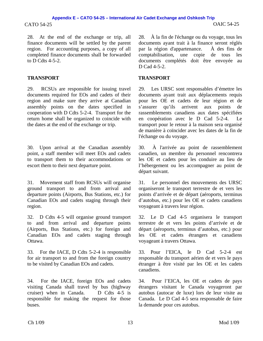28. At the end of the exchange or trip, all finance documents will be settled by the parent region. For accounting purposes, a copy of all completed finance documents shall be forwarded to D Cdts  $4-5-2$ .

# **TRANSPORT TRANSPORT**

29. RCSUs are responsible for issuing travel documents required for EOs and cadets of their region and make sure they arrive at Canadian assembly points on the dates specified in cooperation with D Cdts 5-2-4. Transport for the return home shall be organized to coincide with the dates at the end of the exchange or trip.

30. Upon arrival at the Canadian assembly point, a staff member will meet EOs and cadets to transport them to their accommodations or escort them to their next departure point.

31. Movement staff from RCSUs will organise ground transport to and from arrival and departure points (Airports, Bus Stations, etc.) for Canadian EOs and cadets staging through their region.

32. D Cdts 4-5 will organise ground transport to and from arrival and departure points (Airports, Bus Stations, etc.) for foreign and Canadian EOs and cadets staging through Ottawa.

33. For the IACE, D Cdts 5-2-4 is responsible for air transport to and from the foreign country to be visited by Canadian EOs and cadets.

34. For the IACE, foreign EOs and cadets visiting Canada shall travel by bus (highway cruiser) when in Canada. D Cdts 4-5 is responsible for making the request for those buses.

28. À la fin de l'échange ou du voyage, tous les documents ayant trait à la finance seront réglés par la région d'appartenance. À des fins de comptabilisation, une copie de tous les documents complétés doit être envoyée au D Cad 4-5-2.

29. Les URSC sont responsables d'émettre les documents ayant trait aux déplacements requis pour les OE et cadets de leur région et de s'assurer qu'ils arrivent aux points de rassemblements canadiens aux dates spécifiées en coopération avec le D Cad 5-2-4. Le transport pour le retour à la maison sera organisé de manière à coïncider avec les dates de la fin de l'échange ou du voyage.

30. À l'arrivée au point de rassemblement canadien, un membre du personnel rencontrera les OE et cadets pour les conduire au lieu de l'hébergement ou les accompagner au point de départ suivant.

31. Le personnel des mouvements des URSC organiseront le transport terrestre de et vers les points d'arrivée et de départ (aéroports, terminus d'autobus, etc.) pour les OE et cadets canadiens voyageant à travers leur région.

32. Le D Cad 4-5 organisera le transport terrestre de et vers les points d'arrivée et de départ (aéroports, terminus d'autobus, etc.) pour les OE et cadets étrangers et canadiens voyageant à travers Ottawa.

33. Pour l'EICA, le D Cad 5-2-4 est responsable du transport aérien de et vers le pays étranger à être visité par les OE et les cadets canadiens.

34. Pour l'EICA, les OE et cadets de pays étrangers visitant le Canada voyageront par autobus (autocar de luxe) lors de leur visite au Canada. Le D Cad 4-5 sera responsable de faire la demande pour ces autobus.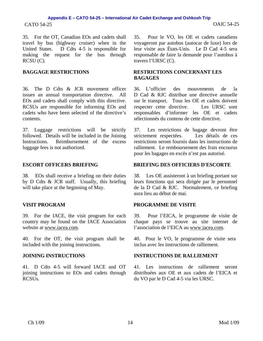# CATO 54-25 OAIC 54-25 **Appendix E – CATO 54-25 – International Air Cadet Exchange and Oshkosh Trip**

35. For the OT, Canadian EOs and cadets shall travel by bus (highway cruiser) when in the United States. D Cdts 4-5 is responsible for making the request for the bus through RCSU (C).

36. The D Cdts & JCR movement officer issues an annual transportation directive. All EOs and cadets shall comply with this directive. RCSUs are responsible for informing EOs and cadets who have been selected of the directive's contents.

37. Luggage restrictions will be strictly followed. Details will be included in the Joining Instructions. Reimbursement of the excess luggage fees is not authorized.

38. EOs shall receive a briefing on their duties by D Cdts & JCR staff. Usually, this briefing will take place at the beginning of May.

39. For the IACE, the visit program for each country may be found on the IACE Association website at www.iacea.com.

40. For the OT, the visit program shall be included with the joining instructions.

41. D Cdts 4-5 will forward IACE and OT joining instructions to EOs and cadets through RCSUs.

35. Pour le VO, les OE et cadets canadiens voyageront par autobus (autocar de luxe) lors de leur visite aux États-Unis. Le D Cad 4-5 sera responsable de faire la demande pour l'autobus à travers l'URSC (C).

### **BAGGAGE RESTRICTIONS RESTRICTIONS CONCERNANT LES BAGAGES**

36. L'officier des mouvements de la D Cad & RJC distribue une directive annuelle sur le transport. Tous les OE et cadets doivent respecter cette directive. Les URSC sont responsables d'informer les OE et cadets sélectionnés du contenu de cette directive.

37. Les restrictions de bagage devront être strictement respectées. restrictions seront fournis dans les instructions de ralliement. Le remboursement des frais encourus pour les bagages en excès n'est pas autorisé.

### **ESCORT OFFICERS BRIEFING BRIEFING DES OFFICIERS D'ESCORTE**

38. Les OE assisteront à un briefing portant sur leurs fonctions qui sera dirigée par le personnel de la D Cad & RJC. Normalement, ce briefing aura lieu au début de mai.

### **VISIT PROGRAM PROGRAMME DE VISITE**

39. Pour l'EICA, le programme de visite de chaque pays se trouve au site internet de l'association de l'EICA au www.iacea.com.

40. Pour le VO, le programme de visite sera inclus avec les instructions de ralliement.

# **JOINING INSTRUCTIONS INSTRUCTIONS DE RALLIEMENT**

41. Les instructions de ralliement seront distribuées aux OE et aux cadets de l'EICA et du VO par le D Cad 4-5 via les URSC.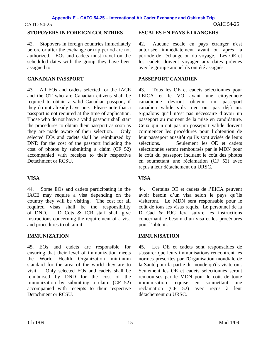### CATO 54-25 OAIC 54-25

# **STOPOVERS IN FOREIGN COUNTRIES ESCALES EN PAYS ÉTRANGERS**

42. Stopovers in foreign countries immediately before or after the exchange or trip period are not authorized. EOs and cadets must travel on the scheduled dates with the group they have been assigned to.

43. All EOs and cadets selected for the IACE and the OT who are Canadian citizens shall be required to obtain a valid Canadian passport, if they do not already have one. Please note that a passport is not required at the time of application. Those who do not have a valid passport shall start the procedures to obtain their passport as soon as they are made aware of their selection. Only selected EOs and cadets shall be reimbursed by DND for the cost of the passport including the cost of photos by submitting a claim (CF 52) accompanied with receipts to their respective Detachment or RCSU.

# **VISA VISA**

44. Some EOs and cadets participating in the IACE may require a visa depending on the country they will be visiting. The cost for all required visas shall be the responsibility of DND. D Cdts & JCR staff shall give instructions concerning the requirement of a visa and procedures to obtain it.

### **IMMUNIZATION IMMUNISATION**

45. EOs and cadets are responsible for ensuring that their level of immunization meets the World Health Organization minimum standard for the area of the world they are to visit. Only selected EOs and cadets shall be reimbursed by DND for the cost of the immunization by submitting a claim (CF 52) accompanied with receipts to their respective Detachment or RCSU.

42. Aucune escale en pays étranger n'est autorisée immédiatement avant ou après la période de l'échange ou du voyage. Les OE et les cadets doivent voyager aux dates prévues avec le groupe auquel ils ont été assignés.

# **CANADIAN PASSPORT PASSEPORT CANADIEN**

43. Tous les OE et cadets sélectionnés pour l'EICA et le VO ayant une citoyenneté canadienne devront obtenir un passeport canadien valide s'ils n'en ont pas déjà un. Signalons qu'il n'est pas nécessaire d'avoir un passeport au moment de la mise en candidature. Ceux qui n'ont pas un passeport valide doivent commencer les procédures pour l'obtention de leur passeport aussitôt qu'ils sont avisés de leurs sélections. Seulement les OE et cadets sélectionnés seront remboursés par le MDN pour le coût du passeport incluant le coût des photos en soumettant une réclamation (CF 52) avec reçus à leur détachement ou URSC.

44. Certains OE et cadets de l'EICA peuvent avoir besoin d'un visa selon le pays qu'ils visiteront. Le MDN sera responsable pour le coût de tous les visas requis. Le personnel de la D Cad & RJC fera suivre les instructions concernant le besoin d'un visa et les procédures pour l'obtenir.

45. Les OE et cadets sont responsables de s'assurer que leurs immunisations rencontrent les normes prescrites par l'Organisation mondiale de la Santé pour la partie du monde qu'ils visiteront. Seulement les OE et cadets sélectionnés seront remboursés par le MDN pour le coût de toute immunisation requise en soumettant une réclamation (CF 52) avec reçus à leur détachement ou URSC.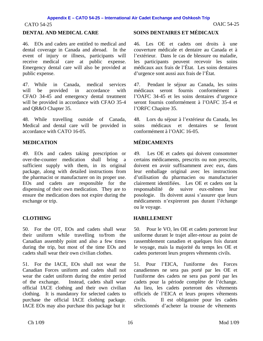46. EOs and cadets are entitled to medical and dental coverage in Canada and abroad. In the event of injury or illness, participants will receive medical care at public expense. Emergency dental care will also be provided at public expense.

47. While in Canada, medical services will be provided in accordance with CFAO 34-45 and emergency dental treatment will be provided in accordance with CFAO 35-4 and QR&O Chapter 35.

48. While travelling outside of Canada, Medical and dental care will be provided in accordance with CATO 16-05.

49. EOs and cadets taking prescription or over-the-counter medication shall bring a sufficient supply with them, in its original package, along with detailed instructions from the pharmacist or manufacturer on its proper use. EOs and cadets are responsible for the dispensing of their own medication. They are to ensure the medication does not expire during the exchange or trip.

50. For the OT, EOs and cadets shall wear their uniform while travelling to/from the Canadian assembly point and also a few times during the trip, but most of the time EOs and cadets shall wear their own civilian clothes.

51. For the IACE, EOs shall not wear the Canadian Forces uniform and cadets shall not wear the cadet uniform during the entire period of the exchange. Instead, cadets shall wear official IACE clothing and their own civilian clothing. It is mandatory for selected cadets to purchase the official IACE clothing package. IACE EOs may also purchase this package but it

### **DENTAL AND MEDICAL CARE SOINS DENTAIRES ET MÉDICAUX**

46. Les OE et cadets ont droits à une couverture médicale et dentaire au Canada et à l'extérieur. Dans le cas de blessure ou maladie, les participants peuvent recevoir les soins médicaux aux frais de l'État. Les soins dentaires d'urgence sont aussi aux frais de l'État.

47. Pendant le séjour au Canada, les soins médicaux seront fournis conformément à l'OAFC 34-45 et les soins dentaires d'urgence seront fournis conformément à l'OAFC 35-4 et l'ORFC Chapitre 35.

48. Lors du séjour à l'extérieur du Canada, les soins médicaux et dentaires se feront conformément à l'OAIC 16-05.

# **MEDICATION MÉDICAMENTS**

49. Les OE et cadets qui doivent consommer certains médicaments, prescrits ou non prescrits, doivent en avoir suffisamment avec eux, dans leur emballage original avec les instructions d'utilisation du pharmacien ou manufacturier clairement identifiées. Les OE et cadets ont la responsabilité de suivre eux-mêmes leur posologie. Ils doivent aussi s'assurer que leurs médicaments n'expireront pas durant l'échange ou le voyage.

### **CLOTHING HABILLEMENT**

50. Pour le VO, les OE et cadets porteront leur uniforme durant le trajet aller-retour au point de rassemblement canadien et quelques fois durant le voyage, mais la majorité du temps les OE et cadets porteront leurs propres vêtements civils.

51. Pour l'EICA, l'uniforme des Forces canadiennes ne sera pas porté par les OE et l'uniforme des cadets ne sera pas porté par les cadets pour la période complète de l'échange. Au lieu, les cadets porteront des vêtements officiels de l'EICA et leurs propres vêtements civils. Il est obligatoire pour les cadets sélectionnés d'acheter la trousse de vêtements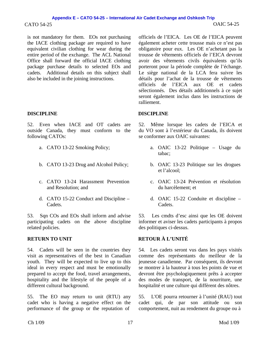### CATO 54-25 OAIC 54-25 **Appendix E – CATO 54-25 – International Air Cadet Exchange and Oshkosh Trip**

is not mandatory for them. EOs not purchasing the IACE clothing package are required to have equivalent civilian clothing for wear during the entire period of the exchange. The ACL National Office shall forward the official IACE clothing package purchase details to selected EOs and cadets. Additional details on this subject shall also be included in the joining instructions.

### **DISCIPLINE DISCIPLINE**

52. Even when IACE and OT cadets are outside Canada, they must conform to the following CATOs:

- 
- 
- c. CATO 13-24 Harassment Prevention and Resolution; and
- d. CATO 15-22 Conduct and Discipline Cadets.

53. Sqn COs and EOs shall inform and advise participating cadets on the above discipline related policies.

54. Cadets will be seen in the countries they visit as representatives of the best in Canadian youth. They will be expected to live up to this ideal in every respect and must be emotionally prepared to accept the food, travel arrangements, hospitality and the lifestyle of the people of a different cultural background.

55. The EO may return to unit (RTU) any cadet who is having a negative effect on the performance of the group or the reputation of

officiels de l'EICA. Les OE de l'EICA peuvent également acheter cette trousse mais ce n'est pas obligatoire pour eux. Les OE n'achetant pas la trousse de vêtements officiels de l'EICA devront avoir des vêtements civils équivalents qu'ils porteront pour la période complète de l'échange. Le siège national de la LCA fera suivre les détails pour l'achat de la trousse de vêtements officiels de l'EICA aux OE et cadets sélectionnés. Des détails additionnels à ce sujet seront également inclus dans les instructions de ralliement.

52. Même lorsque les cadets de l'EICA et du VO sont à l'extérieur du Canada, ils doivent se conformer aux OAIC suivantes:

- a. CATO 13-22 Smoking Policy; a. OAIC 13-22 Politique Usage du tabac;
- b. CATO 13-23 Drug and Alcohol Policy; b. OAIC 13-23 Politique sur les drogues et l'alcool;
	- c. OAIC 13-24 Prévention et résolution du harcèlement; et
	- d. OAIC 15-22 Conduite et discipline Cadets.

53. Les cmdts d'esc ainsi que les OE doivent informer et aviser les cadets participants à propos des politiques ci-dessus.

# **RETURN TO UNIT RETOUR À L'UNITÉ**

54. Les cadets seront vus dans les pays visités comme des représentants du meilleur de la jeunesse canadienne. Par conséquent, ils devront se montrer à la hauteur à tous les points de vue et devront être psychologiquement prêts à accepter des modes de transport, de la nourriture, une hospitalité et une culture qui diffèrent des nôtres.

55. L'OE pourra retourner à l'unité (RAU) tout cadet qui, de par son attitude ou son comportement, nuit au rendement du groupe ou à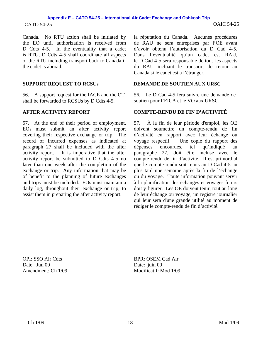# CATO 54-25 OAIC 54-25 **Appendix E – CATO 54-25 – International Air Cadet Exchange and Oshkosh Trip**

Canada. No RTU action shall be initiated by the EO until authorization is received from D Cdts 4-5. In the eventuality that a cadet is RTU, D Cdts 4-5 shall coordinate all aspects of the RTU including transport back to Canada if the cadet is abroad.

56. A support request for the IACE and the OT shall be forwarded to RCSUs by D Cdts 4-5.

57. At the end of their period of employment, EOs must submit an after activity report covering their respective exchange or trip. The record of incurred expenses as indicated at paragraph 27 shall be included with the after activity report. It is imperative that the after activity report be submitted to D Cdts 4-5 no later than one week after the completion of the exchange or trip. Any information that may be of benefit to the planning of future exchanges and trips must be included. EOs must maintain a daily log, throughout their exchange or trip, to assist them in preparing the after activity report.

la réputation du Canada. Aucunes procédures de RAU ne sera entreprises par l'OE avant d'avoir obtenu l'autorisation du D Cad 4-5. Dans l'éventualité qu'un cadet est RAU, le D Cad 4-5 sera responsable de tous les aspects du RAU incluant le transport de retour au Canada si le cadet est à l'étranger.

### **SUPPORT REQUEST TO RCSUS DEMANDE DE SOUTIEN AUX URSC**

56. Le D Cad 4-5 fera suivre une demande de soutien pour l'EICA et le VO aux URSC.

### **AFTER ACTIVITY REPORT COMPTE-RENDU DE FIN D'ACTIVITÉ**

57. À la fin de leur période d'emploi, les OE doivent soumettre un compte-rendu de fin d'activité en rapport avec leur échange ou voyage respectif. Une copie du rapport des dépenses encourues, tel qu'indiqué au paragraphe 27, doit être incluse avec le compte-rendu de fin d'activité. Il est primordial que le compte-rendu soit remis au D Cad 4-5 au plus tard une semaine après la fin de l'échange ou du voyage. Toute information pouvant servir à la planification des échanges et voyages futurs doit y figurer. Les OE doivent tenir, tout au long de leur échange ou voyage, un registre journalier qui leur sera d'une grande utilité au moment de rédiger le compte-rendu de fin d'activité.

OPI: SSO Air Cdts Date: Jun 09 Amendment: Ch 1/09 BPR: OSEM Cad Air Date: juin 09 Modificatif: Mod 1/09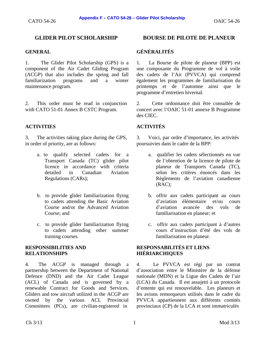1. The Glider Pilot Scholarship (GPS) is a component of the Air Cadet Gliding Program (ACGP) that also includes the spring and fall familiarization programs and a winter maintenance program.

2. This order must be read in conjunction with CATO 51-01 Annex B CSTC Program.

# **ACTIVITIES ACTIVITÉS**

3. The activities taking place during the GPS, in order of priority, are as follows:

- a. to qualify selected cadets for a Transport Canada (TC) glider pilot licence in accordance with criteria detailed in Canadian Aviation Regulations (CARs);
- b. to provide glider familiarization flying to cadets attending the Basic Aviation Course and/or the Advanced Aviation Course; and
- c. to provide glider familiarization flying to cadets attending other summer training courses.

### **RESPONSIBILITIES AND RELATIONSHIPS**

4. The ACGP is managed through a partnership between the Department of National Defence (DND) and the Air Cadet League (ACL) of Canada and is governed by a renewable Contract for Goods and Services. Gliders and tow aircraft utilized in the ACGP are owned by the various ACL Provincial Committees (PCs), are civilian-registered in

# **GLIDER PILOT SCHOLARSHIP BOURSE DE PILOTE DE PLANEUR**

# **GENERAL GÉNÉRALITÉS**

1. La Bourse de pilote de planeur (BPP) est une composante du Programme de vol à voile des cadets de l'Air (PVVCA) qui comprend également les programmes de familiarisation du printemps et de l'automne ainsi que le programme d'entretien hivernal.

2. Cette ordonnance doit être consultée de concert avec l'OAIC 51-01 annexe B Programme des CIEC.

3. Voici, par ordre d'importance, les activités poursuivies dans le cadre de la BPP:

- a. qualifier les cadets sélectionnés en vue de l'obtention de la licence de pilote de planeur de Transports Canada (TC), selon les critères énoncés dans les Règlements de l'aviation canadienne (RAC);
- b. offrir aux cadets participant au cours d'aviation élémentaire et/ou cours d'aviation avancée des vols de familiarisation en planeur; et
- c. offrir aux cadets participant à d'autres cours d'instruction d'été des vols de familiarisation en planeur.

### **RESPONSABILITÉS ET LIENS HIÉRIARCHIQUES**

4. Le PVVCA est régi par un contrat d'association entre le Ministère de la défense nationale (MDN) et la Ligue des Cadets de l'air (LCA) du Canada. Il est assujetti à un protocole d'entente qui est renouvelable. Les planeurs et les avions remorqueurs utilisés dans le cadre du PVVCA appartiennent aux différents comités provinciaux (CP) de la LCA et sont immatriculés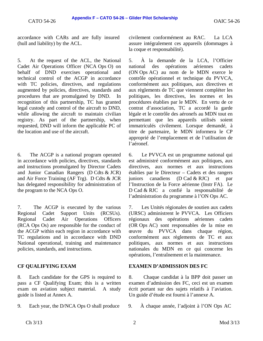accordance with CARs and are fully insured (hull and liability) by the ACL.

5. At the request of the ACL, the National Cadet Air Operations Officer (NCA Ops O) on behalf of DND exercises operational and technical control of the ACGP in accordance with TC policies, directives, and regulations augmented by policies, directives, standards and procedures that are promulgated by DND. In recognition of this partnership, TC has granted legal custody and control of the aircraft to DND, while allowing the aircraft to maintain civilian registry. As part of the partnership, when requested, DND will inform the applicable PC of the location and use of the aircraft.

6. The ACGP is a national program operated in accordance with policies, directives, standards and instructions promulgated by Director Cadets and Junior Canadian Rangers (D Cdts & JCR) and Air Force Training (AF Trg). D Cdts & JCR has delegated responsibility for administration of the program to the NCA Ops O.

7. The ACGP is executed by the various Regional Cadet Support Units (RCSUs). Regional Cadet Air Operations Officers (RCA Ops Os) are responsible for the conduct of the ACGP within each region in accordance with TC regulations and in accordance with DND National operational, training and maintenance policies, standards, and instructions.

8. Each candidate for the GPS is required to pass a CF Qualifying Exam; this is a written exam on aviation subject material. A study guide is listed at Annex A.

9. Each year, the D/NCA Ops O shall produce 9. À chaque année, l'adjoint à l'ON Ops AC

civilement conformément au RAC. La LCA assure intégralement ces appareils (dommages à la coque et responsabilité).

5. À la demande de la LCA, l'Officier national des opérations aériennes cadets (ON Ops AC) au nom de le MDN exerce le contrôle opérationnel et technique du PVVCA, conformément aux politiques, aux directives et aux règlements de TC que viennent compléter les politiques, les directives, les normes et les procédures établies par le MDN. En vertu de ce contrat d'association, TC a accordé la garde légale et le contrôle des aéronefs au MDN tout en permettant que les appareils utilisés soient immatriculés civilement. Lorsque demandé, à titre de partenaire, le MDN informera le CP approprié de l'emplacement et de l'utilisation de l'aéronef.

6. Le PVVCA est un programme national qui est administré conformément aux politiques, aux directives, aux normes et aux instructions établies par le Directeur – Cadets et des rangers juniors canadiens (D Cad & RJC) et par l'Instruction de la Force aérienne (Instr FA). Le D Cad & RJC a confié la responsabilité de l'administration du programme à l'ON Ops AC.

7. Les Unités régionales de soutien aux cadets (URSC) administrent le PVVCA. Les Officiers régionaux des opérations aériennes cadets (OR Ops AC) sont responsables de la mise en œuvre du PVVCA dans chaque région, conformément aux règlements de TC et aux politiques, aux normes et aux instructions nationales du MDN en ce qui concerne les opérations, l'entraînement et la maintenance.

### **CF QUALIFYING EXAM EXAMEN D'ADMISSION DES FC**

8. Chaque candidat à la BPP doit passer un examen d'admission des FC, ceci est un examen écrit portant sur des sujets relatifs à l'aviation. Un guide d'étude est fourni à l'annexe A.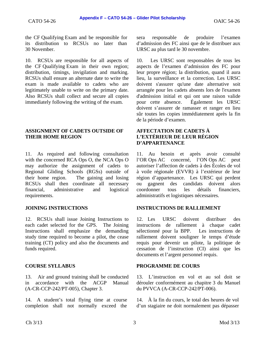the CF Qualifying Exam and be responsible for its distribution to RCSUs no later than 30 November.

10. RCSUs are responsible for all aspects of the CF Qualifying Exam in their own region; distribution, timings, invigilation and marking. RCSUs shall ensure an alternate date to write the exam is made available to cadets who are legitimately unable to write on the primary date. Also RCSUs shall collect and secure all copies immediately following the writing of the exam.

### **ASSIGNMENT OF CADETS OUTSIDE OF THEIR HOME REGION**

11. As required and following consultation with the concerned RCA Ops O, the NCA Ops O may authorize the assignment of cadets to Regional Gliding Schools (RGSs) outside of their home region. The gaining and losing RCSUs shall then coordinate all necessary financial, administrative and logistical requirements.

12. RCSUs shall issue Joining Instructions to each cadet selected for the GPS. The Joining Instructions shall emphasize the demanding study time required to become a pilot, the cease training (CT) policy and also the documents and funds required.

13. Air and ground training shall be conducted in accordance with the ACGP Manual (A-CR-CCP-242/PT-005), Chapter 3.

14. A student's total flying time at course completion shall not normally exceed the sera responsable de produire l'examen d'admission des FC ainsi que de le distribuer aux URSC au plus tard le 30 novembre.

10. Les URSC sont responsables de tous les aspects de l'examen d'admission des FC pour leur propre région; la distribution, quand il aura lieu, la surveillance et la correction. Les URSC doivent s'assurer qu'une date alternative soit arrangée pour les cadets absents lors de l'examen d'admission initial et qui ont une raison valide pour cette absence. Également les URSC doivent s'assurer de ramasser et ranger en lieu sûr toutes les copies immédiatement après la fin de la période d'examen.

# **AFFECTATION DE CADETS À L'EXTÉRIEUR DE LEUR RÉGION D'APPARTENANCE**

11. Au besoin et après avoir consulté l'OR Ops AC concerné, l'ON Ops AC peut autoriser l'affection de cadets à des Écoles de vol à voile régionale (EVVR) à l'extérieur de leur région d'appartenance. Les URSC qui perdent ou gagnent des candidats doivent alors coordonner tous les détails financiers, administratifs et logistiques nécessaires.

# **JOINING INSTRUCTIONS INSTRUCTIONS DE RALLIEMENT**

12. Les URSC doivent distribuer des instructions de ralliement à chaque cadet sélectionné pour la BPP. Les instructions de ralliement doivent souligner le temps d'étude requis pour devenir un pilote, la politique de cessation de l'instruction (CI) ainsi que les documents et l'argent personnel requis.

# **COURSE SYLLABUS PROGRAMME DE COURS**

13. L'instruction en vol et au sol doit se dérouler conformément au chapitre 3 du Manuel du PVVCA (A-CR-CCP-242/PT-006).

14. À la fin du cours, le total des heures de vol d'un stagiaire ne doit normalement pas dépasser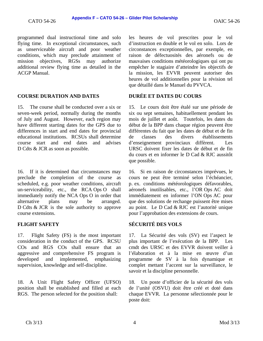programmed dual instructional time and solo flying time. In exceptional circumstances, such as unserviceable aircraft and poor weather conditions, which may preclude attainment of mission objectives, RGSs may authorize additional review flying time as detailed in the ACGP Manual.

# **COURSE DURATION AND DATES DURÉE ET DATES DU COURS**

15. The course shall be conducted over a six or seven-week period, normally during the months of July and August. However, each region may have different starting dates for the GPS due to differences in start and end dates for provincial educational institutions. RCSUs shall determine course start and end dates and advises D Cdts & JCR as soon as possible.

16. If it is determined that circumstances may preclude the completion of the course as scheduled, e.g. poor weather conditions, aircraft un-serviceability, etc., the RCA Ops O shall immediately notify the NCA Ops O in order that alternative plans may be arranged. D Cdts & JCR is the sole authority to approve course extensions.

17. Flight Safety (FS) is the most important consideration in the conduct of the GPS. RCSU COs and RGS COs shall ensure that an aggressive and comprehensive FS program is developed and implemented, emphasizing supervision, knowledge and self-discipline.

18. A Unit Flight Safety Officer (UFSO) position shall be established and filled at each RGS. The person selected for the position shall:

les heures de vol prescrites pour le vol d'instruction en double et le vol en solo. Lors de circonstances exceptionnelles, par exemple, en raison de défectuosités des aéronefs ou de mauvaises conditions météorologiques qui ont pu empêcher le stagiaire d'atteindre les objectifs de la mission, les EVVR peuvent autoriser des heures de vol additionnelles pour la révision tel que détaillé dans le Manuel du PVVCA.

15. Le cours doit être étalé sur une période de six ou sept semaines, habituellement pendant les mois de juillet et août. Toutefois, les dates du début de la BPP dans chaque région peuvent être différentes du fait que les dates de début et de fin de classes des divers établissements d'enseignement provinciaux diffèrent. Les URSC doivent fixer les dates de début et de fin du cours et en informer le D Cad & RJC aussitôt que possible.

16. Si en raison de circonstances imprévues, le cours ne peut être terminé selon l'échéancier, p. ex. conditions météorologiques défavorables, aéronefs inutilisables, etc., l'OR Ops AC doit immédiatement en informer l'ON Ops AC pour que des solutions de rechange puissent être mises au point. Le D Cad & RJC est l'autorité unique pour l'approbation des extensions de cours.

# **FLIGHT SAFETY SÉCURITÉ DES VOLS**

17. La Sécurité des vols (SV) est l'aspect le plus important de l'exécution de la BPP. Les cmdt des URSC et des EVVR doivent veiller à l'élaboration et à la mise en œuvre d'un programme de SV à la fois dynamique et complet mettant l'accent sur la surveillance, le savoir et la discipline personnelle.

18. Un poste d'officier de la sécurité des vols de l'unité (OSVU) doit être créé et doté dans chaque EVVR. La personne sélectionnée pour le poste doit: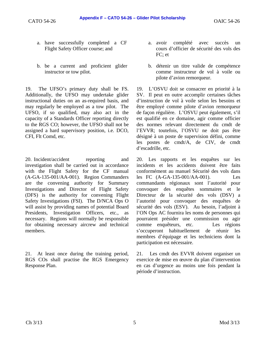- a. have successfully completed a CF Flight Safety Officer course; and
- b. be a current and proficient glider instructor or tow pilot.

19. The UFSO's primary duty shall be FS. Additionally, the UFSO may undertake glider instructional duties on an as-required basis, and may regularly be employed as a tow pilot. The UFSO, if so qualified, may also act in the capacity of a Standards Officer reporting directly to the RGS CO; however, the UFSO shall not be assigned a hard supervisory position, i.e. DCO, CFI, Flt Comd, etc.

20. Incident/accident reporting and investigation shall be carried out in accordance with the Flight Safety for the CF manual (A-GA-135-001/AA-001). Region Commanders are the convening authority for Summary Investigations and Director of Flight Safety (DFS) is the authority for convening Flight Safety Investigations (FSI). The D/NCA Ops O will assist by providing names of potential Board Presidents, Investigation Officers, etc., as necessary. Regions will normally be responsible for obtaining necessary aircrew and technical members.

21. At least once during the training period, RGS COs shall practise the RGS Emergency Response Plan.

- a. avoir complété avec succès un cours d'officier de sécurité des vols des FC; et
- b. détenir un titre valide de compétence comme instructeur de vol à voile ou pilote d'avion remorqueur.

19. L'OSVU doit se consacrer en priorité à la SV. Il peut en outre accomplir certaines tâches d'instruction de vol à voile selon les besoins et être employé comme pilote d'avion remorqueur de façon régulière. L'OSVU peut également, s'il est qualifié en ce domaine, agir comme officier des normes relevant directement du cmdt de l'EVVR; toutefois, l'OSVU ne doit pas être désigné à un poste de supervision défini, comme les postes de cmdt/A, de CIV, de cmdt d'escadrille, etc.

20. Les rapports et les enquêtes sur les incidents et les accidents doivent être faits conformément au manuel Sécurité des vols dans les FC (A-GA-135-001/AA-001). Les commandants régionaux sont l'autorité pour convoquer des enquêtes sommaires et le Directeur de la sécurité des vols (DSV) a l'autorité pour convoquer des enquêtes de sécurité des vols (ESV). Au besoin, l'adjoint à l'ON Ops AC fournira les noms de personnes qui pourraient présider une commission ou agir comme enquêteurs, etc. Les régions s'occuperont habituellement de réunir les membres d'équipage et les techniciens dont la participation est nécessaire.

21. Les cmdt des EVVR doivent organiser un exercice de mise en œuvre du plan d'intervention en cas d'urgence au moins une fois pendant la période d'instruction.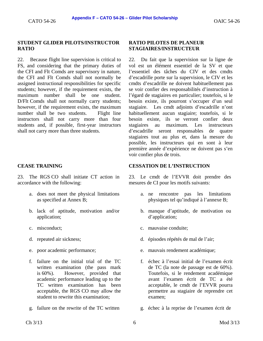### **STUDENT GLIDER PILOTS/INSTRUCTOR RATIO**

22. Because flight line supervision is critical to FS, and considering that the primary duties of the CFI and Flt Comds are supervisory in nature, the CFI and Flt Comds shall not normally be assigned instructional responsibilities for specific students; however, if the requirement exists, the maximum number shall be one student. D/Flt Comds shall not normally carry students; however, if the requirement exists, the maximum number shall be two students. Flight line instructors shall not carry more than four students and, if possible, first-year instructors shall not carry more than three students.

23. The RGS CO shall initiate CT action in accordance with the following:

- a. does not meet the physical limitations as specified at Annex B;
- b. lack of aptitude, motivation and/or application;
- 
- 
- 
- f. failure on the initial trial of the TC written examination (the pass mark is 60%). However, provided that academic performance leading up to the TC written examination has been acceptable, the RGS CO may allow the student to rewrite this examination;
- g. failure on the rewrite of the TC written g. échec à la reprise de l'examen écrit de

### **RATIO PILOTES DE PLANEUR STAGIAIRES/INSTRUCTEUR**

22. Du fait que la supervision sur la ligne de vol est un élément essentiel de la SV et que l'essentiel des tâches du CIV et des cmdts d'escadrille porte sur la supervision, le CIV et les cmdts d'escadrille ne doivent habituellement pas se voir confier des responsabilités d'instruction à l'égard de stagiaires en particulier; toutefois, si le besoin existe, ils pourront s'occuper d'un seul stagiaire. Les cmdt adjoints d'escadrille n'ont habituellement aucun stagiaire; toutefois, si le besoin existe, ils se verront confier deux stagiaires au maximum. Les instructeurs d'escadrille seront responsables de quatre stagiaires tout au plus et, dans la mesure du possible, les instructeurs qui en sont à leur première année d'expérience ne doivent pas s'en voir confier plus de trois.

### **CEASE TRAINING CESSATION DE L'INSTRUCTION**

23. Le cmdt de l'EVVR doit prendre des mesures de CI pour les motifs suivants:

- a. ne rencontre pas les limitations physiques tel qu'indiqué à l'annexe B;
- b. manque d'aptitude, de motivation ou d'application;
- c. misconduct; c. mauvaise conduite;
- d. repeated air sickness; d. épisodes répétés de mal de l'air;
- e. poor academic performance; e. mauvais rendement académique;
	- f. échec à l'essai initial de l'examen écrit de TC (la note de passage est de 60%). Toutefois, si le rendement académique avant l'examen écrit de TC a été acceptable, le cmdt de l'EVVR pourra permettre au stagiaire de reprendre cet examen;
	-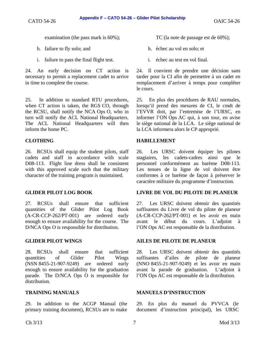- 
- i. failure to pass the final flight test.  $\qquad \qquad$  i. échec au test en vol final.

24. An early decision on CT action is necessary to permit a replacement cadet to arrive in time to complete the course.

25. In addition to standard RTU procedures, when CT action is taken, the RGS CO, through the RCSU, shall notify the NCA Ops O, who in turn will notify the ACL National Headquarters. The ACL National Headquarters will then inform the home PC.

26. RCSUs shall equip the student pilots, staff cadets and staff in accordance with scale D08-113. Flight line dress shall be consistent with this approved scale such that the military character of the training program is maintained.

27. RCSUs shall ensure that sufficient quantities of the Glider Pilot Log Book (A-CR-CCP-262/PT-001) are ordered early enough to ensure availability for the course. The D/NCA Ops O is responsible for distribution.

28. RCSUs shall ensure that sufficient quantities of Glider Pilot Wings (NSN 8455-21-907-9249) are ordered early enough to ensure availability for the graduation parade. The D/NCA Ops O is responsible for distribution.

29. In addition to the ACGP Manual (the primary training document), RCSUs are to make

- h. failure to fly solo; and h. échec au vol en solo; et
	-

24. Il convient de prendre une décision sans tarder pour la CI afin de permettre à un cadet en remplacement d'arriver à temps pour compléter le cours.

25. En plus des procédures de RAU normales, lorsqu'il prend des mesures de CI, le cmdt de l'EVVR doit, par l'entremise de l'URSC, en informer l'ON Ops AC qui, à son tour, en avise le siège national de la LCA. Le siège national de la LCA informera alors le CP approprié.

# **CLOTHING HABILLEMENT**

26. Les URSC doivent équiper les pilotes stagiaires, les cadets-cadres ainsi que le personnel conformément au barème D08-113. Les tenues de la ligne de vol doivent être conformes à ce barème de façon à préserver le caractère militaire du programme d'instruction.

# **GLIDER PILOT LOG BOOK LIVRE DE VOL DU PILOTE DE PLANEUR**

27. Les URSC doivent obtenir des quantités suffisantes du Livre de vol du pilote de planeur (A-CR-CCP-262/PT-001) et les avoir en main avant le début du cours. L'adjoint à l'ON Ops AC est responsable de la distribution.

# **GLIDER PILOT WINGS AILES DE PILOTE DE PLANEUR**

28. Les URSC doivent obtenir des quantités suffisantes d'ailes de pilote de planeur (NNO 8455-21-907-9249) et les avoir en main avant la parade de graduation. L'adjoint à l'ON Ops AC est responsable de la distribution.

### **TRAINING MANUALS MANUELS D'INSTRUCTION**

29. En plus du manuel du PVVCA (le document d'instruction principal), les URSC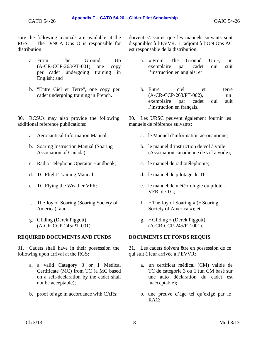sure the following manuals are available at the RGS. The D/NCA Ops O is responsible for distribution:

- a. From The Ground Up (A-CR-CCP-263/PT-001), one copy per cadet undergoing training in English; and
- b. "Entre Ciel et Terre", one copy per cadet undergoing training in French.

30. RCSUs may also provide the following additional reference publications:

- 
- b. Soaring Instruction Manual (Soaring Association of Canada);
- c. Radio Telephone Operator Handbook; c. le manuel de radiotéléphonie;
- 
- 
- f. The Joy of Soaring (Soaring Society of America); and
- g. Gliding (Derek Piggott), (A-CR-CCP-245/PT-001).

### **REQUIRED DOCUMENTS AND FUNDS DOCUMENTS ET FONDS REQUIS**

31. Cadets shall have in their possession the following upon arrival at the RGS:

- a. a valid Category 3 or 1 Medical Certificate (MC) from TC (a MC based on a self-declaration by the cadet shall not be acceptable);
- b. proof of age in accordance with CARs; b. une preuve d'âge tel qu'exigé par le

doivent s'assurer que les manuels suivants sont disponibles à l'EVVR. L'adjoint à l'ON Ops AC est responsable de la distribution:

- a. « From The Ground Up », un exemplaire par cadet qui suit l'instruction en anglais; et
- b. Entre ciel et terre (A-CR-CCP-263/PT-002), un exemplaire par cadet qui suit l'instruction en français.

30. Les URSC peuvent également fournir les manuels de référence suivants:

- a. Aeronautical Information Manual; a. le Manuel d'information aéronautique;
	- b. le manuel d'instruction de vol à voile (Association canadienne de vol à voile);
	-
- d. TC Flight Training Manual; d. le manuel de pilotage de TC;
- e. TC Flying the Weather VFR; e. le manuel de météorologie du pilote VFR, de TC;
	- f. « The Joy of Soaring » (« Soaring Society of America »); et
	- g. « Gliding » (Derek Piggott), (A-CR-CCP-245/PT-001).

31. Les cadets doivent être en possession de ce qui suit à leur arrivée à l'EVVR:

- a. un certificat médical (CM) valide de TC de catégorie 3 ou 1 (un CM basé sur une auto déclaration du cadet est inacceptable);
- RAC;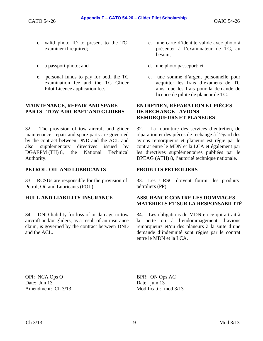- c. valid photo ID to present to the TC examiner if required;
- 
- e. personal funds to pay for both the TC examination fee and the TC Glider Pilot Licence application fee.

### **MAINTENANCE, REPAIR AND SPARE PARTS - TOW AIRCRAFT AND GLIDERS**

32. The provision of tow aircraft and glider maintenance, repair and spare parts are governed by the contract between DND and the ACL and also supplementary directives issued by DGAEPM (TH) 8, the National Technical Authority.

# PETROL, OIL AND LUBRICANTS PRODUITS PÉTROLIERS

33. RCSUs are responsible for the provision of Petrol, Oil and Lubricants (POL).

34. DND liability for loss of or damage to tow aircraft and/or gliders, as a result of an insurance claim, is governed by the contract between DND and the ACL.

- c. une carte d'identité valide avec photo à présenter à l'examinateur de TC, au besoin;
- d. a passport photo; and d. une photo passeport; et
	- e. une somme d'argent personnelle pour acquitter les frais d'examens de TC ainsi que les frais pour la demande de licence de pilote de planeur de TC.

### **ENTRETIEN, RÉPARATION ET PIÈCES DE RECHANGE - AVIONS REMORQUEURS ET PLANEURS**

32. La fourniture des services d'entretien, de réparation et des pièces de rechange à l'égard des avions remorqueurs et planeurs est régie par le contrat entre le MDN et la LCA et également par les directives supplémentaires publiées par le DPEAG (ATH) 8, l'autorité technique nationale.

33. Les URSC doivent fournir les produits pétroliers (PP).

### **HULL AND LIABILITY INSURANCE ASSURANCE CONTRE LES DOMMAGES MATÉRIELS ET SUR LA RESPONSABILITÉ**

34. Les obligations du MDN en ce qui a trait à la perte ou à l'endommagement d'avions remorqueurs et/ou des planeurs à la suite d'une demande d'indemnité sont régies par le contrat entre le MDN et la LCA.

OPI: NCA Ops O Date: Jun 13 Amendment: Ch 3/13 BPR: ON Ops AC Date: juin 13 Modificatif: mod 3/13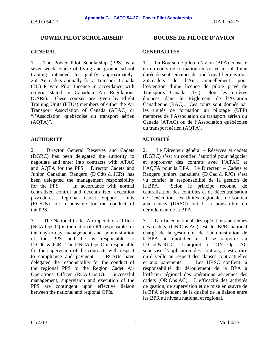# **POWER PILOT SCHOLARSHIP BOURSE DE PILOTE D'AVION**

1. The Power Pilot Scholarship (PPS) is a seven-week course of flying and ground school training intended to qualify approximately 255 Air cadets annually for a Transport Canada (TC) Private Pilot Licence in accordance with criteria stated in Canadian Air Regulations (CARs). These courses are given by Flight Training Units (FTUs) members of either the Air Transport Association of Canada (ATAC) or "l'Association québécoise du transport aérien (AQTA)".

# **AUTHORITY AUTORITÉ**

2. Director General Reserves and Cadets (DGRC) has been delegated the authority to negotiate and enter into contracts with ATAC and AQTA for the PPS. Director Cadets and Junior Canadian Rangers (D Cdts & JCR) has been delegated the management responsibility for the PPS. In accordance with normal centralized control and decentralized execution procedures, Regional Cadet Support Units (RCSUs) are responsible for the conduct of the PPS.

3. The National Cadet Air Operations Officer (NCA Ops O) is the national OPI responsible for the day-to-day management and administration of the PPS and he is responsible to D Cdts & JCR. The DNCA Ops O is responsible for the supervision of the contracts with respect to compliance and payment. RCSUs have delegated the responsibility for the conduct of the regional PPS to the Region Cadet Air Operations Officer (RCA Ops O). Successful management, supervision and execution of the PPS are contingent upon effective liaison between the national and regional OPIs.

# **GENERAL GÉNÉRALITÉS**

1. La Bourse de pilote d'avion (BPA) consiste en un cours de formation en vol et au sol d'une durée de sept semaines destiné à qualifier environ 255 cadets de l'Air annuellement pour l'obtention d'une licence de pilote privé de Transports Canada (TC) selon les critères énoncés dans le Règlement de l'Aviation Canadienne (RAC). Ces cours sont donnés par les unités de formation au pilotage (UFP) membres de l'Association du transport aérien du Canada (ATAC) ou de l'Association québécoise du transport aérien (AQTA).

2. Le Directeur général – Réserves et cadets (DGRC) s'est vu confier l'autorité pour négocier et approuver des contrats avec l'ATAC et l'AQTA pour la BPA. Le Directeur – Cadets et Rangers juniors canadiens (D Cad & RJC) s'est vu confier la responsabilité de la gestion de la BPA. Selon le principe reconnu de centralisation des contrôles et de décentralisation de l'exécution, les Unités régionales de soutien aux cadets (URSC) ont la responsabilité du déroulement de la BPA.

3. L'officier national des opérations aériennes des cadets (ON Ops AC) est le BPR national chargé de la gestion et de l'administration de la BPA au quotidien et il se rapporte au D Cad & RJC. L'adjoint à l'ON Ops AC supervise l'application des contrats, c'est-à-dire qu'il veille au respect des clauses contractuelles et aux paiements. Les URSC confient la responsabilité du déroulement de la BPA à l'officier régional des opérations aériennes des cadets (OR Ops AC). L'efficacité des activités de gestion, de supervision et de mise en œuvre de la BPA dépendent de la qualité de la liaison entre les BPR au niveau national et régional.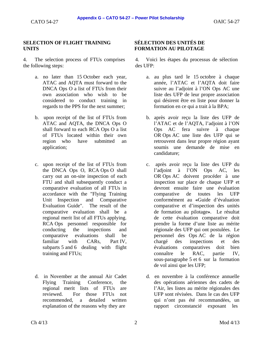### **SELECTION OF FLIGHT TRAINING UNITS**

4. The selection process of FTUs comprises the following steps:

- a. no later than 15 October each year, ATAC and AQTA must forward to the DNCA Ops O a list of FTUs from their own association who wish to be considered to conduct training in regards to the PPS for the next summer;
- b. upon receipt of the list of FTUs from ATAC and AQTA, the DNCA Ops O shall forward to each RCA Ops O a list of FTUs located within their own region who have submitted an application;
- c. upon receipt of the list of FTUs from the DNCA Ops O, RCA Ops O shall carry out an on-site inspection of each FTU and shall subsequently conduct a comparative evaluation of all FTUs in accordance with the "Flying Training Unit Inspection and Comparative Evaluation Guide". The result of the comparative evaluation shall be a regional merit list of all FTUs applying. RCA Ops personnel responsible for conducting the inspections and comparative evaluations shall be familiar with CARs, Part IV, subparts 5 and 6 dealing with flight training and FTUs;
- d. in November at the annual Air Cadet Flying Training Conference, the regional merit lists of FTUs are reviewed. For those FTUs not recommended, a detailed written explanation of the reasons why they are

# **SÉLECTION DES UNITÉS DE FORMATION AU PILOTAGE**

4. Voici les étapes du processus de sélection des UFP:

- a. au plus tard le 15 octobre à chaque année, l'ATAC et l'AQTA doit faire suivre au l'adjoint à l'ON Ops AC une liste des UFP de leur propre association qui désirent être en liste pour donner la formation en ce qui a trait à la BPA;
- b. après avoir reçu la liste des UFP de l'ATAC et de l'AQTA, l'adjoint à l'ON Ops AC fera suivre à chaque OR Ops AC une liste des UFP qui se retrouvent dans leur propre région ayant soumis une demande de mise en candidature;
- c. après avoir reçu la liste des UFP du l'adjoint à l'ON Ops AC, les OR Ops AC doivent procéder à une inspection sur place de chaque UFP et devront ensuite faire une évaluation comparative de toutes les UFP conformément au **«**Guide d'évaluation comparative et d'inspection des unités de formation au pilotage**»**. Le résultat de cette évaluation comparative doit prendre la forme d'une liste au mérite régionale des UFP qui ont postulées. Le personnel des Ops AC de la région chargé des inspections et des évaluations comparatives doit bien connaître le RAC, partie IV, sous-paragraphe 5 et 6 sur la formation de vol ainsi que les UFP;
- d. en novembre à la conférence annuelle des opérations aériennes des cadets de l'Air, les listes au mérite régionales des UFP sont révisées. Dans le cas des UFP qui n'ont pas été recommandées, un rapport circonstancié exposant les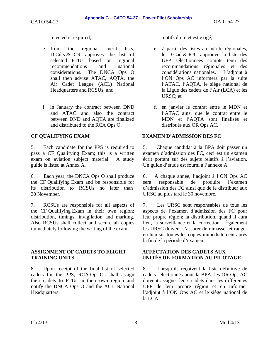- e. from the regional merit lists, D Cdts & JCR approves the list of selected FTUs based on regional recommendations and national considerations. The DNCA Ops O shall then advise ATAC, AQTA, the Air Cadet League (ACL) National Headquarters and RCSUs; and
- f. in January the contract between DND and ATAC and also the contract between DND and AQTA are finalized and distributed to the RCA Ops O.

5. Each candidate for the PPS is required to pass a CF Qualifying Exam; this is a written exam on aviation subject material. A study guide is listed at Annex A.

6. Each year, the DNCA Ops O shall produce the CF Qualifying Exam and be responsible for its distribution to RCSUs no later than 30 November.

7. RCSUs are responsible for all aspects of the CF Qualifying Exam in their own region; distribution, timings, invigilation and marking. Also RCSUs shall collect and secure all copies immediately following the writing of the exam.

### **ASSIGNMENT OF CADETS TO FLIGHT TRAINING UNITS**

8. Upon receipt of the final list of selected cadets for the PPS, RCA Ops Os shall assign their cadets to FTUs in their own region and notify the DNCA Ops O and the ACL National Headquarters.

rejected is required; motifs du rejet est exigé;

- e. à partir des listes au mérite régionales, le D Cad & RJC approuve la liste des UFP sélectionnées compte tenu des recommandations régionales et des considérations nationales. L'adjoint à l'ON Ops AC informera par la suite l'ATAC, l'AQTA, le siège national de la Ligue des cadets de l'Air (LCA) et les URSC; et
- f. en janvier le contrat entre le MDN et l'ATAC ainsi que le contrat entre le MDN et l'AQTA sont finalisés et distribués aux OR Ops AC.

# **CF QUALIFYING EXAM EXAMEN D'ADMISSION DES FC**

5. Chaque candidat à la BPA doit passer un examen d'admission des FC, ceci est un examen écrit portant sur des sujets relatifs à l'aviation. Un guide d'étude est fourni à l'annexe A.

6. À chaque année, l'adjoint à l'ON Ops AC sera responsable de produire l'examen d'admission des FC ainsi que de le distribuer aux URSC au plus tard le 30 novembre.

7. Les URSC sont responsables de tous les aspects de l'examen d'admission des FC pour leur propre région; la distribution, quand il aura lieu, la surveillance et la correction. Également les URSC doivent s'assurer de ramasser et ranger en lieu sûr toutes les copies immédiatement après la fin de la période d'examen.

### **AFFECTATION DES CADETS AUX UNITÉS DE FORMATION AU PILOTAGE**

8. Lorsqu'ils reçoivent la liste définitive de cadets sélectionnés pour la BPA, les OR Ops AC doivent assigner leurs cadets dans les différentes UFP de leur propre région et en informer l'adjoint à l'ON Ops AC et le siège national de la LCA.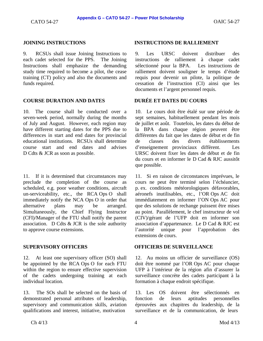9. RCSUs shall issue Joining Instructions to each cadet selected for the PPS. The Joining Instructions shall emphasize the demanding study time required to become a pilot, the cease training (CT) policy and also the documents and funds required.

### **COURSE DURATION AND DATES DURÉE ET DATES DU COURS**

10. The course shall be conducted over a seven-week period, normally during the months of July and August. However, each region may have different starting dates for the PPS due to differences in start and end dates for provincial educational institutions. RCSUs shall determine course start and end dates and advises D Cdts & JCR as soon as possible.

11. If it is determined that circumstances may preclude the completion of the course as scheduled, e.g. poor weather conditions, aircraft un-serviceability, etc., the RCA Ops O shall immediately notify the NCA Ops O in order that alternative plans may be arranged. Simultaneously, the Chief Flying Instructor (CFI)/Manager of the FTU shall notify the parent association. D Cdts  $&$  JCR is the sole authority to approve course extensions.

12. At least one supervisory officer (SO) shall be appointed by the RCA Ops O for each FTU within the region to ensure effective supervision of the cadets undergoing training at each individual location.

13. The SOs shall be selected on the basis of demonstrated personal attributes of leadership, supervisory and communication skills, aviation qualifications and interest, initiative, motivation

### **JOINING INSTRUCTIONS INSTRUCTIONS DE RALLIEMENT**

9. Les URSC doivent distribuer des instructions de ralliement à chaque cadet sélectionné pour la BPA. Les instructions de ralliement doivent souligner le temps d'étude requis pour devenir un pilote, la politique de cessation de l'instruction (CI) ainsi que les documents et l'argent personnel requis.

10. Le cours doit être étalé sur une période de sept semaines, habituellement pendant les mois de juillet et août. Toutefois, les dates du début de la BPA dans chaque région peuvent être différentes du fait que les dates de début et de fin de classes des divers établissements d'enseignement provinciaux diffèrent. Les URSC doivent fixer les dates de début et de fin du cours et en informer le D Cad & RJC aussitôt que possible.

11. Si en raison de circonstances imprévues, le cours ne peut être terminé selon l'échéancier, p. ex. conditions météorologiques défavorables, aéronefs inutilisables, etc., l'OR Ops AC doit immédiatement en informer l'ON Ops AC pour que des solutions de rechange puissent être mises au point. Parallèlement, le chef instructeur de vol (CIV)/gérant de l'UFP doit en informer son association d'appartenance. Le D Cad & RJC est l'autorité unique pour l'approbation des extensions de cours.

### **SUPERVISORY OFFICERS OFFICIERS DE SURVEILLANCE**

12. Au moins un officier de surveillance (OS) doit être nommé par l'OR Ops AC pour chaque UFP à l'intérieur de la région afin d'assurer la surveillance concrète des cadets participant à la formation à chaque endroit spécifique.

13. Les OS doivent être sélectionnés en fonction de leurs aptitudes personnelles éprouvées aux chapitres du leadership, de la surveillance et de la communication, de leurs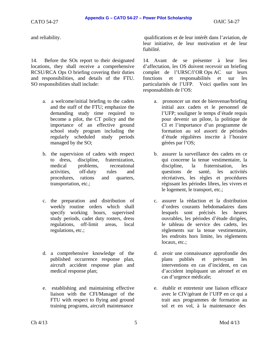14. Before the SOs report to their designated locations, they shall receive a comprehensive RCSU/RCA Ops O briefing covering their duties and responsibilities, and details of the FTU. SO responsibilities shall include:

- a. a welcome/initial briefing to the cadets and the staff of the FTU; emphasize the demanding study time required to become a pilot, the CT policy and the importance of an effective ground school study program including the regularly scheduled study periods managed by the SO;
- b. the supervision of cadets with respect to dress, discipline, fraternization, medical problems, recreational activities, off-duty rules and procedures, rations and quarters, transportation, etc.;
- c. the preparation and distribution of weekly routine orders which shall specify working hours, supervised study periods, cadet duty rosters, dress regulations, off-limit areas, local regulations, etc.;
- d. a comprehensive knowledge of the published occurrence response plan, aircraft accident response plan and medical response plan;
- e. establishing and maintaining effective liaison with the CFI/Manager of the FTU with respect to flying and ground training programs, aircraft maintenance

and reliability. qualifications et de leur intérêt dans l'aviation, de leur initiative, de leur motivation et de leur fiabilité.

> 14. Avant de se présenter à leur lieu d'affectation, les OS doivent recevoir un briefing complet de l'URSC/l'OR Ops AC sur leurs fonctions et responsabilités et sur les particularités de l'UFP. Voici quelles sont les responsabilités de l'OS:

- a. prononcer un mot de bienvenue/briefing initial aux cadets et le personnel de l'UFP; souligner le temps d'étude requis pour devenir un pilote, la politique de CI et l'importance d'un programme de formation au sol assorti de périodes d'étude régulières inscrite à l'horaire gérées par l'OS;
- b. assurer la surveillance des cadets en ce qui concerne la tenue vestimentaire, la discipline, la fraternisation, les questions de santé, les activités récréatives, les règles et procédures régissant les périodes libres, les vivres et le logement, le transport, etc.;
- c. assurer la rédaction et la distribution d'ordres courants hebdomadaires dans lesquels sont précisés les heures ouvrables, les périodes d'étude dirigées, le tableau de service des cadets, les règlements sur la tenue vestimentaire, les endroits hors limite, les règlements locaux, etc.;
- d. avoir une connaissance approfondie des plans publiés et prévoyant les interventions en cas d'incident, en cas d'accident impliquant un aéronef et en cas d'urgence médicale;
- e. établir et entretenir une liaison efficace avec le CIV/gérant de l'UFP en ce qui a trait aux programmes de formation au sol et en vol, à la maintenance des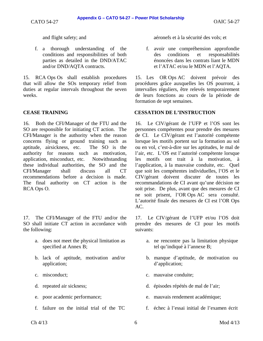f. a thorough understanding of the conditions and responsibilities of both parties as detailed in the DND/ATAC and/or DND/AQTA contracts.

15. RCA Ops Os shall establish procedures that will allow the SOs temporary relief from duties at regular intervals throughout the seven weeks.

16. Both the CFI/Manager of the FTU and the SO are responsible for initiating CT action. The CFI/Manager is the authority when the reason concerns flying or ground training such as aptitude, airsickness, etc. The SO is the authority for reasons such as motivation, application, misconduct, etc. Notwithstanding these individual authorities, the SO and the CFI/Manager shall discuss all CT recommendations before a decision is made. The final authority on CT action is the RCA Ops O.

17. The CFI/Manager of the FTU and/or the SO shall initiate CT action in accordance with the following:

- a. does not meet the physical limitation as specified at Annex B;
- b. lack of aptitude, motivation and/or application;
- 
- 
- 
- 

and flight safety; and aéronefs et à la sécurité des vols; et

f. avoir une compréhension approfondie des conditions et responsabilités énoncées dans les contrats liant le MDN et l'ATAC et/ou le MDN et l'AQTA.

15. Les OR Ops AC doivent prévoir des procédures grâce auxquelles les OS pourront, à intervalles réguliers, être relevés temporairement de leurs fonctions au cours de la période de formation de sept semaines.

### **CEASE TRAINING CESSATION DE L'INSTRUCTION**

16. Le CIV/gérant de l'UFP et l'OS sont les personnes compétentes pour prendre des mesures de CI. Le CIV/gérant est l'autorité compétente lorsque les motifs portent sur la formation au sol ou en vol, c'est-à-dire sur les aptitudes, le mal de l'air, etc. L'OS est l'autorité compétente lorsque les motifs ont trait à la motivation, à l'application, à la mauvaise conduite, etc. Quel que soit les compétentes individuelles, l'OS et le CIV/gérant doivent discuter de toutes les recommandations de CI avant qu'une décision ne soit prise. De plus, avant que des mesures de CI ne soit prisent, l'OR Ops AC sera consulté. L'autorité finale des mesures de CI est l'OR Ops AC.

17. Le CIV/gérant de l'UFP et/ou l'OS doit prendre des mesures de CI pour les motifs suivants:

- a. ne rencontre pas la limitation physique tel qu'indiqué à l'annexe B;
- b. manque d'aptitude, de motivation ou d'application;
- c. misconduct; c. mauvaise conduite;
- d. repeated air sickness; d. épisodes répétés de mal de l'air;
- e. poor academic performance; e. mauvais rendement académique;
- f. failure on the initial trial of the TC f. échec à l'essai initial de l'examen écrit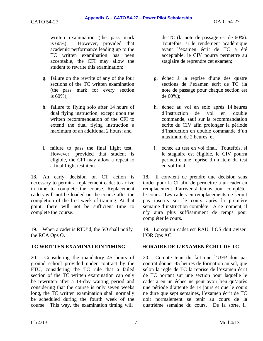written examination (the pass mark is 60%). However, provided that academic performance leading up to the TC written examination has been acceptable, the CFI may allow the

g. failure on the rewrite of any of the four sections of the TC written examination (the pass mark for every section is 60%);

student to rewrite this examination;

- h. failure to flying solo after 14 hours of dual flying instruction, except upon the written recommendation of the CFI to extend the dual flying instruction a maximum of an additional 2 hours; and
- i. failure to pass the final flight test. However, provided that student is eligible, the CFI may allow a repeat to a final flight test item.

18. An early decision on CT action is necessary to permit a replacement cadet to arrive in time to complete the course. Replacement cadets will not be loaded on the course after the completion of the first week of training. At that point, there will not be sufficient time to complete the course.

19. When a cadet is RTU'd, the SO shall notify the RCA Ops O.

20. Considering the mandatory 45 hours of ground school provided under contract by the FTU, considering the TC rule that a failed section of the TC written examination can only be rewritten after a 14-day waiting period and considering that the course is only seven weeks long, the TC written examination shall normally be scheduled during the fourth week of the course. This way, the examination timing will

de TC (la note de passage est de 60%). Toutefois, si le rendement académique avant l'examen écrit de TC a été acceptable, le CIV pourra permettre au stagiaire de reprendre cet examen;

- g. échec à la reprise d'une des quatre sections de l'examen écrit de TC (la note de passage pour chaque section est de 60%);
- h. échec au vol en solo après 14 heures d'instruction de vol en double commande, sauf sur la recommandation écrite du CIV afin prolonger la période d'instruction en double commande d'un maximum de 2 heures; et
- i. échec au test en vol final. Toutefois, si le stagiaire est éligible, le CIV pourra permettre une reprise d'un item du test en vol final.

18. Il convient de prendre une décision sans tarder pour la CI afin de permettre à un cadet en remplacement d'arriver à temps pour compléter le cours. Les cadets en remplacements ne seront pas inscrits sur le cours après la première semaine d'instruction complète. A ce moment, il n'y aura plus suffisamment de temps pour compléter le cours.

19. Lorsqu'un cadet est RAU, l'OS doit aviser l'OR Ops AC.

### **TC WRITTEN EXAMINATION TIMING HORAIRE DE L'EXAMEN ÉCRIT DE TC**

20. Compte tenu du fait que l'UFP doit par contrat donner 45 heures de formation au sol, que selon la règle de TC la reprise de l'examen écrit de TC portant sur une section pour laquelle le cadet a eu un échec ne peut avoir lieu qu'après une période d'attente de 14 jours et que le cours ne dure que sept semaines, l'examen écrit de TC doit normalement se tenir au cours de la quatrième semaine du cours. De la sorte, il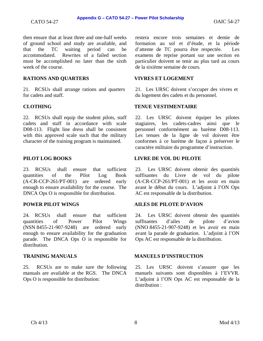then ensure that at least three and one-half weeks of ground school and study are available, and that the TC waiting period can be accommodated. Rewrites of a failed section must be accomplished no later than the sixth week of the course.

### **RATIONS AND QUARTERS VIVRES ET LOGEMENT**

21. RCSUs shall arrange rations and quarters for cadets and staff.

22. RCSUs shall equip the student pilots, staff cadets and staff in accordance with scale D08-113. Flight line dress shall be consistent with this approved scale such that the military character of the training program is maintained.

23. RCSUs shall ensure that sufficient quantities of the Pilot Log Book (A-CR-CCP-261/PT-001) are ordered early enough to ensure availability for the course. The DNCA Ops O is responsible for distribution.

24. RCSUs shall ensure that sufficient quantities of Power Pilot Wings (NSN 8455-21-907-9248) are ordered early enough to ensure availability for the graduation parade. The DNCA Ops O is responsible for distribution.

25. RCSUs are to make sure the following manuals are available at the RGS. The DNCA Ops O is responsible for distribution:

restera encore trois semaines et demie de formation au sol et d'étude, et la période d'attente de TC pourra être respectée. Les examens de reprise portant sur une section en particulier doivent se tenir au plus tard au cours de la sixième semaine de cours.

21. Les URSC doivent s'occuper des vivres et du logement des cadets et du personnel.

### **CLOTHING TENUE VESTIMENTAIRE**

22. Les URSC doivent équiper les pilotes stagiaires, les cadets-cadres ainsi que le personnel conformément au barème D08-113. Les tenues de la ligne de vol doivent être conformes à ce barème de façon à préserver le caractère militaire du programme d'instruction.

### **PILOT LOG BOOKS LIVRE DE VOL DU PILOTE**

23. Les URSC doivent obtenir des quantités suffisantes du Livre de vol du pilote (A-CR-CCP-261/PT-001) et les avoir en main avant le début du cours. L'adjoint à l'ON Ops AC est responsable de la distribution.

### **POWER PILOT WINGS AILES DE PILOTE D'AVION**

24. Les URSC doivent obtenir des quantités suffisantes d'ailes de pilote d'avion (NNO 8455-21-907-9248) et les avoir en main avant la parade de graduation. L'adjoint à l'ON Ops AC est responsable de la distribution.

### **TRAINING MANUALS MANUELS D'INSTRUCTION**

25. Les URSC doivent s'assurer que les manuels suivants sont disponibles à l'EVVR. L'adjoint à l'ON Ops AC est responsable de la distribution :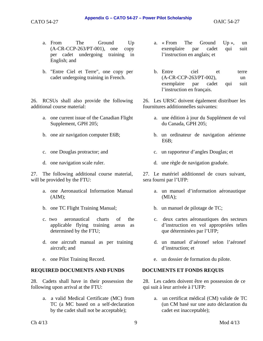- a. From The Ground Up (A-CR-CCP-263/PT-001), one copy per cadet undergoing training in English; and
- b. "Entre Ciel et Terre", one copy per cadet undergoing training in French.

26. RCSUs shall also provide the following additional course material:

- a. one current issue of the Canadian Flight Supplement, GPH 205;
- 
- 
- 

27. The following additional course material, will be provided by the FTU:

- a. one Aeronautical Information Manual  $(AIM);$
- b. one TC Flight Training Manual; b. un manuel de pilotage de TC;
- c. two aeronautical charts of the applicable flying training areas as determined by the FTU;
- d. one aircraft manual as per training aircraft; and
- 

### **REQUIRED DOCUMENTS AND FUNDS DOCUMENTS ET FONDS REQUIS**

28. Cadets shall have in their possession the following upon arrival at the FTU:

> a. a valid Medical Certificate (MC) from TC (a MC based on a self-declaration by the cadet shall not be acceptable);

- a. « From The Ground Up », un exemplaire par cadet qui suit l'instruction en anglais; et
- b. Entre ciel et terre (A-CR-CCP-263/PT-002), un exemplaire par cadet qui suit l'instruction en français.

26. Les URSC doivent également distribuer les fournitures additionnelles suivantes:

- a. une édition à jour du Supplément de vol du Canada, GPH 205;
- b. one air navigation computer E6B; b. un ordinateur de navigation aérienne E6B;
- c. one Douglas protractor; and c. un rapporteur d'angles Douglas; et
- d. one navigation scale ruler. d. une règle de navigation graduée.

27. Le matériel additionnel de cours suivant, sera fourni par l'UFP:

- a. un manuel d'information aéronautique (MIA);
- 
- c. deux cartes aéronautiques des secteurs d'instruction en vol appropriées telles que déterminées par l'UFP;
- d. un manuel d'aéronef selon l'aéronef d'instruction; et
- e. one Pilot Training Record. e. un dossier de formation du pilote.

28. Les cadets doivent être en possession de ce qui suit à leur arrivée à l'UFP:

> a. un certificat médical (CM) valide de TC (un CM basé sur une auto déclaration du cadet est inacceptable);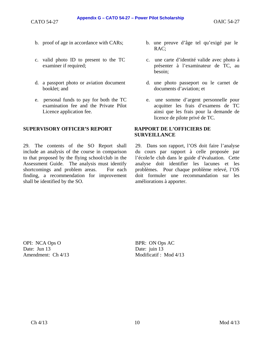- 
- c. valid photo ID to present to the TC examiner if required;
- d. a passport photo or aviation document booklet; and
- e. personal funds to pay for both the TC examination fee and the Private Pilot Licence application fee.

### **SUPERVISORY OFFICER'S REPORT RAPPORT DE L'OFFICIERS DE**

29. The contents of the SO Report shall include an analysis of the course in comparison to that proposed by the flying school/club in the Assessment Guide. The analysis must identify shortcomings and problem areas. For each finding, a recommendation for improvement shall be identified by the SO.

- b. proof of age in accordance with CARs; b. une preuve d'âge tel qu'exigé par le RAC;
	- c. une carte d'identité valide avec photo à présenter à l'examinateur de TC, au besoin;
	- d. une photo passeport ou le carnet de documents d'aviation; et
	- e. une somme d'argent personnelle pour acquitter les frais d'examens de TC ainsi que les frais pour la demande de licence de pilote privé de TC.

# **SURVEILLANCE**

29. Dans son rapport, l'OS doit faire l'analyse du cours par rapport à celle proposée par l'école/le club dans le guide d'évaluation. Cette analyse doit identifier les lacunes et les problèmes. Pour chaque problème relevé, l'OS doit formuler une recommandation sur les améliorations à apporter.

OPI: NCA Ops O Date: Jun 13 Amendment: Ch 4/13 BPR: ON Ops AC Date: juin 13 Modificatif : Mod 4/13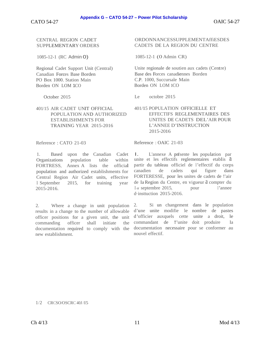CENTRAL REGION CADET SUPPLEMENTARY ORDERS

1085-12-1 (RC Admin 0)

Regional Cadet Support Unit (Central) Canadian Forces Base Borden PO Box 1000. Station Main Borden ON LOM 1CO

October 2015

### 401/15 AIR CADET UNIT OFFICIAL POPULATION AND AUTHORIZED ESTABLISHMENTS FOR TRAINING YEAR 2015-2016

Reference : CATO 21-03

1. Based upon the Canadian Cadet Organizations population table within FORTRESS, Annex A lists the official population and authorized establishments for Central Region Air Cadet units, effective l September 2015, for training year 2015-2016.

2. Where a change in unit population results in a change to the number of allowable officer positions for a given unit, the unit commanding officer shall initiate the documentation required to comply with the new establishment.

#### ORDONNANCESSUPPLEMENTAffiESDES CADETS DE LA REGION DU CENTRE

1085-12-1 (0 Admin CR)

Unite regionale de soutien aux cadets (Centre) Base des Forces canadiennes Borden C.P. 1000, Succursale Main Borden ON LOM 1CO

Le octobre 2015

#### 401/15 POPULATION OFFICIELLE ET EFFECTIFS REGLEMENTAIRES DES UNITES DE CADETS DEL'AIR POUR L'ANNEE D'INSTRUCTION 2015-2016

Reference : OAIC 21-03

I. L'annexe A pn!sente les population par unite et les effectifs reglementaires etablis a partir du tableau officiel de l 'effectif du corps canadien de cadets qui figure dans FORTERESSE, pour les unites de cadets de !'air de Ia Region du Centre, en vigueur â compter du I er septembre 2015, pour I'annee d·insttuction 2015-2016.

2. Si un changement dans le population d'une unite modifie le nombre de pastes d'officier auxquels cette unite a droit, le commandant de !'unite doit produire Ia documentation necessaire pour se conformer au nouvel effectif.

#### 1/2 CRCSO/OSCRC 40J/I5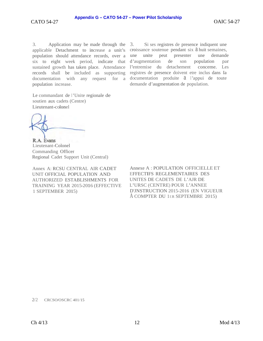Application may be made through the  $3.$ applicable Detachment to increase a unit's population should attendance records, over a six to eight week period, indicate that d'augmentation sustained growth has taken place. Attendance records shall be included as supporting population increase.

Le commandant de l'Unite regionale de soutien aux cadets (Centre) Lieutenant-colonel

R.A. Evans Lieutenant-Colonel Commanding Officer Regional Cadet Support Unit (Central)

Annex A: RCSU CENTRAL AIR CADET UNIT OFFICIAL POPULATION AND **AUTHORIZED ESTABLISHMENTS FOR** TRAINING YEAR 2015-2016 (EFFECTIVE 1 SEPTEMBER 2015)

Si ses registres de presence indiquent une 3. croissance soutenue pendant six a huit semaines, presenter une une unite peut demande de son population par l'entremise du detachement conceme. Les registres de presence doivent etre inclus dans Ia documentation with any request for a documentation produite a l'appui de toute demande d'augmentation de population.

> Annexe A: POPULATION OFFICIELLE ET EFFECTIFS REGLEMENTAIRES DES UNITES DE CADETS DE L'AJR DE L'URSC (CENTRE) POUR L'ANNEE D'JNSTRUCTION 2015-2016 (EN VIGUEUR A COMPTER DU 1ER SEPTEMBRE 2015)

 $2/2$  CRCSO/OSCRC 401/15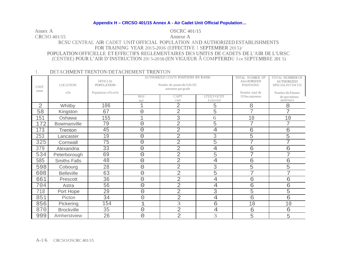**OSCRC 401/15** Annex A CRCSO 401/15 Annexe A RCSU CENTRAL AIR CADET UNIT OFFICIAL POPULATION AND AUTHORIZED ESTABLISHMENTS FOR TRAINING YEAR 2015-2016 (EFFECTIVE I SEPTEMBER 2015)/ POPULATION OFFICIELLE ET EFFECTIFS REGLEMENTAIRES DES UNITES DE CADETS DE L'AIR DE L'URSC (CENTRE) POUR L'AIR D'INSTRUCTION 2015-2016 (EN VIGUEUR À COMPTERDU LER SEPTEMBRE 2015)

#### DETACHMENT TRENTON/DETACHEMENT TRENTON  $\mathbf{L}$

| <b>UNIT</b><br>unue | LOCATION/<br>vtlle  | OFFICLAL<br>POPULATION/<br>Population offictelle |                | <b>AUTHORIZED COATS POSITIONS BY RANK/</b><br>Nombre de postes du SALOC<br>autonses par grade | TOTAL NUMBER OF<br><b>AlrriIORIZED</b><br>POSITIONS/<br>Nombre total de | <b>TOTAL NUMBER OF</b><br><b>AUTHORIZED</b><br>SPECIALIST DA YSI<br>Nombre de JOumee |                             |
|---------------------|---------------------|--------------------------------------------------|----------------|-----------------------------------------------------------------------------------------------|-------------------------------------------------------------------------|--------------------------------------------------------------------------------------|-----------------------------|
|                     |                     |                                                  | MAJ<br>maJ     | <b>CAPT</b><br>capt                                                                           | LTI2LT/OCDT<br>Lt/slt/clof                                              | J!UStes autonses                                                                     | de specmhstes<br>autorisecs |
| $\overline{2}$      | Whitby              | 106                                              | 1              | $\overline{2}$                                                                                | 5                                                                       | 8                                                                                    | 8                           |
| 58                  | Kingston            | 67                                               | 0              | $\overline{2}$                                                                                | 5                                                                       | 7                                                                                    | 7                           |
| 151                 | Oshawa              | 155                                              | 1              | 3                                                                                             | 6                                                                       | 10                                                                                   | 10                          |
| 172                 | Bowmanville         | 79                                               | $\overline{0}$ | $\overline{2}$                                                                                | 5                                                                       | 7                                                                                    | 7                           |
| 173                 | Trenton             | 45                                               | $\overline{O}$ | 2                                                                                             | $\overline{4}$                                                          | 6                                                                                    | б                           |
| 253                 | Lancaster           | 19                                               | $\overline{O}$ | $\overline{2}$                                                                                | 3                                                                       | 5                                                                                    | 5                           |
| 325                 | Cornwall            | 75                                               | $\overline{O}$ | $\overline{2}$                                                                                | 5                                                                       | 7                                                                                    | 7                           |
| 379                 | Alexandria          | 33                                               | $\overline{O}$ | $\overline{2}$                                                                                | 4                                                                       | б                                                                                    | б                           |
| 534                 | Peterborough        | 69                                               | $\bigcirc$     | 2                                                                                             | 5                                                                       | 7                                                                                    | 7                           |
| 585                 | <b>Smiths Falls</b> | 48                                               | $\overline{O}$ | 2                                                                                             | $\overline{4}$                                                          | б                                                                                    | 6                           |
| 598                 | Cobourg             | 28                                               | $\overline{O}$ | $\overline{2}$                                                                                | 3                                                                       | 5                                                                                    | 5                           |
| 608                 | <b>Belleville</b>   | 63                                               | $\bigcirc$     | $\overline{2}$                                                                                | 5                                                                       | 7                                                                                    | 7                           |
| 661                 | Prescott            | 36                                               | $\overline{O}$ | $\overline{2}$                                                                                | 4                                                                       | б                                                                                    | 6                           |
| 704                 | Astra               | 56                                               | $\overline{O}$ | $\overline{2}$                                                                                | $\overline{4}$                                                          | б                                                                                    | 6                           |
| 718                 | Port Hope           | 29                                               | $\overline{O}$ | $\overline{2}$                                                                                | 3                                                                       | 5                                                                                    | 5                           |
| 851                 | Picton              | 34                                               | $\overline{O}$ | $\overline{2}$                                                                                | $\overline{4}$                                                          | 6                                                                                    | 6                           |
| 856                 | Pickering           | 154                                              | 1              | 3                                                                                             | 6                                                                       | 10                                                                                   | 10                          |
| 870                 | <b>Brockville</b>   | 35                                               | $\overline{O}$ | $\overline{2}$                                                                                | $\overline{4}$                                                          | 6                                                                                    | 6                           |
| 999                 | Amherstview         | 26                                               | $\overline{O}$ | $\overline{2}$                                                                                | 3                                                                       | 5                                                                                    | 5                           |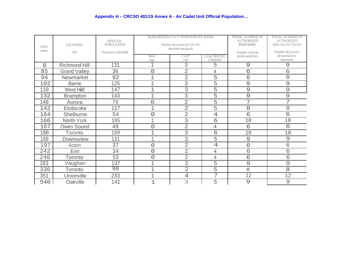| <b>UNIT</b> | LOCATION/            | <b>OFFICIAL</b><br>POPULATION/ |                                                                | <b>AUIIORIZED COATS POSITIONS BY RANK/</b><br>Nombre de postes du SALOC<br>autorises par grade | <b>TOTAL NUMBER OF</b><br><b>AUTIIORIZED</b><br>POSITIONS/ | <b>TOTAL NUMBER OF</b><br><b>AUTHORIZED</b><br>SPECIALIST DAYS |                                                   |
|-------------|----------------------|--------------------------------|----------------------------------------------------------------|------------------------------------------------------------------------------------------------|------------------------------------------------------------|----------------------------------------------------------------|---------------------------------------------------|
| unite       | vtlle                | Pupulauon otlictelle           | CAPT<br><b>LTnLTIOCDT</b><br>MAJ<br>Ltlsltlelof<br>mai<br>capt |                                                                                                |                                                            | Nombre total de<br>postes autorises                            | Nombre de journce<br>de speetaltstes<br>autonsees |
| 8           | <b>Richmond Hill</b> | 131                            | 1                                                              | 3                                                                                              | 5                                                          | 9                                                              | 9                                                 |
| 85          | <b>Grand Valley</b>  | 36                             | $\overline{O}$                                                 | 2                                                                                              | $\overline{4}$                                             | б                                                              | б                                                 |
| 94          | Newmarket            | 92                             | $\mathbf 1$                                                    | $\overline{2}$                                                                                 | 5                                                          | 8                                                              | 8                                                 |
| 102         | <b>Barrie</b>        | 125                            | $\mathbf 1$                                                    | 3                                                                                              | 5                                                          | 9                                                              | $\mathcal{Q}$                                     |
| 110         | West Hill            | 147                            | $\mathbf 1$                                                    | 3                                                                                              | 5                                                          | 9                                                              | 9                                                 |
| 132         | <b>Brampton</b>      | 143                            | $\mathbf 1$                                                    | 3                                                                                              | 5                                                          | 9                                                              | 9                                                 |
| 140         | Aurora               | 76                             | $\overline{O}$                                                 | $\overline{2}$                                                                                 | 5                                                          | 7                                                              | 7                                                 |
| 142         | Etobicoke            | 117                            | $\overline{1}$                                                 | $\overline{2}$                                                                                 | 5                                                          | 8                                                              | 8                                                 |
| 164         | Shelburne            | 54                             | $\overline{O}$                                                 | $\overline{2}$                                                                                 | $\overline{4}$                                             | б                                                              | б                                                 |
| 166         | North York           | 165                            | 1                                                              | 3                                                                                              | 6                                                          | 10                                                             | 10                                                |
| 167         | Owen Sound           | 49                             | $\overline{O}$                                                 | $\overline{2}$                                                                                 | $\overline{4}$                                             | 6                                                              | $\sigma$                                          |
| 180         | <b>Toronto</b>       | 169                            | $\mathbf 1$                                                    | 3                                                                                              | 6                                                          | 10                                                             | 10                                                |
| 188         | Downsview            | 131                            | $\mathbf 1$                                                    | 3                                                                                              | 5                                                          | 9                                                              | 9                                                 |
| 197         | Acton                | 37                             | 0                                                              | $\overline{2}$                                                                                 | $\overline{4}$                                             | 6                                                              | б                                                 |
| 242         | Erin                 | 34                             | $\overline{0}$                                                 | $\overline{2}$                                                                                 | $\overline{4}$                                             | 6                                                              | 6                                                 |
| 246         | Toronto              | 53                             | 0                                                              | $\overline{2}$                                                                                 | $\overline{4}$                                             | 6                                                              | 6                                                 |
| 283         | Vaughan              | 137                            | $\mathbf 1$                                                    | 3                                                                                              | 5                                                          | 9                                                              | 9                                                 |
| 330         | Toronto              | 90                             | $\overline{1}$                                                 | $\overline{2}$                                                                                 | 5                                                          | 8                                                              | 8                                                 |
| 351         | Unionville           | 233                            | 1                                                              | $\ensuremath{4}$                                                                               | 7                                                          | 12                                                             | 12                                                |
| 540         | Oakville             | 141                            | 1                                                              | 3                                                                                              | 5                                                          | 9                                                              | 9                                                 |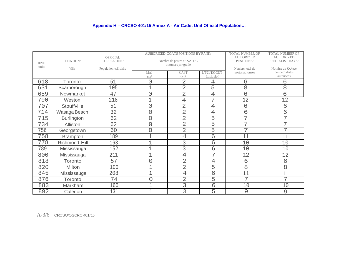| <b>IINIT</b><br>unite | LOCATION/<br>VIlle   | <b>OFFICIAL</b><br>POPULATION/<br>Population ot11cielle |                | <b>AUIIiORIZED COATS POSITIONS BY RANK/</b><br>Nombre de postes du SALOC<br>autonscs por grade | <b>TOTAL NUMBER OF</b><br><b>AUlliORIZED</b><br>POSITIONS/<br>Nombre total de | <b>TOTAL NUMBER OF</b><br><b>AUlliORIZED</b><br>SPECIALIST DAYS/<br>Nomhre de JOUmee |                              |
|-----------------------|----------------------|---------------------------------------------------------|----------------|------------------------------------------------------------------------------------------------|-------------------------------------------------------------------------------|--------------------------------------------------------------------------------------|------------------------------|
|                       |                      |                                                         | MAJ<br>maJ     | CAPT<br>capt                                                                                   | LT/2LT/OCDT<br>Ltlsltlelof                                                    | postcs autonses                                                                      | de spec1alistcs<br>autonsees |
| 618                   | Toronto              | 51                                                      | $\overline{O}$ | $\overline{2}$                                                                                 | $\overline{4}$                                                                | 6                                                                                    | б                            |
| 631                   | Scarborough          | 105                                                     | 1              | $\overline{2}$                                                                                 | 5                                                                             | 8                                                                                    | 8                            |
| 659                   | Newmarket            | 47                                                      | $\overline{O}$ | $\overline{2}$                                                                                 | 4                                                                             | 6                                                                                    | б                            |
| 700                   | Weston               | 218                                                     |                | $\overline{4}$                                                                                 | 7                                                                             | 12                                                                                   | 12                           |
| 707                   | Stouffville          | 51                                                      | $\bigcirc$     | $\overline{2}$                                                                                 | $\overline{4}$                                                                | 6                                                                                    | б                            |
| 714                   | Wasaga Beach         | 32                                                      | $\overline{O}$ | $\overline{2}$                                                                                 | $\overline{4}$                                                                | 6                                                                                    | 6                            |
| 715                   | <b>Burlington</b>    | 62                                                      | $\overline{O}$ | $\overline{2}$                                                                                 | 5                                                                             | 7                                                                                    | 7                            |
| 734                   | Alliston             | 62                                                      | 0              | $\overline{2}$                                                                                 | 5                                                                             | 7                                                                                    | 7                            |
| 756                   | Georgetown           | 60                                                      | 0              | $\overline{2}$                                                                                 | 5                                                                             | 7                                                                                    | 7                            |
| 758                   | <b>Brampton</b>      | 189                                                     | $\mathbf{I}$   | $\overline{4}$                                                                                 | б                                                                             | 11                                                                                   | 11                           |
| 778                   | <b>Richmond Hill</b> | 163                                                     | $\mathbf 1$    | 3                                                                                              | б                                                                             | 10                                                                                   | 10                           |
| 789                   | Mississauga          | 152                                                     | 1              | 3                                                                                              | 6                                                                             | 10                                                                                   | 10                           |
| 800                   | Mississauga          | 211                                                     | $\mathbf 1$    | $\overline{4}$                                                                                 | 7                                                                             | 12                                                                                   | 12                           |
| 818                   | Toronto              | 57                                                      | $\overline{O}$ | $\overline{2}$                                                                                 | $\overline{4}$                                                                | б                                                                                    | 6                            |
| 820                   | Milton               | 100                                                     | $\mathbf{1}$   | $\overline{2}$                                                                                 | 5                                                                             | 8                                                                                    | 8                            |
| 845                   | Mississauga          | 208                                                     | $\mathbf{I}$   | $\overline{4}$                                                                                 | 6                                                                             | 11                                                                                   | 11                           |
| 876                   | Toronto              | 74                                                      | $\overline{O}$ | $\overline{2}$                                                                                 | 5                                                                             | 7                                                                                    | 7                            |
| 883                   | Markham              | 160                                                     | $\mathbf{1}$   | 3                                                                                              | $\sqrt{6}$                                                                    | 10                                                                                   | 10                           |
| 892                   | Caledon              | 131                                                     | $\overline{1}$ | 3                                                                                              | 5                                                                             | 9                                                                                    | $\mathcal{G}$                |

A-3/6 CRCSO/OSCRC 401/15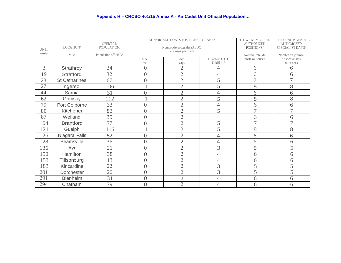|             |                      | <b>OFFICIAL</b>       | AUntORIZED COATS POSITIONS BY RANK/ |                                                  |                           | TOTAL NUMBER OF<br><b>AUTHORIZED</b> | TOTAL NUMBER OF<br><b>AUTHORIZED</b> |
|-------------|----------------------|-----------------------|-------------------------------------|--------------------------------------------------|---------------------------|--------------------------------------|--------------------------------------|
| <b>UNIT</b> | LOCATION/            | POPULATION/           |                                     | Nombre de postes du SALOC<br>autorises par grade | POSITIONS/                | SPECIALIST DAYS/                     |                                      |
| umte        | ville                | Population officiellc |                                     |                                                  |                           | Nombre total de                      | Nombre de joumee                     |
|             |                      |                       | MAJ<br>mat                          | <b>CAPT</b><br>capt                              | LT/2LT/OCDT<br>U/slll lof | postes autonses                      | de specialistes<br>autorisees        |
| 3           | Strathroy            | 34                    | $\overline{0}$                      | $\overline{2}$                                   | 4                         | 6                                    | 6                                    |
| 19          | <b>Stratford</b>     | 32                    | $\overline{0}$                      | $\overline{2}$                                   | $\overline{4}$            | 6                                    | 6                                    |
| 23          | <b>St Catharines</b> | 67                    | $\overline{0}$                      | $\overline{2}$                                   | 5                         |                                      | 7                                    |
| 27          | Ingersoll            | 106                   | 1                                   | $\overline{2}$                                   | 5                         | 8                                    | 8                                    |
| 44          | Sarnia               | 31                    | $\overline{0}$                      | $\overline{2}$                                   | 4                         | 6                                    | 6                                    |
| 62          | Grimsby              | 112                   | 1                                   | $\overline{2}$                                   | 5                         | 8                                    | 8                                    |
| 79          | Port Colborne        | 33                    | $\overline{0}$                      | $\overline{2}$                                   | $\overline{4}$            | 6                                    | 6                                    |
| 80          | Kitchener            | 83                    | $\overline{0}$                      | $\overline{2}$                                   | 5                         | $\overline{7}$                       | $\overline{7}$                       |
| 87          | Weiland              | 39                    | $\overline{0}$                      | $\overline{2}$                                   | $\overline{4}$            | 6                                    | 6                                    |
| 104         | <b>Brantford</b>     | 77                    | $\overline{0}$                      | $\overline{2}$                                   | 5                         | $\overline{\phantom{a}}$             | $\overline{7}$                       |
| 121         | Guelph               | 116                   | $\mathbf{1}$                        | $\overline{2}$                                   | 5                         | 8                                    | 8                                    |
| 126         | Niagara Falls        | 52                    | $\overline{0}$                      | $\overline{2}$                                   | 4                         | 6                                    | 6                                    |
| 128         | <b>Beamsville</b>    | 36                    | $\overline{0}$                      | $\overline{2}$                                   | $\overline{4}$            | 6                                    | 6                                    |
| 136         | Ayr                  | 21                    | $\overline{0}$                      | $\overline{2}$                                   | 3                         | 5                                    | 5                                    |
| 150         | Hamilton             | 38                    | $\overline{0}$                      | $\overline{2}$                                   | 4                         | 6                                    | 6                                    |
| 153         | Tillsonburg          | 43                    | $\overline{0}$                      | $\overline{2}$                                   | $\overline{4}$            | 6                                    | 6                                    |
| 183         | Kincardine           | 22                    | $\overline{0}$                      | $\overline{2}$                                   | 3                         | 5                                    | 5                                    |
| 201         | Dorchester           | 26                    | $\overline{0}$                      | $\overline{2}$                                   | 3                         | 5                                    | 5                                    |
| 291         | <b>Blenheim</b>      | 31                    | $\overline{0}$                      | $\overline{2}$                                   | $\overline{4}$            | 6                                    | 6                                    |
| 294         | Chatham              | 39                    | $\overline{0}$                      | $\overline{2}$                                   | 4                         | 6                                    | 6                                    |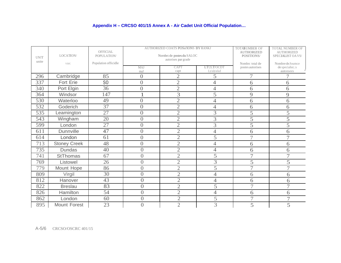| <b>UNIT</b><br>unite | LOCATION/<br>VllfC  | <b>OFFICIAL</b><br>POPULATION/<br>Population officidle |                | AUTHORIZED COATS POSn'IONS BY RANKI<br>Nornbrc de postes du SALOC<br>autorises par grade | TOTANUMBER OF<br><b>AUTHORIZED</b><br>POSITIONS/<br>Nombre total de | TOTAL NUMBER OF<br><b>AUTHORIZED</b><br>SPECIALIST OA VS/<br>Nombre de Joumce |                              |
|----------------------|---------------------|--------------------------------------------------------|----------------|------------------------------------------------------------------------------------------|---------------------------------------------------------------------|-------------------------------------------------------------------------------|------------------------------|
|                      |                     |                                                        | MAJ<br>maJ     | CAPT<br>capt                                                                             | LT/2LT/OCDT<br>Lt/slt/elof                                          | postes autorises                                                              | de speciahst.:s<br>autonsees |
| 296                  | Cambridge           | 85                                                     | $\overline{0}$ | $\overline{2}$                                                                           | 5                                                                   | 7                                                                             |                              |
| 337                  | Fort Erie           | S <sub>O</sub>                                         | $\overline{0}$ | $\overline{2}$                                                                           | 4                                                                   | 6                                                                             | 6                            |
| 340                  | Port Elgin          | 36                                                     | $\overline{0}$ | $\mathfrak{2}$                                                                           | $\overline{4}$                                                      | 6                                                                             | 6                            |
| 364                  | Windsor             | 147                                                    | 1              | 3                                                                                        | 5                                                                   | 9                                                                             | 9                            |
| 530                  | Waterloo            | 49                                                     | $\overline{0}$ | $\overline{2}$                                                                           | $\overline{4}$                                                      | 6                                                                             | 6                            |
| 532                  | Goderich            | 37                                                     | $\overline{0}$ | $\overline{2}$                                                                           | $\overline{4}$                                                      | 6                                                                             | 6                            |
| 535                  | Leamington          | $\overline{27}$                                        | $\overline{0}$ | $\overline{2}$                                                                           | 3                                                                   | 5                                                                             | 5                            |
| 543                  | Wingham             | 20                                                     | $\overline{0}$ | $\overline{2}$                                                                           | 3                                                                   | 5                                                                             | 5                            |
| 599                  | London              | 27                                                     | $\overline{0}$ | $\overline{2}$                                                                           | 3                                                                   | 5                                                                             | 5                            |
| 611                  | Dunnville           | 47                                                     | $\overline{0}$ | $\overline{2}$                                                                           | $\overline{4}$                                                      | 6                                                                             | 6                            |
| 614                  | London              | 61                                                     | $\overline{0}$ | $\overline{2}$                                                                           | $\overline{5}$                                                      | $\overline{7}$                                                                | $\overline{7}$               |
| 713                  | <b>Stoney Creek</b> | 48                                                     | $\overline{0}$ | $\overline{2}$                                                                           | $\overline{4}$                                                      | 6                                                                             | 6                            |
| 735                  | <b>Dundas</b>       | 40                                                     | $\overline{0}$ | $\overline{2}$                                                                           | $\overline{4}$                                                      | 6                                                                             | 6                            |
| 741                  | <b>StThomas</b>     | 67                                                     | $\overline{0}$ | $\overline{2}$                                                                           | 5                                                                   | $\overline{7}$                                                                | $\overline{7}$               |
| 769                  | Listowel            | 26                                                     | $\overline{0}$ | $\overline{2}$                                                                           | 3                                                                   | 5                                                                             | 5                            |
| 779                  | Mount Hope          | 86                                                     | $\overline{0}$ | $\overline{2}$                                                                           | 5                                                                   | $\overline{7}$                                                                | $\tau$                       |
| 809                  | Virgil              | 30                                                     | $\overline{0}$ | $\overline{2}$                                                                           | $\overline{4}$                                                      | 6                                                                             | 6                            |
| 812                  | Hanover             | 43                                                     | $\overline{0}$ | $\overline{2}$                                                                           | 4                                                                   | 6                                                                             | 6                            |
| 822                  | <b>Breslau</b>      | 83                                                     | $\overline{0}$ | $\overline{2}$                                                                           | 5                                                                   | 7                                                                             | $\overline{7}$               |
| 826                  | Hamilton            | 54                                                     | $\overline{0}$ | $\overline{2}$                                                                           | 4                                                                   | 6                                                                             | 6                            |
| 862                  | London              | 60                                                     | $\overline{0}$ | $\overline{2}$                                                                           | 5                                                                   | 7                                                                             | $\overline{7}$               |
| 895                  | Mount Forest        | 23                                                     | $\overline{0}$ | $\overline{2}$                                                                           | 3                                                                   | 5                                                                             | 5                            |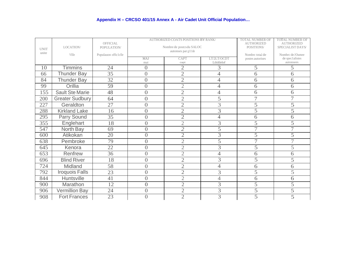| <b>UNIT</b><br>unite | LOCATION/<br>VIlle     | OFFICIAL<br>POPULATION/<br>Populauon offic1clle |                | AUTHORIZED COATS POSITIONS BY RANK/<br>Nombre de postcs du SALOC<br>autonses par gl1lde | TOTAL NUMBER OF<br><b>AUTHORIZED</b><br>POSITIONS/<br>Nombre total de | <b>TOTAL NUMBER OF</b><br><b>AUTHORIZED</b><br>SPECIALIST DAYS<br>Nombrc de JOumee |                              |
|----------------------|------------------------|-------------------------------------------------|----------------|-----------------------------------------------------------------------------------------|-----------------------------------------------------------------------|------------------------------------------------------------------------------------|------------------------------|
|                      |                        |                                                 | MAJ<br>mai     | CAPT<br>capt                                                                            | LT/2LT/OCDT<br>Ltlsltlelof                                            | postes autorises                                                                   | de spec1alistes<br>autonsees |
| 10                   | <b>Timmins</b>         | 24                                              | $\overline{0}$ | $\overline{2}$                                                                          | 3                                                                     | 5                                                                                  | 5                            |
| 66                   | <b>Thunder Bay</b>     | 35                                              | $\overline{0}$ | $\overline{2}$                                                                          | $\overline{4}$                                                        | 6                                                                                  | 6                            |
| 84                   | <b>Thunder Bay</b>     | 32                                              | $\overline{0}$ | $\overline{2}$                                                                          | $\overline{4}$                                                        | 6                                                                                  | 6                            |
| 99                   | Orillia                | 59                                              | $\overline{0}$ | $\mathfrak{2}$                                                                          | $\overline{4}$                                                        | 6                                                                                  | 6                            |
| 155                  | <b>Sault Ste Marie</b> | 48                                              | $\overline{0}$ | $\overline{2}$                                                                          | $\overline{4}$                                                        | 6                                                                                  | 6                            |
| 200                  | <b>Greater Sudbury</b> | 64                                              | $\overline{0}$ | $\overline{2}$                                                                          | 5                                                                     | 7                                                                                  | 7                            |
| 227                  | Geraldton              | 27                                              | $\overline{0}$ | $\overline{2}$                                                                          | 3                                                                     | 5                                                                                  | 5                            |
| 288                  | <b>Kirkland Lake</b>   | 16                                              | $\overline{0}$ | $\overline{2}$                                                                          | 3                                                                     | 5                                                                                  | 5                            |
| 295                  | Parry Sound            | 35                                              | $\overline{0}$ | $\overline{2}$                                                                          | 4                                                                     | 6                                                                                  | 6                            |
| 355                  | Englehart              | 18                                              | $\overline{0}$ | $\overline{2}$                                                                          | 3                                                                     | 5                                                                                  | 5                            |
| 547                  | North Bay              | 69                                              | $\overline{0}$ | $\overline{2}$                                                                          | 5                                                                     | 7                                                                                  | $\overline{\phantom{0}}$     |
| 600                  | Atikokan               | 20                                              | $\overline{0}$ | $\overline{2}$                                                                          | 3                                                                     | $\overline{5}$                                                                     | 5                            |
| 638                  | Pembroke               | 79                                              | $\overline{0}$ | $\overline{2}$                                                                          | $\overline{5}$                                                        | $\tau$                                                                             | $\tau$                       |
| 645                  | Kenora                 | 22                                              | $\overline{0}$ | $\overline{2}$                                                                          | $\overline{3}$                                                        | 5                                                                                  | 5                            |
| 653                  | Renfrew                | 36                                              | $\overline{0}$ | $\overline{2}$                                                                          | 4                                                                     | 6                                                                                  | 6                            |
| 696                  | <b>Blind River</b>     | 18                                              | $\overline{0}$ | $\overline{2}$                                                                          | 3                                                                     | 5                                                                                  | 5                            |
| 724                  | Midland                | 58                                              | $\overline{0}$ | $\overline{2}$                                                                          | $\overline{4}$                                                        | 6                                                                                  | 6                            |
| 792                  | <b>Iroquois Falls</b>  | 23                                              | $\overline{0}$ | $\overline{2}$                                                                          | 3                                                                     | 5                                                                                  | 5                            |
| 844                  | <b>Huntsville</b>      | 41                                              | $\overline{0}$ | $\overline{2}$                                                                          | $\overline{4}$                                                        | 6                                                                                  | 6                            |
| 900                  | Marathon               | 12                                              | $\overline{0}$ | $\overline{2}$                                                                          | 3                                                                     | 5                                                                                  | 5                            |
| 906                  | <b>Vermillion Bay</b>  | 24                                              | $\overline{0}$ | $\overline{2}$                                                                          | 3                                                                     | 5                                                                                  | 5                            |
| 908                  | <b>Fort Frances</b>    | 23                                              | $\overline{0}$ | $\overline{2}$                                                                          | 3                                                                     | 5                                                                                  | 5                            |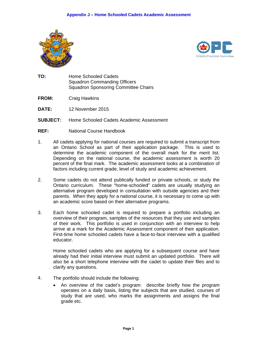



- TO: **Home Schooled Cadets Squadron Commanding Officers Squadron Sponsoring Committee Chairs**
- FROM: **Craig Hawkins**
- DATE: 12 November 2015
- **SUBJECT:** Home Schooled Cadets Academic Assessment
- REF: National Course Handbook
- $1<sub>1</sub>$ All cadets applying for national courses are required to submit a transcript from an Ontario School as part of their application package. This is used to determine the academic component of the overall mark for the merit list. Depending on the national course, the academic assessment is worth 20 percent of the final mark. The academic assessment looks at a combination of factors including current grade, level of study and academic achievement.
- $2.$ Some cadets do not attend publically funded or private schools, or study the Ontario curriculum. These "home-schooled" cadets are usually studying an alternative program developed in consultation with outside agencies and their parents. When they apply for a national course, it is necessary to come up with an academic score based on their alternative programs.
- 3. Each home schooled cadet is required to prepare a portfolio including an overview of their program, samples of the resources that they use and samples of their work. This portfolio is used in conjunction with an interview to help arrive at a mark for the Academic Assessment component of their application. First-time home schooled cadets have a face-to-face interview with a qualified educator.

Home schooled cadets who are applying for a subsequent course and have already had their initial interview must submit an updated portfolio. There will also be a short telephone interview with the cadet to update their files and to clarify any questions.

- 4. The portfolio should include the following:
	- An overview of the cadet's program: describe briefly how the program operates on a daily basis, listing the subjects that are studied, courses of study that are used, who marks the assignments and assigns the final grade etc.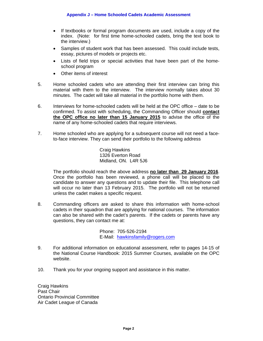- If textbooks or formal program documents are used, include a copy of the index. (Note: for first time home-schooled cadets, bring the text book to the interview.)
- Samples of student work that has been assessed. This could include tests, essay, pictures of models or projects etc.
- Lists of field trips or special activities that have been part of the homeschool program
- Other items of interest
- 5. Home schooled cadets who are attending their first interview can bring this material with them to the interview. The interview normally takes about 30 minutes. The cadet will take all material in the portfolio home with them.
- 6. Interviews for home-schooled cadets will be held at the OPC office date to be confirmed. To assist with scheduling, the Commanding Officer should **contact the OPC office no later than 15 January 2015** to advise the office of the name of any home-schooled cadets that require interviews.
- 7. Home schooled who are applying for a subsequent course will not need a faceto-face interview. They can send their portfolio to the following address

 Craig Hawkins 1326 Everton Road Midland, ON. L4R 5J6

The portfolio should reach the above address **no later than 29 January 2016**. Once the portfolio has been reviewed, a phone call will be placed to the candidate to answer any questions and to update their file. This telephone call will occur no later than 13 February 2015. The portfolio will not be returned unless the cadet makes a specific request.

8. Commanding officers are asked to share this information with home-school cadets in their squadron that are applying for national courses. The information can also be shared with the cadet's parents. If the cadets or parents have any questions, they can contact me at:

> Phone: 705-526-2194 E-Mail: hawkinsfamily@rogers.com

- 9. For additional information on educational assessment, refer to pages 14-15 of the National Course Handbook: 2015 Summer Courses, available on the OPC website.
- 10. Thank you for your ongoing support and assistance in this matter.

Craig Hawkins Past Chair Ontario Provincial Committee Air Cadet League of Canada